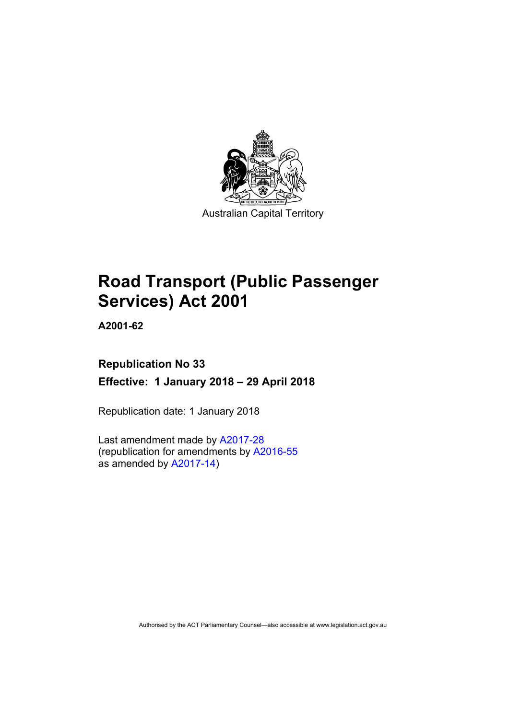

# **Road Transport (Public Passenger Services) Act 2001**

**A2001-62** 

# **Republication No 33 Effective: 1 January 2018 – 29 April 2018**

Republication date: 1 January 2018

Last amendment made by [A2017-28](http://www.legislation.act.gov.au/a/2017-28/default.asp) (republication for amendments by [A2016-55](http://www.legislation.act.gov.au/a/2016-55/default.asp) as amended by [A2017-14](http://www.legislation.act.gov.au/a/2017-14/default.asp))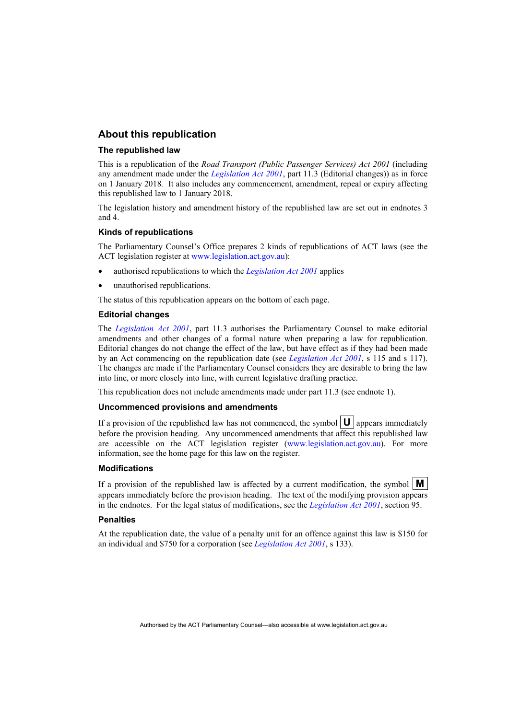#### **About this republication**

#### **The republished law**

This is a republication of the *Road Transport (Public Passenger Services) Act 2001* (including any amendment made under the *[Legislation Act 2001](http://www.legislation.act.gov.au/a/2001-14)*, part 11.3 (Editorial changes)) as in force on 1 January 2018*.* It also includes any commencement, amendment, repeal or expiry affecting this republished law to 1 January 2018.

The legislation history and amendment history of the republished law are set out in endnotes 3 and 4.

#### **Kinds of republications**

The Parliamentary Counsel's Office prepares 2 kinds of republications of ACT laws (see the ACT legislation register at [www.legislation.act.gov.au](http://www.legislation.act.gov.au/)):

- authorised republications to which the *[Legislation Act 2001](http://www.legislation.act.gov.au/a/2001-14)* applies
- unauthorised republications.

The status of this republication appears on the bottom of each page.

#### **Editorial changes**

The *[Legislation Act 2001](http://www.legislation.act.gov.au/a/2001-14)*, part 11.3 authorises the Parliamentary Counsel to make editorial amendments and other changes of a formal nature when preparing a law for republication. Editorial changes do not change the effect of the law, but have effect as if they had been made by an Act commencing on the republication date (see *[Legislation Act 2001](http://www.legislation.act.gov.au/a/2001-14)*, s 115 and s 117). The changes are made if the Parliamentary Counsel considers they are desirable to bring the law into line, or more closely into line, with current legislative drafting practice.

This republication does not include amendments made under part 11.3 (see endnote 1).

#### **Uncommenced provisions and amendments**

If a provision of the republished law has not commenced, the symbol  $\mathbf{U}$  appears immediately before the provision heading. Any uncommenced amendments that affect this republished law are accessible on the ACT legislation register [\(www.legislation.act.gov.au\)](http://www.legislation.act.gov.au/). For more information, see the home page for this law on the register.

#### **Modifications**

If a provision of the republished law is affected by a current modification, the symbol  $\mathbf{M}$ appears immediately before the provision heading. The text of the modifying provision appears in the endnotes. For the legal status of modifications, see the *[Legislation Act 2001](http://www.legislation.act.gov.au/a/2001-14)*, section 95.

#### **Penalties**

At the republication date, the value of a penalty unit for an offence against this law is \$150 for an individual and \$750 for a corporation (see *[Legislation Act 2001](http://www.legislation.act.gov.au/a/2001-14)*, s 133).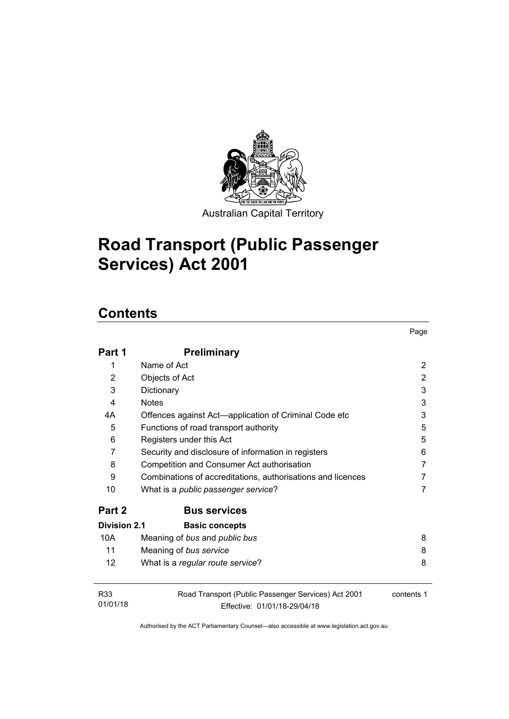

Australian Capital Territory

Page

# **Road Transport (Public Passenger Services) Act 2001**

# **Contents**

| Part 1                      | <b>Preliminary</b>                                                                  |            |
|-----------------------------|-------------------------------------------------------------------------------------|------------|
| 1                           | Name of Act                                                                         | 2          |
| 2                           | Objects of Act                                                                      | 2          |
| 3                           | Dictionary                                                                          | 3          |
| 4                           | <b>Notes</b>                                                                        | 3          |
| 4А                          | Offences against Act—application of Criminal Code etc                               | 3          |
| 5                           | Functions of road transport authority                                               | 5          |
| 6                           | Registers under this Act                                                            | 5          |
| 7                           | Security and disclosure of information in registers                                 | 6          |
| 8                           | Competition and Consumer Act authorisation                                          | 7          |
| 9                           | Combinations of accreditations, authorisations and licences                         | 7          |
| 10                          | What is a <i>public passenger service</i> ?                                         | 7          |
| Part 2                      | <b>Bus services</b>                                                                 |            |
| <b>Division 2.1</b>         | <b>Basic concepts</b>                                                               |            |
| 10A                         | Meaning of bus and public bus                                                       | 8          |
| 11                          | Meaning of bus service                                                              | 8          |
| $12 \overline{ }$           | What is a regular route service?                                                    | 8          |
| R <sub>33</sub><br>01/01/18 | Road Transport (Public Passenger Services) Act 2001<br>Effective: 01/01/18-29/04/18 | contents 1 |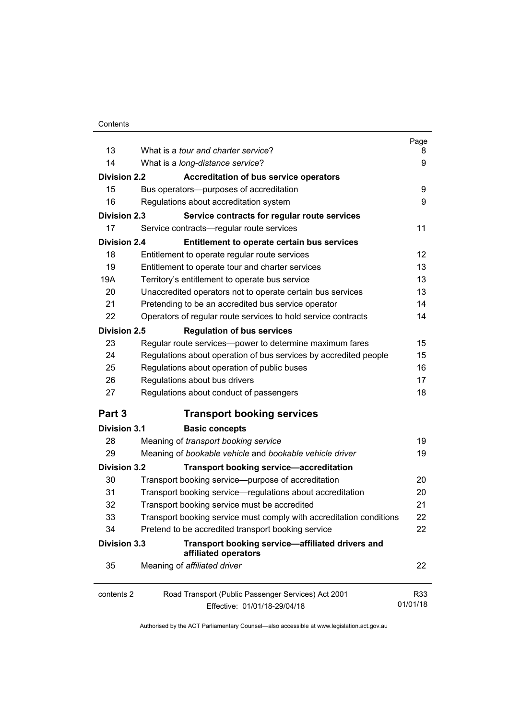| 13                  | What is a <i>tour and charter service</i> ?                              | Page<br>8 |
|---------------------|--------------------------------------------------------------------------|-----------|
| 14                  |                                                                          | 9         |
|                     | What is a long-distance service?                                         |           |
| <b>Division 2.2</b> | <b>Accreditation of bus service operators</b>                            |           |
| 15                  | Bus operators--- purposes of accreditation                               | 9         |
| 16                  | Regulations about accreditation system                                   | 9         |
| <b>Division 2.3</b> | Service contracts for regular route services                             |           |
| 17                  | Service contracts—regular route services                                 | 11        |
| <b>Division 2.4</b> | Entitlement to operate certain bus services                              |           |
| 18                  | Entitlement to operate regular route services                            | 12        |
| 19                  | Entitlement to operate tour and charter services                         | 13        |
| 19A                 | Territory's entitlement to operate bus service                           | 13        |
| 20                  | Unaccredited operators not to operate certain bus services               | 13        |
| 21                  | Pretending to be an accredited bus service operator                      | 14        |
| 22                  | Operators of regular route services to hold service contracts            | 14        |
| <b>Division 2.5</b> | <b>Regulation of bus services</b>                                        |           |
| 23                  | Regular route services-power to determine maximum fares                  | 15        |
| 24                  | Regulations about operation of bus services by accredited people         | 15        |
| 25                  | Regulations about operation of public buses                              | 16        |
| 26                  | Regulations about bus drivers                                            | 17        |
| 27                  | Regulations about conduct of passengers                                  | 18        |
| Part 3              | <b>Transport booking services</b>                                        |           |
| <b>Division 3.1</b> | <b>Basic concepts</b>                                                    |           |
| 28                  | Meaning of transport booking service                                     | 19        |
| 29                  | Meaning of bookable vehicle and bookable vehicle driver                  | 19        |
| <b>Division 3.2</b> | <b>Transport booking service-accreditation</b>                           |           |
| 30                  | Transport booking service-purpose of accreditation                       | 20        |
| 31                  | Transport booking service—regulations about accreditation                | 20        |
| 32                  | Transport booking service must be accredited                             | 21        |
| 33                  | Transport booking service must comply with accreditation conditions      | 22        |
| 34                  | Pretend to be accredited transport booking service                       | 22        |
| <b>Division 3.3</b> | Transport booking service-affiliated drivers and<br>affiliated operators |           |
| 35                  | Meaning of affiliated driver                                             | 22        |
| contents 2          | Road Transport (Public Passenger Services) Act 2001                      | R33       |
|                     | Effective: 01/01/18-29/04/18                                             | 01/01/18  |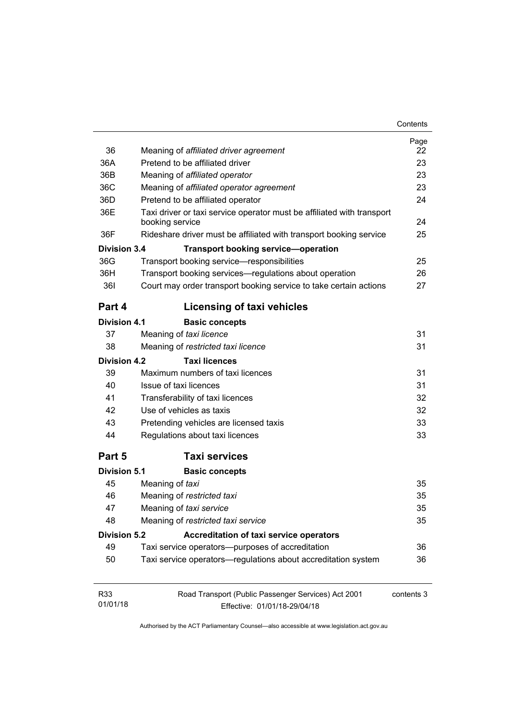| 36                  | Meaning of affiliated driver agreement                                                    | Page<br>22 |  |
|---------------------|-------------------------------------------------------------------------------------------|------------|--|
| 36A                 | Pretend to be affiliated driver                                                           | 23         |  |
| 36B                 | Meaning of affiliated operator                                                            | 23         |  |
| 36C                 | Meaning of affiliated operator agreement                                                  |            |  |
| 36D                 | Pretend to be affiliated operator                                                         | 24         |  |
| 36E                 | Taxi driver or taxi service operator must be affiliated with transport<br>booking service | 24         |  |
| 36F                 | Rideshare driver must be affiliated with transport booking service                        | 25         |  |
| <b>Division 3.4</b> | <b>Transport booking service-operation</b>                                                |            |  |
| 36G                 | Transport booking service-responsibilities                                                | 25         |  |
| 36H                 | Transport booking services—regulations about operation                                    | 26         |  |
| <b>361</b>          | Court may order transport booking service to take certain actions                         | 27         |  |
| Part 4              | <b>Licensing of taxi vehicles</b>                                                         |            |  |
| <b>Division 4.1</b> | <b>Basic concepts</b>                                                                     |            |  |
| 37                  | Meaning of taxi licence                                                                   | 31         |  |
| 38                  | Meaning of restricted taxi licence                                                        | 31         |  |
| Division 4.2        | <b>Taxi licences</b>                                                                      |            |  |
| 39                  | Maximum numbers of taxi licences                                                          | 31         |  |
| 40                  | Issue of taxi licences                                                                    | 31         |  |
| 41                  | Transferability of taxi licences                                                          | 32         |  |
| 42                  | Use of vehicles as taxis                                                                  | 32         |  |
| 43                  | Pretending vehicles are licensed taxis                                                    | 33         |  |
| 44                  | Regulations about taxi licences                                                           | 33         |  |
| Part 5              | <b>Taxi services</b>                                                                      |            |  |
| <b>Division 5.1</b> | <b>Basic concepts</b>                                                                     |            |  |
| 45                  | Meaning of taxi                                                                           | 35         |  |
| 46                  | Meaning of restricted taxi                                                                | 35         |  |
| 47                  | Meaning of taxi service                                                                   | 35         |  |
| 48                  | Meaning of restricted taxi service                                                        | 35         |  |
| <b>Division 5.2</b> | <b>Accreditation of taxi service operators</b>                                            |            |  |
| 49                  | Taxi service operators--purposes of accreditation                                         | 36         |  |
| 50                  | Taxi service operators-regulations about accreditation system                             | 36         |  |
| R33                 | Road Transport (Public Passenger Services) Act 2001                                       | contents 3 |  |
| 01/01/18            | Effective: 01/01/18-29/04/18                                                              |            |  |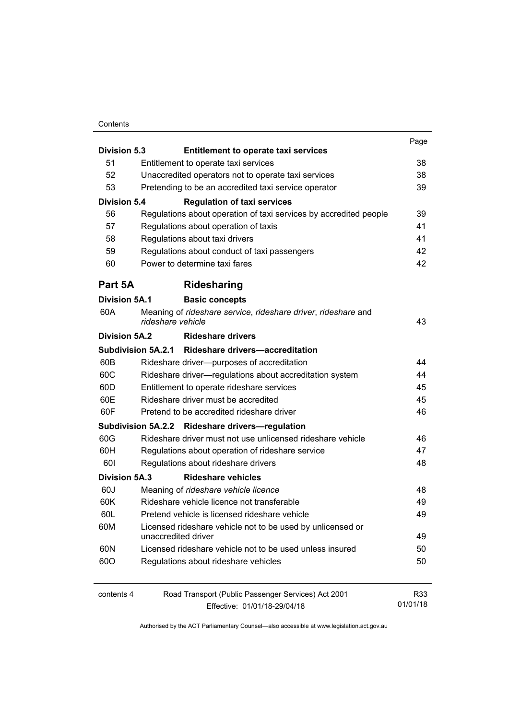#### **Contents**

|                                                                    |                                                            |                                                                                    | Page     |  |
|--------------------------------------------------------------------|------------------------------------------------------------|------------------------------------------------------------------------------------|----------|--|
| <b>Division 5.3</b><br><b>Entitlement to operate taxi services</b> |                                                            |                                                                                    |          |  |
| 51                                                                 |                                                            | Entitlement to operate taxi services                                               | 38       |  |
| 52                                                                 |                                                            | Unaccredited operators not to operate taxi services                                | 38<br>39 |  |
|                                                                    | 53<br>Pretending to be an accredited taxi service operator |                                                                                    |          |  |
| <b>Division 5.4</b>                                                |                                                            | <b>Regulation of taxi services</b>                                                 |          |  |
| 56                                                                 |                                                            | Regulations about operation of taxi services by accredited people                  | 39       |  |
| 57                                                                 |                                                            | Regulations about operation of taxis                                               | 41       |  |
| 58                                                                 |                                                            | Regulations about taxi drivers                                                     | 41       |  |
| 59                                                                 |                                                            | Regulations about conduct of taxi passengers                                       | 42       |  |
| 60                                                                 |                                                            | Power to determine taxi fares                                                      | 42       |  |
| Part 5A                                                            |                                                            | <b>Ridesharing</b>                                                                 |          |  |
| <b>Division 5A.1</b>                                               |                                                            | <b>Basic concepts</b>                                                              |          |  |
| 60A                                                                |                                                            | Meaning of rideshare service, rideshare driver, rideshare and<br>rideshare vehicle | 43       |  |
| <b>Division 5A.2</b>                                               |                                                            | <b>Rideshare drivers</b>                                                           |          |  |
|                                                                    |                                                            | Subdivision 5A.2.1 Rideshare drivers-accreditation                                 |          |  |
| 60B                                                                |                                                            | Rideshare driver--- purposes of accreditation                                      | 44       |  |
| 60C                                                                |                                                            | Rideshare driver-regulations about accreditation system                            | 44       |  |
| 60D                                                                |                                                            | Entitlement to operate rideshare services                                          | 45       |  |
| 60E                                                                |                                                            | Rideshare driver must be accredited                                                | 45       |  |
| 60F                                                                |                                                            | Pretend to be accredited rideshare driver                                          | 46       |  |
|                                                                    |                                                            | Subdivision 5A.2.2 Rideshare drivers-regulation                                    |          |  |
| 60G                                                                |                                                            | Rideshare driver must not use unlicensed rideshare vehicle                         | 46       |  |
| 60H                                                                |                                                            | Regulations about operation of rideshare service                                   | 47       |  |
| 601                                                                |                                                            | Regulations about rideshare drivers                                                | 48       |  |
| <b>Division 5A.3</b>                                               |                                                            | <b>Rideshare vehicles</b>                                                          |          |  |
| 60J                                                                |                                                            | Meaning of rideshare vehicle licence                                               | 48       |  |
| 60K                                                                |                                                            | Rideshare vehicle licence not transferable                                         | 49       |  |
| 60L                                                                |                                                            | Pretend vehicle is licensed rideshare vehicle                                      | 49       |  |
| 60M                                                                |                                                            | Licensed rideshare vehicle not to be used by unlicensed or                         |          |  |
|                                                                    |                                                            | unaccredited driver                                                                | 49       |  |
| 60N                                                                |                                                            | Licensed rideshare vehicle not to be used unless insured                           | 50       |  |
| 600                                                                |                                                            | Regulations about rideshare vehicles                                               | 50       |  |
| contents 4                                                         |                                                            | Road Transport (Public Passenger Services) Act 2001                                | R33      |  |
|                                                                    |                                                            | Effective: 01/01/18-29/04/18                                                       | 01/01/18 |  |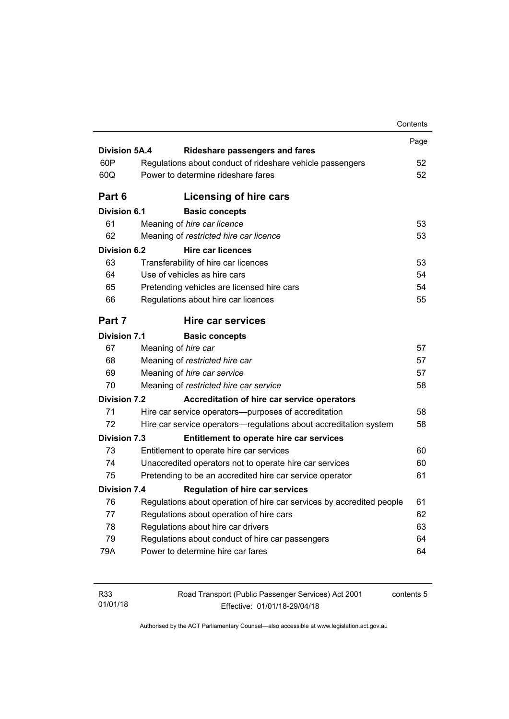|                      |                                                                       | Contents |
|----------------------|-----------------------------------------------------------------------|----------|
|                      |                                                                       | Page     |
| <b>Division 5A.4</b> | <b>Rideshare passengers and fares</b>                                 |          |
| 60P                  | Regulations about conduct of rideshare vehicle passengers             | 52       |
| 60Q                  | Power to determine rideshare fares                                    | 52       |
| Part 6               | Licensing of hire cars                                                |          |
| Division 6.1         | <b>Basic concepts</b>                                                 |          |
| 61                   | Meaning of hire car licence                                           | 53       |
| 62                   | Meaning of restricted hire car licence                                | 53       |
| Division 6.2         | <b>Hire car licences</b>                                              |          |
| 63                   | Transferability of hire car licences                                  | 53       |
| 64                   | Use of vehicles as hire cars                                          | 54       |
| 65                   | Pretending vehicles are licensed hire cars                            | 54       |
| 66                   | Regulations about hire car licences                                   | 55       |
| Part 7               | <b>Hire car services</b>                                              |          |
| Division 7.1         | <b>Basic concepts</b>                                                 |          |
| 67                   | Meaning of hire car                                                   | 57       |
| 68                   | Meaning of restricted hire car                                        | 57       |
| 69                   | Meaning of hire car service                                           | 57       |
| 70                   | Meaning of restricted hire car service                                | 58       |
| <b>Division 7.2</b>  | Accreditation of hire car service operators                           |          |
| 71                   | Hire car service operators—purposes of accreditation                  | 58       |
| 72                   | Hire car service operators—regulations about accreditation system     | 58       |
| <b>Division 7.3</b>  | Entitlement to operate hire car services                              |          |
| 73                   | Entitlement to operate hire car services                              | 60       |
| 74                   | Unaccredited operators not to operate hire car services               | 60       |
| 75                   | Pretending to be an accredited hire car service operator              | 61       |
| <b>Division 7.4</b>  | <b>Regulation of hire car services</b>                                |          |
| 76                   | Regulations about operation of hire car services by accredited people | 61       |
| 77                   | Regulations about operation of hire cars                              | 62       |
|                      | Regulations about hire car drivers                                    | 63       |
| 78                   |                                                                       |          |
| 79                   | Regulations about conduct of hire car passengers                      | 64       |

| R33      | Road Transport (F |
|----------|-------------------|
| 01/01/18 | Effec             |

Public Passenger Services) Act 2001 Effective: 01/01/18-29/04/18

contents 5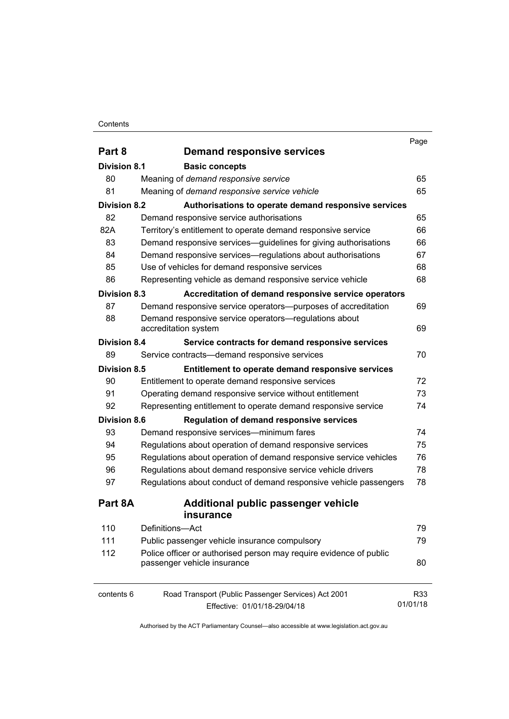#### **Contents**

|                     |                                                                    | Page     |
|---------------------|--------------------------------------------------------------------|----------|
| Part 8              | <b>Demand responsive services</b>                                  |          |
| <b>Division 8.1</b> | <b>Basic concepts</b>                                              |          |
| 80                  | Meaning of demand responsive service                               | 65       |
| 81                  | Meaning of demand responsive service vehicle                       | 65       |
| <b>Division 8.2</b> | Authorisations to operate demand responsive services               |          |
| 82                  | Demand responsive service authorisations                           | 65       |
| 82A                 | Territory's entitlement to operate demand responsive service       | 66       |
| 83                  | Demand responsive services—guidelines for giving authorisations    | 66       |
| 84                  | Demand responsive services—regulations about authorisations        | 67       |
| 85                  | Use of vehicles for demand responsive services                     | 68       |
| 86                  | Representing vehicle as demand responsive service vehicle          | 68       |
| <b>Division 8.3</b> | Accreditation of demand responsive service operators               |          |
| 87                  | Demand responsive service operators--purposes of accreditation     | 69       |
| 88                  | Demand responsive service operators-regulations about              |          |
|                     | accreditation system                                               | 69       |
| <b>Division 8.4</b> | Service contracts for demand responsive services                   |          |
| 89                  | Service contracts-demand responsive services                       | 70       |
| <b>Division 8.5</b> | Entitlement to operate demand responsive services                  |          |
| 90                  | Entitlement to operate demand responsive services                  | 72       |
| 91                  | Operating demand responsive service without entitlement            | 73       |
| 92                  | Representing entitlement to operate demand responsive service      | 74       |
| <b>Division 8.6</b> | <b>Regulation of demand responsive services</b>                    |          |
| 93                  | Demand responsive services—minimum fares                           | 74       |
| 94                  | Regulations about operation of demand responsive services          | 75       |
| 95                  | Regulations about operation of demand responsive service vehicles  | 76       |
| 96                  | Regulations about demand responsive service vehicle drivers        | 78       |
| 97                  | Regulations about conduct of demand responsive vehicle passengers  | 78       |
| Part 8A             | Additional public passenger vehicle                                |          |
|                     | <i>insurance</i>                                                   |          |
| 110                 | Definitions-Act                                                    | 79       |
| 111                 | Public passenger vehicle insurance compulsory                      | 79       |
| 112                 | Police officer or authorised person may require evidence of public | 80       |
|                     | passenger vehicle insurance                                        |          |
| contents 6          | Road Transport (Public Passenger Services) Act 2001                | R33      |
|                     | Effective: 01/01/18-29/04/18                                       | 01/01/18 |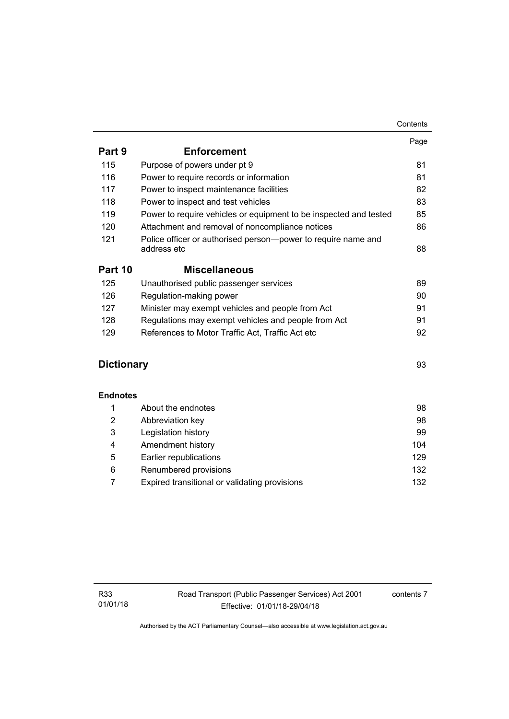| Part 9            | <b>Enforcement</b>                                                           | Page |
|-------------------|------------------------------------------------------------------------------|------|
| 115               | Purpose of powers under pt 9                                                 | 81   |
| 116               | Power to require records or information                                      | 81   |
| 117               | Power to inspect maintenance facilities                                      | 82   |
| 118               | Power to inspect and test vehicles                                           | 83   |
| 119               | Power to require vehicles or equipment to be inspected and tested            | 85   |
| 120               | Attachment and removal of noncompliance notices                              | 86   |
| 121               | Police officer or authorised person-power to require name and<br>address etc | 88   |
| Part 10           | <b>Miscellaneous</b>                                                         |      |
| 125               | Unauthorised public passenger services                                       | 89   |
| 126               | Regulation-making power                                                      | 90   |
| 127               | Minister may exempt vehicles and people from Act                             | 91   |
| 128               | Regulations may exempt vehicles and people from Act                          | 91   |
| 129               | References to Motor Traffic Act, Traffic Act etc                             | 92   |
| <b>Dictionary</b> |                                                                              | 93   |
| <b>Endnotes</b>   |                                                                              |      |
| 1                 | About the endnotes                                                           | 98   |
| $\overline{2}$    | Abbreviation key                                                             | 98   |
| 3                 | Legislation history                                                          | 99   |
| 4                 | Amendment history                                                            | 104  |
| 5                 | Earlier republications                                                       | 129  |
| 6                 | Renumbered provisions                                                        | 132  |

7 [Expired transitional or validating provisions 132](#page-141-1)

contents 7

**Contents**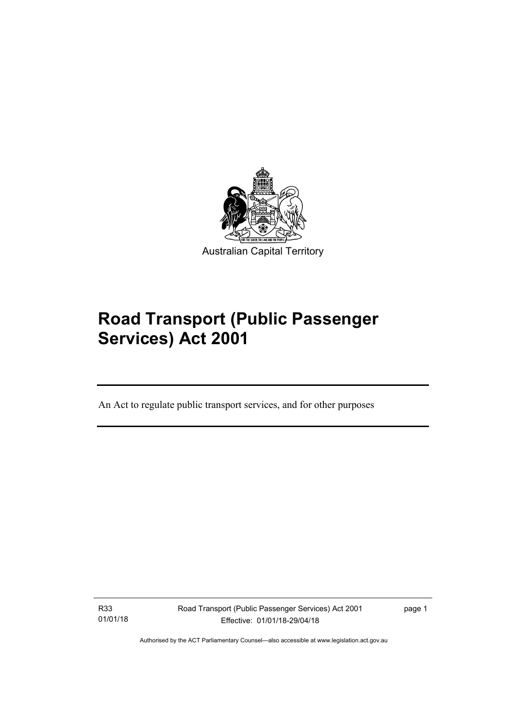

# **Road Transport (Public Passenger Services) Act 2001**

An Act to regulate public transport services, and for other purposes

R33 01/01/18

l

Road Transport (Public Passenger Services) Act 2001 Effective: 01/01/18-29/04/18

page 1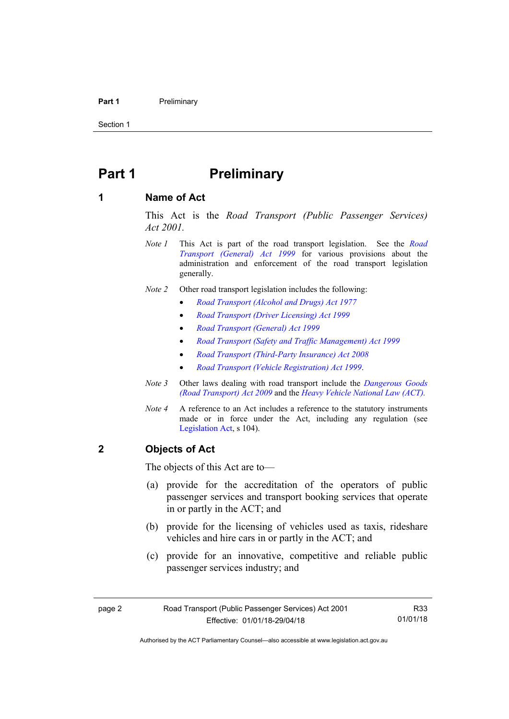#### **Part 1** Preliminary

Section 1

## <span id="page-11-0"></span>**Part 1** Preliminary

#### <span id="page-11-1"></span>**1 Name of Act**

This Act is the *Road Transport (Public Passenger Services) Act 2001.* 

- *Note 1* This Act is part of the road transport legislation. See the *[Road](http://www.legislation.act.gov.au/a/1999-77)  [Transport \(General\) Act 1999](http://www.legislation.act.gov.au/a/1999-77)* for various provisions about the administration and enforcement of the road transport legislation generally.
- *Note 2* Other road transport legislation includes the following:
	- *[Road Transport \(Alcohol and Drugs\) Act 1977](http://www.legislation.act.gov.au/a/1977-17)*
	- *[Road Transport \(Driver Licensing\) Act 1999](http://www.legislation.act.gov.au/a/1999-78)*
	- *[Road Transport \(General\) Act 1999](http://www.legislation.act.gov.au/a/1999-77)*
	- *[Road Transport \(Safety and Traffic Management\) Act 1999](http://www.legislation.act.gov.au/a/1999-80)*
	- *[Road Transport \(Third-Party Insurance\) Act 2008](http://www.legislation.act.gov.au/a/2008-1)*
	- *[Road Transport \(Vehicle Registration\) Act 1999](http://www.legislation.act.gov.au/a/1999-81)*.
- *Note 3* Other laws dealing with road transport include the *[Dangerous Goods](http://www.legislation.act.gov.au/a/2009-34)  [\(Road Transport\) Act 2009](http://www.legislation.act.gov.au/a/2009-34)* and the *[Heavy Vehicle National Law \(ACT\).](http://www.legislation.act.gov.au/a/db_49155/default.asp)*
- *Note 4* A reference to an Act includes a reference to the statutory instruments made or in force under the Act, including any regulation (see [Legislation Act,](http://www.legislation.act.gov.au/a/2001-14) s 104).

#### <span id="page-11-2"></span>**2 Objects of Act**

The objects of this Act are to—

- (a) provide for the accreditation of the operators of public passenger services and transport booking services that operate in or partly in the ACT; and
- (b) provide for the licensing of vehicles used as taxis, rideshare vehicles and hire cars in or partly in the ACT; and
- (c) provide for an innovative, competitive and reliable public passenger services industry; and

R33 01/01/18

Authorised by the ACT Parliamentary Counsel—also accessible at www.legislation.act.gov.au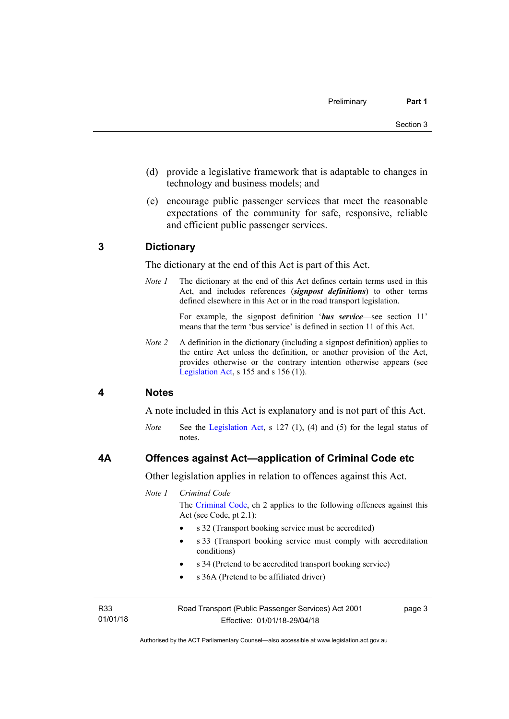- (d) provide a legislative framework that is adaptable to changes in technology and business models; and
- (e) encourage public passenger services that meet the reasonable expectations of the community for safe, responsive, reliable and efficient public passenger services.

#### <span id="page-12-0"></span>**3 Dictionary**

The dictionary at the end of this Act is part of this Act.

*Note 1* The dictionary at the end of this Act defines certain terms used in this Act, and includes references (*signpost definitions*) to other terms defined elsewhere in this Act or in the road transport legislation.

> For example, the signpost definition '*bus service*—see section 11' means that the term 'bus service' is defined in section 11 of this Act.

*Note 2* A definition in the dictionary (including a signpost definition) applies to the entire Act unless the definition, or another provision of the Act, provides otherwise or the contrary intention otherwise appears (see [Legislation Act,](http://www.legislation.act.gov.au/a/2001-14) s  $155$  and s  $156$  (1)).

#### <span id="page-12-1"></span>**4 Notes**

A note included in this Act is explanatory and is not part of this Act.

*Note* See the [Legislation Act](http://www.legislation.act.gov.au/a/2001-14), s 127 (1), (4) and (5) for the legal status of notes.

#### <span id="page-12-2"></span>**4A Offences against Act—application of Criminal Code etc**

Other legislation applies in relation to offences against this Act.

*Note 1 Criminal Code*

The [Criminal Code](http://www.legislation.act.gov.au/a/2002-51), ch 2 applies to the following offences against this Act (see Code, pt 2.1):

- s 32 (Transport booking service must be accredited)
- s 33 (Transport booking service must comply with accreditation conditions)
- s 34 (Pretend to be accredited transport booking service)
- s 36A (Pretend to be affiliated driver)

R33 01/01/18 page 3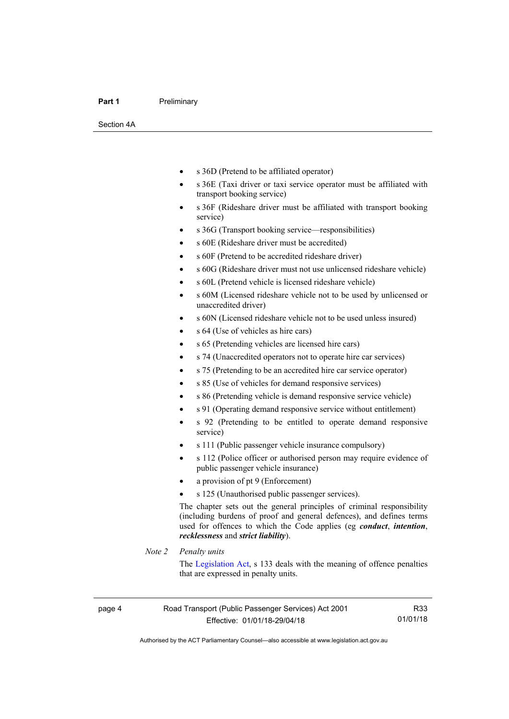#### **Part 1** Preliminary

Section 4A

- s 36D (Pretend to be affiliated operator)
- s 36E (Taxi driver or taxi service operator must be affiliated with transport booking service)
- s 36F (Rideshare driver must be affiliated with transport booking service)
- s 36G (Transport booking service—responsibilities)
- s 60E (Rideshare driver must be accredited)
- s 60F (Pretend to be accredited rideshare driver)
- s 60G (Rideshare driver must not use unlicensed rideshare vehicle)
- s 60L (Pretend vehicle is licensed rideshare vehicle)
- s 60M (Licensed rideshare vehicle not to be used by unlicensed or unaccredited driver)
- s 60N (Licensed rideshare vehicle not to be used unless insured)
- s 64 (Use of vehicles as hire cars)
- s 65 (Pretending vehicles are licensed hire cars)
- s 74 (Unaccredited operators not to operate hire car services)
- s 75 (Pretending to be an accredited hire car service operator)
- s 85 (Use of vehicles for demand responsive services)
- s 86 (Pretending vehicle is demand responsive service vehicle)
- s 91 (Operating demand responsive service without entitlement)
- s 92 (Pretending to be entitled to operate demand responsive service)
- s 111 (Public passenger vehicle insurance compulsory)
- s 112 (Police officer or authorised person may require evidence of public passenger vehicle insurance)
- a provision of pt 9 (Enforcement)
- s 125 (Unauthorised public passenger services).

The chapter sets out the general principles of criminal responsibility (including burdens of proof and general defences), and defines terms used for offences to which the Code applies (eg *conduct*, *intention*, *recklessness* and *strict liability*).

#### *Note 2 Penalty units*

The [Legislation Act](http://www.legislation.act.gov.au/a/2001-14), s 133 deals with the meaning of offence penalties that are expressed in penalty units.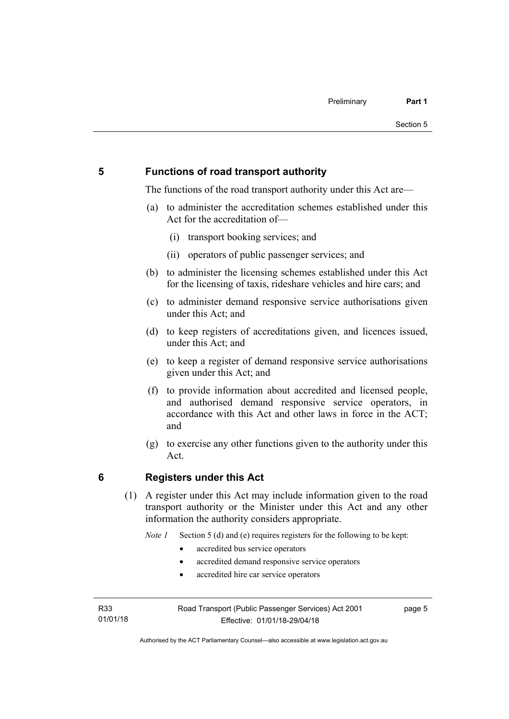## <span id="page-14-0"></span>**5 Functions of road transport authority**

The functions of the road transport authority under this Act are—

- (a) to administer the accreditation schemes established under this Act for the accreditation of—
	- (i) transport booking services; and
	- (ii) operators of public passenger services; and
- (b) to administer the licensing schemes established under this Act for the licensing of taxis, rideshare vehicles and hire cars; and
- (c) to administer demand responsive service authorisations given under this Act; and
- (d) to keep registers of accreditations given, and licences issued, under this Act: and
- (e) to keep a register of demand responsive service authorisations given under this Act; and
- (f) to provide information about accredited and licensed people, and authorised demand responsive service operators, in accordance with this Act and other laws in force in the ACT; and
- (g) to exercise any other functions given to the authority under this Act.

#### <span id="page-14-1"></span>**6 Registers under this Act**

(1) A register under this Act may include information given to the road transport authority or the Minister under this Act and any other information the authority considers appropriate.

*Note 1* Section 5 (d) and (e) requires registers for the following to be kept:

- accredited bus service operators
- accredited demand responsive service operators
- accredited hire car service operators

R33 01/01/18 page 5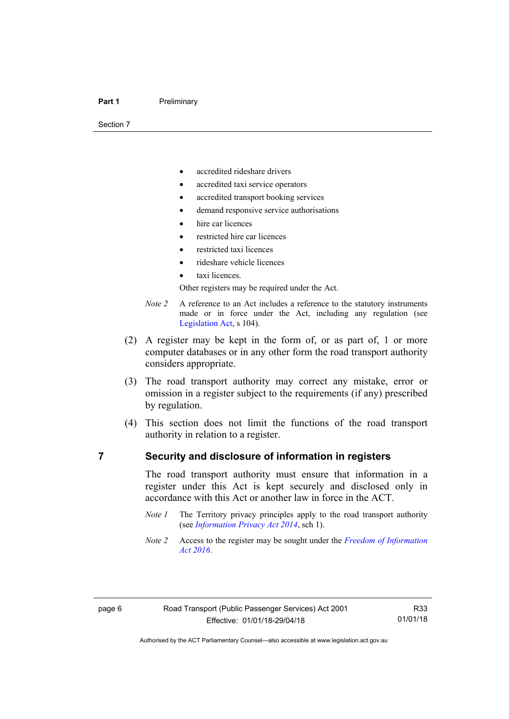Section 7

- accredited rideshare drivers
- accredited taxi service operators
- accredited transport booking services
- demand responsive service authorisations
- hire car licences
- restricted hire car licences
- restricted taxi licences
- rideshare vehicle licences
- taxi licences.

Other registers may be required under the Act.

- *Note 2* A reference to an Act includes a reference to the statutory instruments made or in force under the Act, including any regulation (see [Legislation Act,](http://www.legislation.act.gov.au/a/2001-14) s 104).
- (2) A register may be kept in the form of, or as part of, 1 or more computer databases or in any other form the road transport authority considers appropriate.
- (3) The road transport authority may correct any mistake, error or omission in a register subject to the requirements (if any) prescribed by regulation.
- (4) This section does not limit the functions of the road transport authority in relation to a register.

#### <span id="page-15-0"></span>**7 Security and disclosure of information in registers**

The road transport authority must ensure that information in a register under this Act is kept securely and disclosed only in accordance with this Act or another law in force in the ACT.

- *Note 1* The Territory privacy principles apply to the road transport authority (see *[Information Privacy Act 2014](http://www.legislation.act.gov.au/a/2014-24/default.asp)*, sch 1).
- *Note 2* Access to the register may be sought under the *[Freedom of Information](http://www.legislation.act.gov.au/a/2016-55/default.asp)  [Act 2016](http://www.legislation.act.gov.au/a/2016-55/default.asp)*.

R33 01/01/18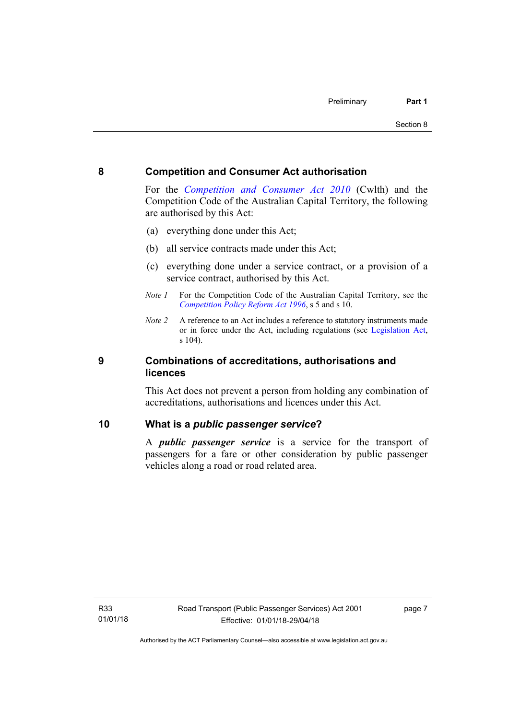#### <span id="page-16-0"></span>**8 Competition and Consumer Act authorisation**

For the *[Competition and Consumer Act 2010](http://www.comlaw.gov.au/Details/C2013C00004)* (Cwlth) and the Competition Code of the Australian Capital Territory, the following are authorised by this Act:

- (a) everything done under this Act;
- (b) all service contracts made under this Act;
- (c) everything done under a service contract, or a provision of a service contract, authorised by this Act.
- *Note 1* For the Competition Code of the Australian Capital Territory, see the *[Competition Policy Reform Act 1996](http://www.legislation.act.gov.au/a/1996-21)*, s 5 and s 10.
- *Note 2* A reference to an Act includes a reference to statutory instruments made or in force under the Act, including regulations (see [Legislation Act,](http://www.legislation.act.gov.au/a/2001-14) s 104).

#### <span id="page-16-1"></span>**9 Combinations of accreditations, authorisations and licences**

This Act does not prevent a person from holding any combination of accreditations, authorisations and licences under this Act.

#### <span id="page-16-2"></span>**10 What is a** *public passenger service***?**

A *public passenger service* is a service for the transport of passengers for a fare or other consideration by public passenger vehicles along a road or road related area.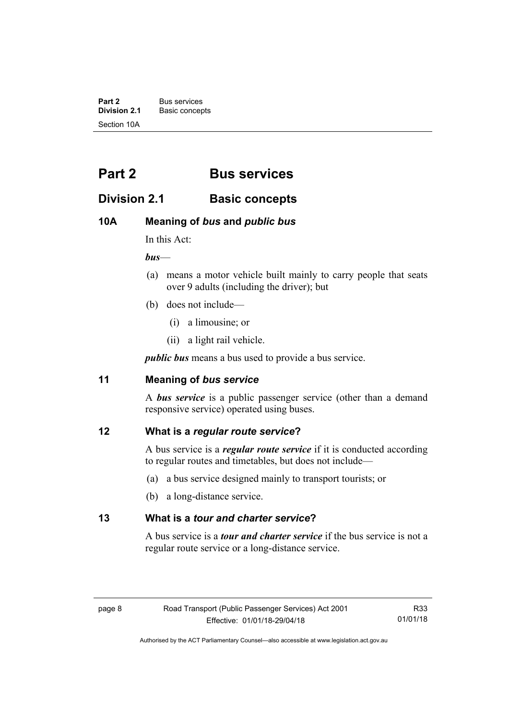**Part 2** Bus services<br> **Division 2.1** Basic concer **Division 2.1** Basic concepts Section 10A

# <span id="page-17-0"></span>**Part 2 Bus services**

## <span id="page-17-1"></span>**Division 2.1 Basic concepts**

## <span id="page-17-2"></span>**10A Meaning of** *bus* **and** *public bus*

In this Act:

*bus*—

- (a) means a motor vehicle built mainly to carry people that seats over 9 adults (including the driver); but
- (b) does not include—
	- (i) a limousine; or
	- (ii) a light rail vehicle.

*public bus* means a bus used to provide a bus service.

## <span id="page-17-3"></span>**11 Meaning of** *bus service*

A *bus service* is a public passenger service (other than a demand responsive service) operated using buses.

## <span id="page-17-4"></span>**12 What is a** *regular route service***?**

A bus service is a *regular route service* if it is conducted according to regular routes and timetables, but does not include—

- (a) a bus service designed mainly to transport tourists; or
- (b) a long-distance service.

#### <span id="page-17-5"></span>**13 What is a** *tour and charter service***?**

A bus service is a *tour and charter service* if the bus service is not a regular route service or a long-distance service.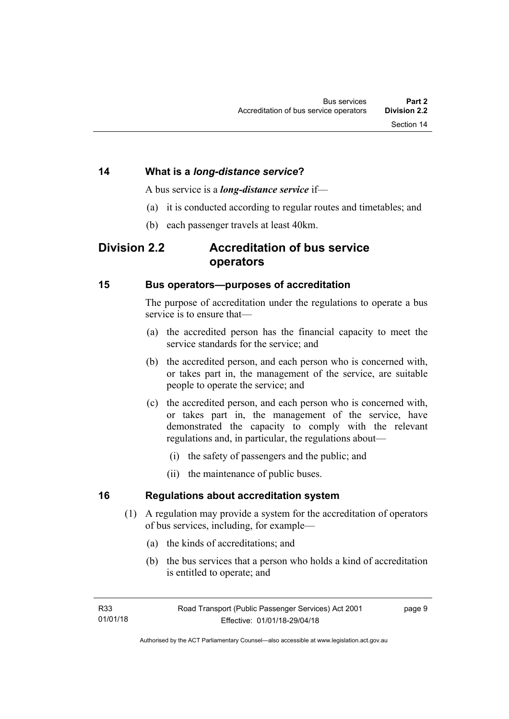#### <span id="page-18-0"></span>**14 What is a** *long-distance service***?**

A bus service is a *long-distance service* if—

- (a) it is conducted according to regular routes and timetables; and
- (b) each passenger travels at least 40km.

## <span id="page-18-1"></span>**Division 2.2 Accreditation of bus service operators**

#### <span id="page-18-2"></span>**15 Bus operators—purposes of accreditation**

The purpose of accreditation under the regulations to operate a bus service is to ensure that—

- (a) the accredited person has the financial capacity to meet the service standards for the service; and
- (b) the accredited person, and each person who is concerned with, or takes part in, the management of the service, are suitable people to operate the service; and
- (c) the accredited person, and each person who is concerned with, or takes part in, the management of the service, have demonstrated the capacity to comply with the relevant regulations and, in particular, the regulations about—
	- (i) the safety of passengers and the public; and
	- (ii) the maintenance of public buses.

#### <span id="page-18-3"></span>**16 Regulations about accreditation system**

- (1) A regulation may provide a system for the accreditation of operators of bus services, including, for example—
	- (a) the kinds of accreditations; and
	- (b) the bus services that a person who holds a kind of accreditation is entitled to operate; and

page 9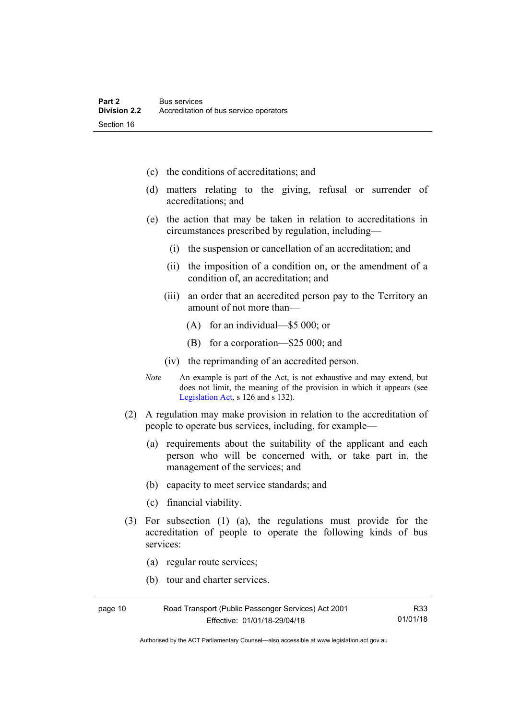- (c) the conditions of accreditations; and
- (d) matters relating to the giving, refusal or surrender of accreditations; and
- (e) the action that may be taken in relation to accreditations in circumstances prescribed by regulation, including—
	- (i) the suspension or cancellation of an accreditation; and
	- (ii) the imposition of a condition on, or the amendment of a condition of, an accreditation; and
	- (iii) an order that an accredited person pay to the Territory an amount of not more than—
		- (A) for an individual—\$5 000; or
		- (B) for a corporation—\$25 000; and
	- (iv) the reprimanding of an accredited person.
- *Note* An example is part of the Act, is not exhaustive and may extend, but does not limit, the meaning of the provision in which it appears (see [Legislation Act,](http://www.legislation.act.gov.au/a/2001-14) s 126 and s 132).
- (2) A regulation may make provision in relation to the accreditation of people to operate bus services, including, for example—
	- (a) requirements about the suitability of the applicant and each person who will be concerned with, or take part in, the management of the services; and
	- (b) capacity to meet service standards; and
	- (c) financial viability.
- (3) For subsection (1) (a), the regulations must provide for the accreditation of people to operate the following kinds of bus services:
	- (a) regular route services;
	- (b) tour and charter services.

| page 10 | Road Transport (Public Passenger Services) Act 2001 | R33      |
|---------|-----------------------------------------------------|----------|
|         | Effective: 01/01/18-29/04/18                        | 01/01/18 |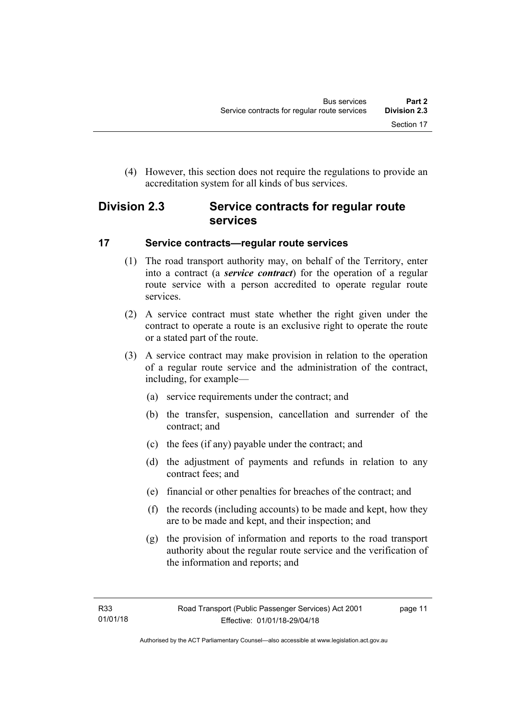(4) However, this section does not require the regulations to provide an accreditation system for all kinds of bus services.

## <span id="page-20-0"></span>**Division 2.3 Service contracts for regular route services**

## <span id="page-20-1"></span>**17 Service contracts—regular route services**

- (1) The road transport authority may, on behalf of the Territory, enter into a contract (a *service contract*) for the operation of a regular route service with a person accredited to operate regular route services.
- (2) A service contract must state whether the right given under the contract to operate a route is an exclusive right to operate the route or a stated part of the route.
- (3) A service contract may make provision in relation to the operation of a regular route service and the administration of the contract, including, for example—
	- (a) service requirements under the contract; and
	- (b) the transfer, suspension, cancellation and surrender of the contract; and
	- (c) the fees (if any) payable under the contract; and
	- (d) the adjustment of payments and refunds in relation to any contract fees; and
	- (e) financial or other penalties for breaches of the contract; and
	- (f) the records (including accounts) to be made and kept, how they are to be made and kept, and their inspection; and
	- (g) the provision of information and reports to the road transport authority about the regular route service and the verification of the information and reports; and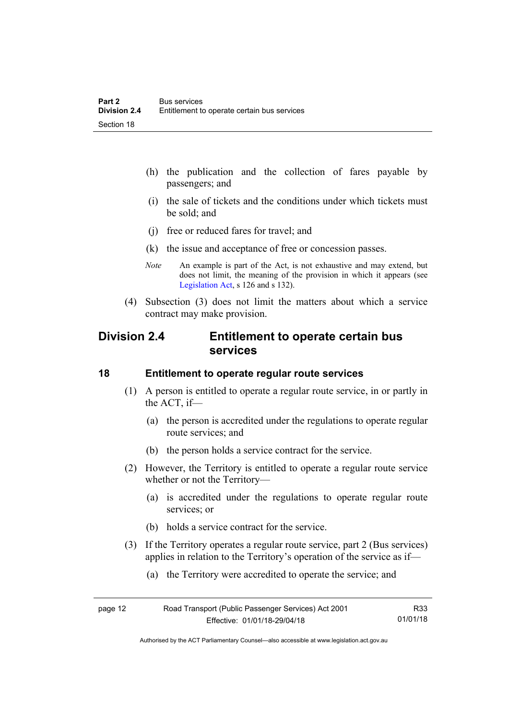- (h) the publication and the collection of fares payable by passengers; and
- (i) the sale of tickets and the conditions under which tickets must be sold; and
- (j) free or reduced fares for travel; and
- (k) the issue and acceptance of free or concession passes.
- *Note* An example is part of the Act, is not exhaustive and may extend, but does not limit, the meaning of the provision in which it appears (see [Legislation Act,](http://www.legislation.act.gov.au/a/2001-14) s 126 and s 132).
- (4) Subsection (3) does not limit the matters about which a service contract may make provision.

## <span id="page-21-0"></span>**Division 2.4 Entitlement to operate certain bus services**

#### <span id="page-21-1"></span>**18 Entitlement to operate regular route services**

- (1) A person is entitled to operate a regular route service, in or partly in the ACT, if—
	- (a) the person is accredited under the regulations to operate regular route services; and
	- (b) the person holds a service contract for the service.
- (2) However, the Territory is entitled to operate a regular route service whether or not the Territory—
	- (a) is accredited under the regulations to operate regular route services; or
	- (b) holds a service contract for the service.
- (3) If the Territory operates a regular route service, part 2 (Bus services) applies in relation to the Territory's operation of the service as if—
	- (a) the Territory were accredited to operate the service; and

| page 12 | Road Transport (Public Passenger Services) Act 2001 | R33      |
|---------|-----------------------------------------------------|----------|
|         | Effective: 01/01/18-29/04/18                        | 01/01/18 |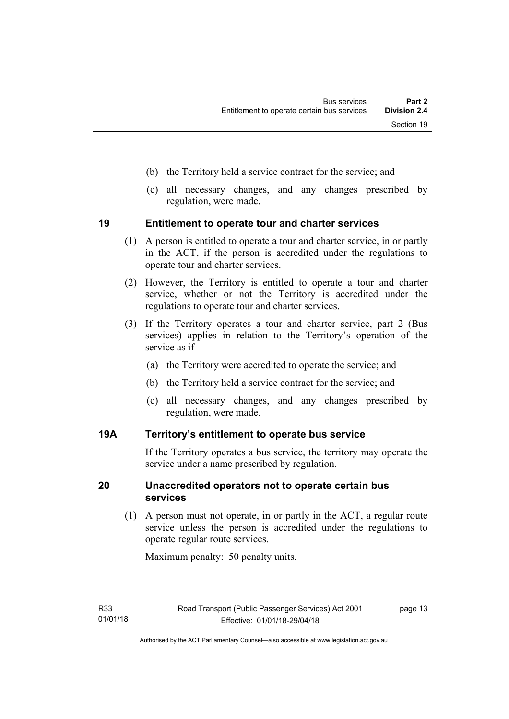- (b) the Territory held a service contract for the service; and
- (c) all necessary changes, and any changes prescribed by regulation, were made.

#### <span id="page-22-0"></span>**19 Entitlement to operate tour and charter services**

- (1) A person is entitled to operate a tour and charter service, in or partly in the ACT, if the person is accredited under the regulations to operate tour and charter services.
- (2) However, the Territory is entitled to operate a tour and charter service, whether or not the Territory is accredited under the regulations to operate tour and charter services.
- (3) If the Territory operates a tour and charter service, part 2 (Bus services) applies in relation to the Territory's operation of the service as if—
	- (a) the Territory were accredited to operate the service; and
	- (b) the Territory held a service contract for the service; and
	- (c) all necessary changes, and any changes prescribed by regulation, were made.

#### <span id="page-22-1"></span>**19A Territory's entitlement to operate bus service**

If the Territory operates a bus service, the territory may operate the service under a name prescribed by regulation.

#### <span id="page-22-2"></span>**20 Unaccredited operators not to operate certain bus services**

(1) A person must not operate, in or partly in the ACT, a regular route service unless the person is accredited under the regulations to operate regular route services.

Maximum penalty: 50 penalty units.

page 13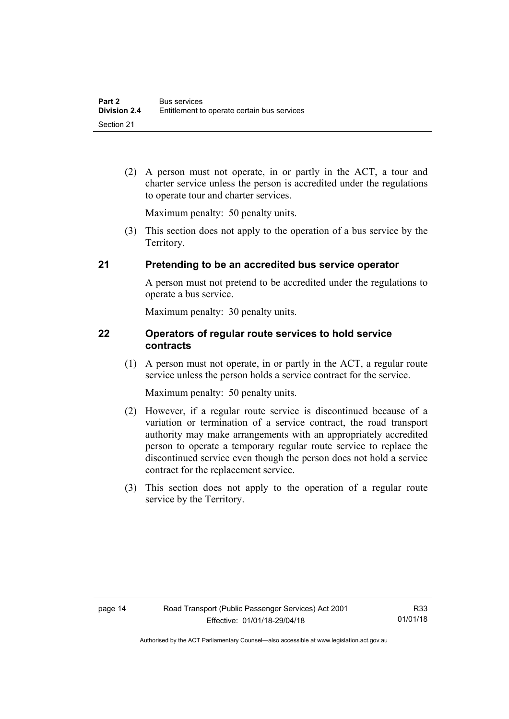(2) A person must not operate, in or partly in the ACT, a tour and charter service unless the person is accredited under the regulations to operate tour and charter services.

Maximum penalty: 50 penalty units.

 (3) This section does not apply to the operation of a bus service by the Territory.

## <span id="page-23-0"></span>**21 Pretending to be an accredited bus service operator**

A person must not pretend to be accredited under the regulations to operate a bus service.

Maximum penalty: 30 penalty units.

#### <span id="page-23-1"></span>**22 Operators of regular route services to hold service contracts**

(1) A person must not operate, in or partly in the ACT, a regular route service unless the person holds a service contract for the service.

Maximum penalty: 50 penalty units.

- (2) However, if a regular route service is discontinued because of a variation or termination of a service contract, the road transport authority may make arrangements with an appropriately accredited person to operate a temporary regular route service to replace the discontinued service even though the person does not hold a service contract for the replacement service.
- (3) This section does not apply to the operation of a regular route service by the Territory.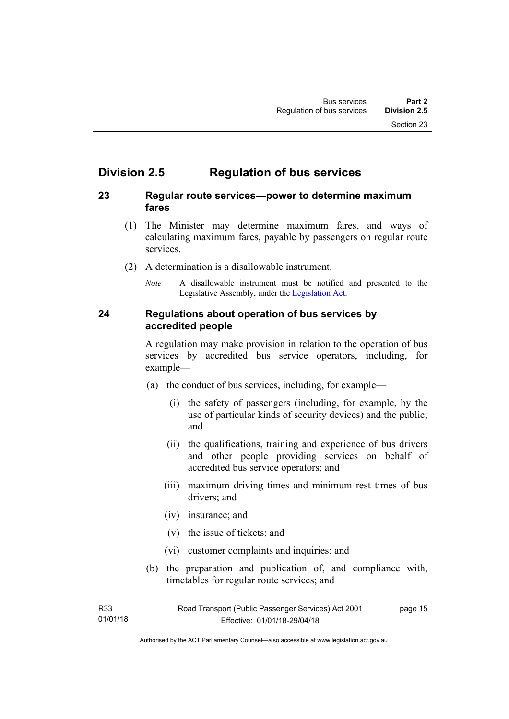## <span id="page-24-0"></span>**Division 2.5 Regulation of bus services**

## <span id="page-24-1"></span>**23 Regular route services—power to determine maximum fares**

- (1) The Minister may determine maximum fares, and ways of calculating maximum fares, payable by passengers on regular route services.
- (2) A determination is a disallowable instrument.
	- *Note* A disallowable instrument must be notified and presented to the Legislative Assembly, under the [Legislation Act.](http://www.legislation.act.gov.au/a/2001-14)

#### <span id="page-24-2"></span>**24 Regulations about operation of bus services by accredited people**

A regulation may make provision in relation to the operation of bus services by accredited bus service operators, including, for example—

- (a) the conduct of bus services, including, for example—
	- (i) the safety of passengers (including, for example, by the use of particular kinds of security devices) and the public; and
	- (ii) the qualifications, training and experience of bus drivers and other people providing services on behalf of accredited bus service operators; and
	- (iii) maximum driving times and minimum rest times of bus drivers; and
	- (iv) insurance; and
	- (v) the issue of tickets; and
	- (vi) customer complaints and inquiries; and
- (b) the preparation and publication of, and compliance with, timetables for regular route services; and

R33 01/01/18 page 15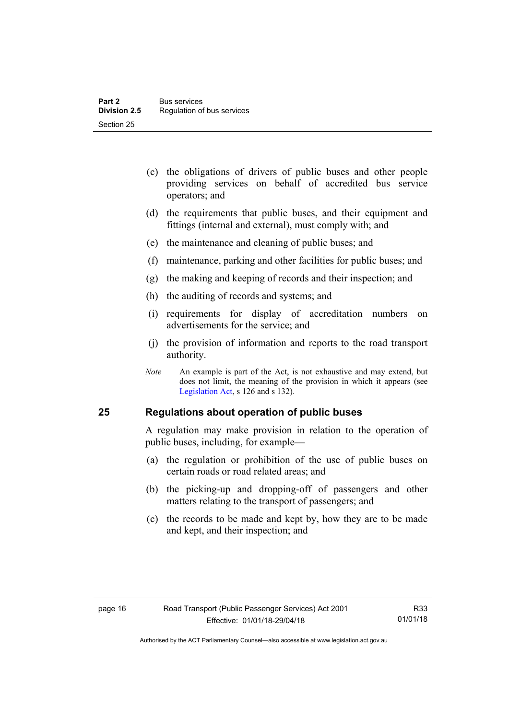- (c) the obligations of drivers of public buses and other people providing services on behalf of accredited bus service operators; and
- (d) the requirements that public buses, and their equipment and fittings (internal and external), must comply with; and
- (e) the maintenance and cleaning of public buses; and
- (f) maintenance, parking and other facilities for public buses; and
- (g) the making and keeping of records and their inspection; and
- (h) the auditing of records and systems; and
- (i) requirements for display of accreditation numbers on advertisements for the service; and
- (j) the provision of information and reports to the road transport authority.
- *Note* An example is part of the Act, is not exhaustive and may extend, but does not limit, the meaning of the provision in which it appears (see [Legislation Act,](http://www.legislation.act.gov.au/a/2001-14) s 126 and s 132).

#### <span id="page-25-0"></span>**25 Regulations about operation of public buses**

A regulation may make provision in relation to the operation of public buses, including, for example—

- (a) the regulation or prohibition of the use of public buses on certain roads or road related areas; and
- (b) the picking-up and dropping-off of passengers and other matters relating to the transport of passengers; and
- (c) the records to be made and kept by, how they are to be made and kept, and their inspection; and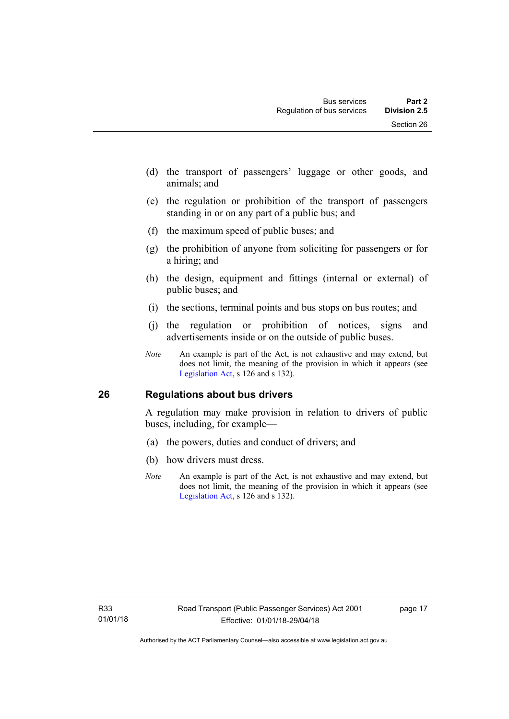- (d) the transport of passengers' luggage or other goods, and animals; and
- (e) the regulation or prohibition of the transport of passengers standing in or on any part of a public bus; and
- (f) the maximum speed of public buses; and
- (g) the prohibition of anyone from soliciting for passengers or for a hiring; and
- (h) the design, equipment and fittings (internal or external) of public buses; and
- (i) the sections, terminal points and bus stops on bus routes; and
- (j) the regulation or prohibition of notices, signs and advertisements inside or on the outside of public buses.
- *Note* An example is part of the Act, is not exhaustive and may extend, but does not limit, the meaning of the provision in which it appears (see [Legislation Act,](http://www.legislation.act.gov.au/a/2001-14) s 126 and s 132).

## <span id="page-26-0"></span>**26 Regulations about bus drivers**

A regulation may make provision in relation to drivers of public buses, including, for example—

- (a) the powers, duties and conduct of drivers; and
- (b) how drivers must dress.
- *Note* An example is part of the Act, is not exhaustive and may extend, but does not limit, the meaning of the provision in which it appears (see [Legislation Act,](http://www.legislation.act.gov.au/a/2001-14) s 126 and s 132).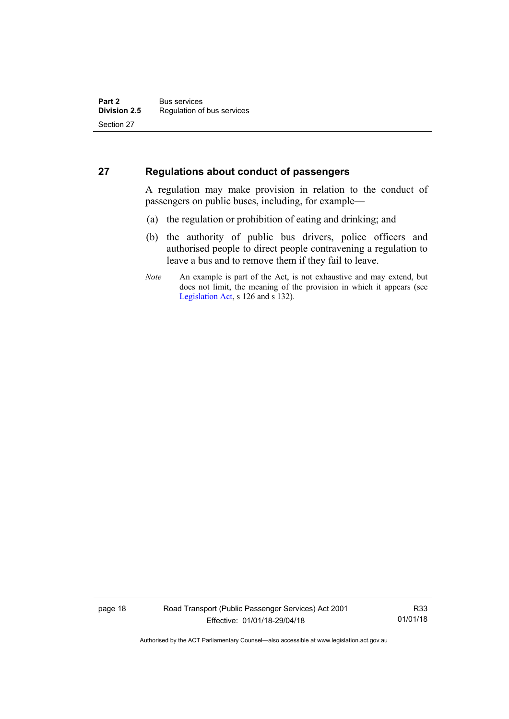#### <span id="page-27-0"></span>**27 Regulations about conduct of passengers**

A regulation may make provision in relation to the conduct of passengers on public buses, including, for example—

- (a) the regulation or prohibition of eating and drinking; and
- (b) the authority of public bus drivers, police officers and authorised people to direct people contravening a regulation to leave a bus and to remove them if they fail to leave.
- *Note* An example is part of the Act, is not exhaustive and may extend, but does not limit, the meaning of the provision in which it appears (see [Legislation Act,](http://www.legislation.act.gov.au/a/2001-14) s 126 and s 132).

page 18 Road Transport (Public Passenger Services) Act 2001 Effective: 01/01/18-29/04/18

R33 01/01/18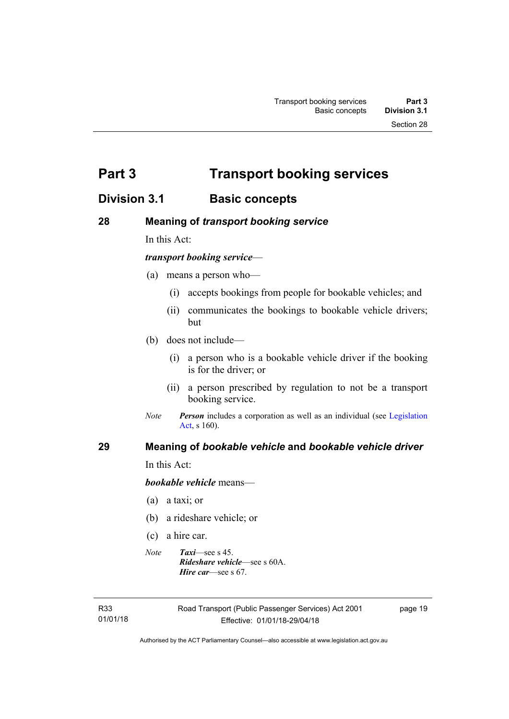<span id="page-28-0"></span>**Part 3 Transport booking services** 

## <span id="page-28-1"></span>**Division 3.1 Basic concepts**

## <span id="page-28-2"></span>**28 Meaning of** *transport booking service*

In this Act:

#### *transport booking service*—

- (a) means a person who—
	- (i) accepts bookings from people for bookable vehicles; and
	- (ii) communicates the bookings to bookable vehicle drivers; but
- (b) does not include—
	- (i) a person who is a bookable vehicle driver if the booking is for the driver; or
	- (ii) a person prescribed by regulation to not be a transport booking service.
- *Note Person* includes a corporation as well as an individual (see Legislation [Act](http://www.legislation.act.gov.au/a/2001-14), s 160).

#### <span id="page-28-3"></span>**29 Meaning of** *bookable vehicle* **and** *bookable vehicle driver*

In this Act:

*bookable vehicle* means—

- (a) a taxi; or
- (b) a rideshare vehicle; or
- (c) a hire car.
- *Note Taxi*—see s 45. *Rideshare vehicle*—see s 60A. *Hire car*—see s 67.

R33 01/01/18 page 19

Authorised by the ACT Parliamentary Counsel—also accessible at www.legislation.act.gov.au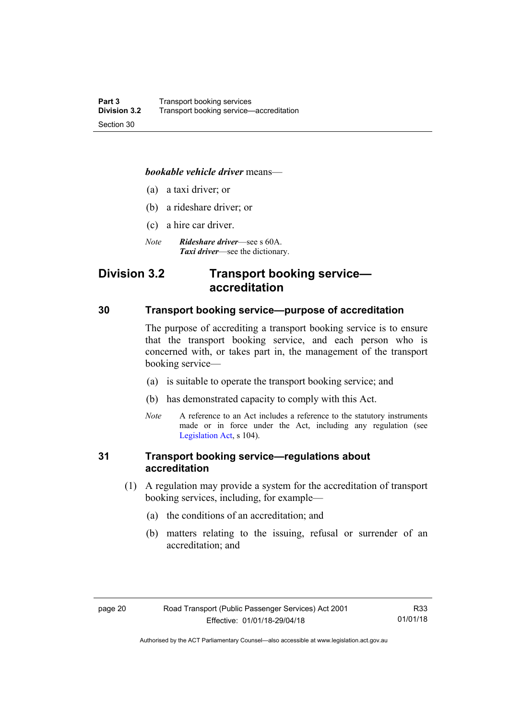#### *bookable vehicle driver* means—

- (a) a taxi driver; or
- (b) a rideshare driver; or
- (c) a hire car driver.
- *Note Rideshare driver*—see s 60A. *Taxi driver*—see the dictionary.

## <span id="page-29-0"></span>**Division 3.2 Transport booking service accreditation**

#### <span id="page-29-1"></span>**30 Transport booking service—purpose of accreditation**

The purpose of accrediting a transport booking service is to ensure that the transport booking service, and each person who is concerned with, or takes part in, the management of the transport booking service—

- (a) is suitable to operate the transport booking service; and
- (b) has demonstrated capacity to comply with this Act.
- *Note* A reference to an Act includes a reference to the statutory instruments made or in force under the Act, including any regulation (see [Legislation Act,](http://www.legislation.act.gov.au/a/2001-14) s 104).

## <span id="page-29-2"></span>**31 Transport booking service—regulations about accreditation**

- (1) A regulation may provide a system for the accreditation of transport booking services, including, for example—
	- (a) the conditions of an accreditation; and
	- (b) matters relating to the issuing, refusal or surrender of an accreditation; and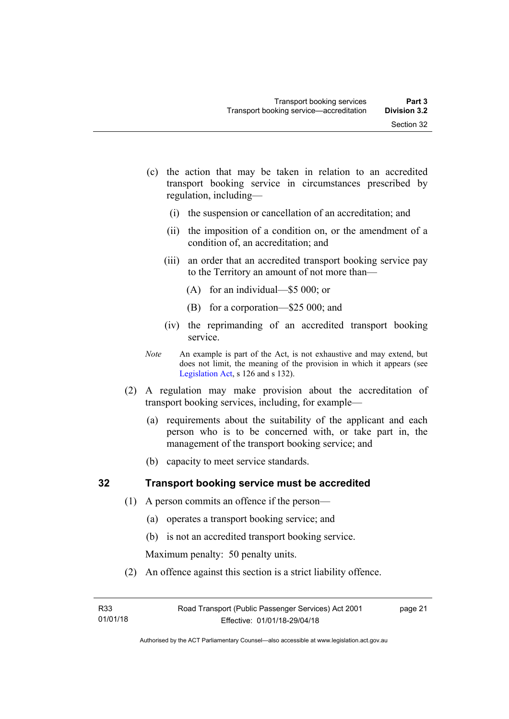- (c) the action that may be taken in relation to an accredited transport booking service in circumstances prescribed by regulation, including—
	- (i) the suspension or cancellation of an accreditation; and
	- (ii) the imposition of a condition on, or the amendment of a condition of, an accreditation; and
	- (iii) an order that an accredited transport booking service pay to the Territory an amount of not more than—
		- (A) for an individual—\$5 000; or
		- (B) for a corporation—\$25 000; and
	- (iv) the reprimanding of an accredited transport booking service.
- *Note* An example is part of the Act, is not exhaustive and may extend, but does not limit, the meaning of the provision in which it appears (see [Legislation Act,](http://www.legislation.act.gov.au/a/2001-14) s 126 and s 132).
- (2) A regulation may make provision about the accreditation of transport booking services, including, for example—
	- (a) requirements about the suitability of the applicant and each person who is to be concerned with, or take part in, the management of the transport booking service; and
	- (b) capacity to meet service standards.

#### <span id="page-30-0"></span>**32 Transport booking service must be accredited**

- (1) A person commits an offence if the person—
	- (a) operates a transport booking service; and
	- (b) is not an accredited transport booking service.

Maximum penalty: 50 penalty units.

(2) An offence against this section is a strict liability offence.

page 21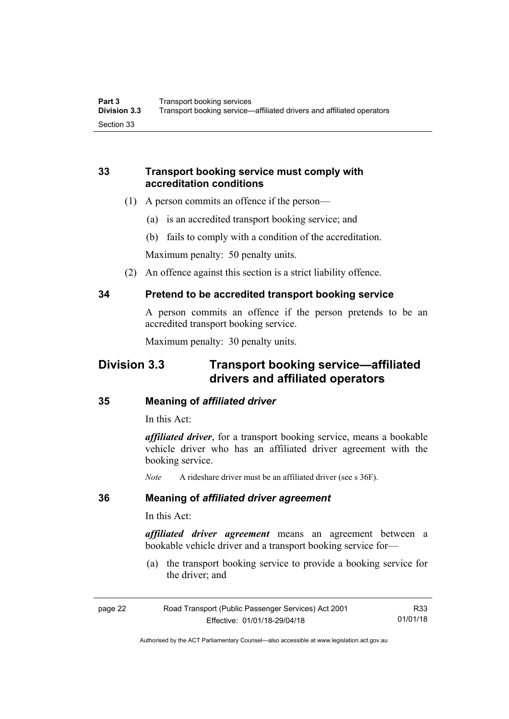## <span id="page-31-0"></span>**33 Transport booking service must comply with accreditation conditions**

- (1) A person commits an offence if the person—
	- (a) is an accredited transport booking service; and
	- (b) fails to comply with a condition of the accreditation.

Maximum penalty: 50 penalty units.

(2) An offence against this section is a strict liability offence.

## <span id="page-31-1"></span>**34 Pretend to be accredited transport booking service**

A person commits an offence if the person pretends to be an accredited transport booking service.

Maximum penalty: 30 penalty units.

## <span id="page-31-2"></span>**Division 3.3 Transport booking service—affiliated drivers and affiliated operators**

#### <span id="page-31-3"></span>**35 Meaning of** *affiliated driver*

In this Act:

*affiliated driver*, for a transport booking service, means a bookable vehicle driver who has an affiliated driver agreement with the booking service.

*Note* A rideshare driver must be an affiliated driver (see s 36F).

#### <span id="page-31-4"></span>**36 Meaning of** *affiliated driver agreement*

In this Act:

*affiliated driver agreement* means an agreement between a bookable vehicle driver and a transport booking service for—

 (a) the transport booking service to provide a booking service for the driver; and

| page 22 | Road Transport (Public Passenger Services) Act 2001 | R33      |
|---------|-----------------------------------------------------|----------|
|         | Effective: 01/01/18-29/04/18                        | 01/01/18 |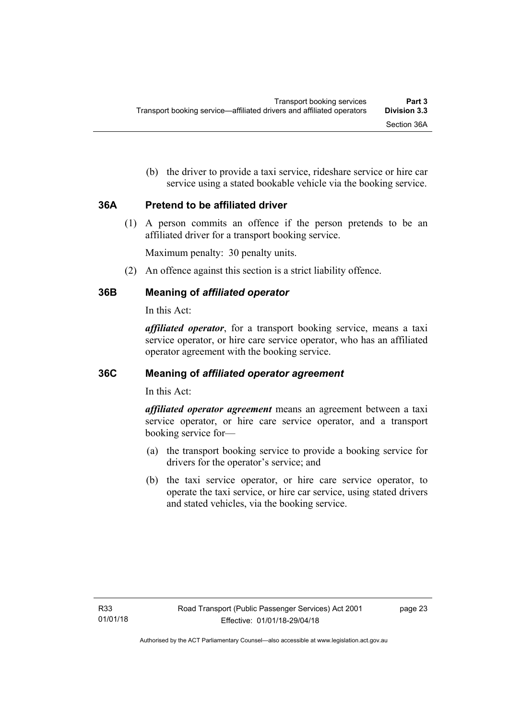(b) the driver to provide a taxi service, rideshare service or hire car service using a stated bookable vehicle via the booking service.

## <span id="page-32-0"></span>**36A Pretend to be affiliated driver**

(1) A person commits an offence if the person pretends to be an affiliated driver for a transport booking service.

Maximum penalty: 30 penalty units.

(2) An offence against this section is a strict liability offence.

## <span id="page-32-1"></span>**36B Meaning of** *affiliated operator*

In this Act:

*affiliated operator*, for a transport booking service, means a taxi service operator, or hire care service operator, who has an affiliated operator agreement with the booking service.

## <span id="page-32-2"></span>**36C Meaning of** *affiliated operator agreement*

In this Act:

*affiliated operator agreement* means an agreement between a taxi service operator, or hire care service operator, and a transport booking service for—

- (a) the transport booking service to provide a booking service for drivers for the operator's service; and
- (b) the taxi service operator, or hire care service operator, to operate the taxi service, or hire car service, using stated drivers and stated vehicles, via the booking service.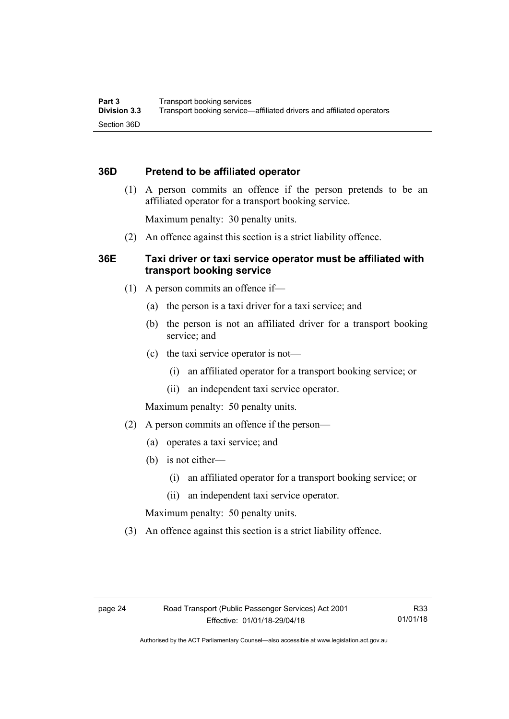## <span id="page-33-0"></span>**36D Pretend to be affiliated operator**

 (1) A person commits an offence if the person pretends to be an affiliated operator for a transport booking service.

Maximum penalty: 30 penalty units.

(2) An offence against this section is a strict liability offence.

## <span id="page-33-1"></span>**36E Taxi driver or taxi service operator must be affiliated with transport booking service**

- (1) A person commits an offence if—
	- (a) the person is a taxi driver for a taxi service; and
	- (b) the person is not an affiliated driver for a transport booking service; and
	- (c) the taxi service operator is not—
		- (i) an affiliated operator for a transport booking service; or
		- (ii) an independent taxi service operator.

Maximum penalty: 50 penalty units.

- (2) A person commits an offence if the person—
	- (a) operates a taxi service; and
	- (b) is not either—
		- (i) an affiliated operator for a transport booking service; or
		- (ii) an independent taxi service operator.

Maximum penalty: 50 penalty units.

(3) An offence against this section is a strict liability offence.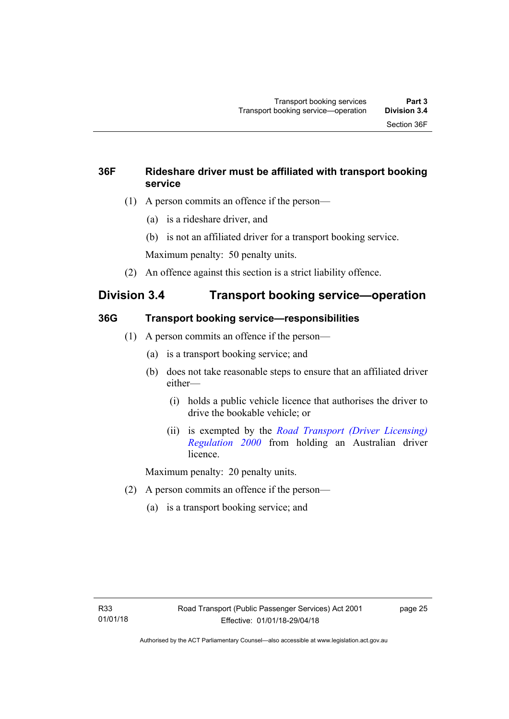## <span id="page-34-0"></span>**36F Rideshare driver must be affiliated with transport booking service**

- (1) A person commits an offence if the person—
	- (a) is a rideshare driver, and
	- (b) is not an affiliated driver for a transport booking service.

Maximum penalty: 50 penalty units.

(2) An offence against this section is a strict liability offence.

## <span id="page-34-1"></span>**Division 3.4 Transport booking service—operation**

## <span id="page-34-2"></span>**36G Transport booking service—responsibilities**

- (1) A person commits an offence if the person—
	- (a) is a transport booking service; and
	- (b) does not take reasonable steps to ensure that an affiliated driver either—
		- (i) holds a public vehicle licence that authorises the driver to drive the bookable vehicle; or
		- (ii) is exempted by the *[Road Transport \(Driver Licensing\)](http://www.legislation.act.gov.au/sl/2000-14)  [Regulation 2000](http://www.legislation.act.gov.au/sl/2000-14)* from holding an Australian driver licence.

Maximum penalty: 20 penalty units.

- (2) A person commits an offence if the person—
	- (a) is a transport booking service; and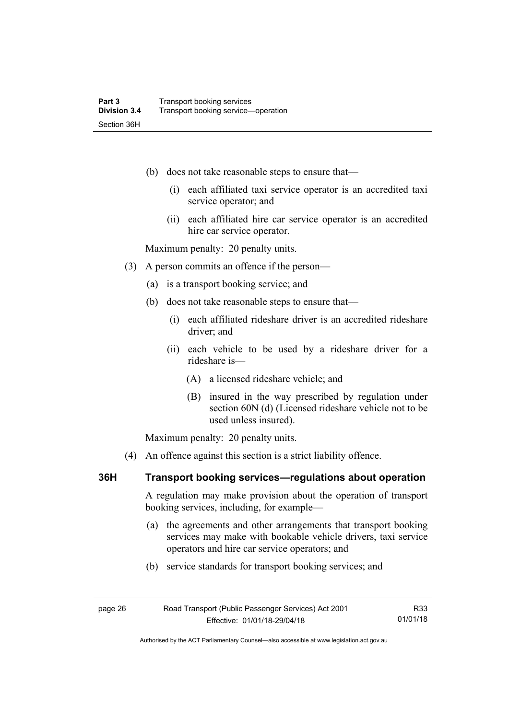- (b) does not take reasonable steps to ensure that—
	- (i) each affiliated taxi service operator is an accredited taxi service operator; and
	- (ii) each affiliated hire car service operator is an accredited hire car service operator.

Maximum penalty: 20 penalty units.

- (3) A person commits an offence if the person—
	- (a) is a transport booking service; and
	- (b) does not take reasonable steps to ensure that—
		- (i) each affiliated rideshare driver is an accredited rideshare driver; and
		- (ii) each vehicle to be used by a rideshare driver for a rideshare is—
			- (A) a licensed rideshare vehicle; and
			- (B) insured in the way prescribed by regulation under section 60N (d) (Licensed rideshare vehicle not to be used unless insured).

Maximum penalty: 20 penalty units.

(4) An offence against this section is a strict liability offence.

#### <span id="page-35-0"></span>**36H Transport booking services—regulations about operation**

A regulation may make provision about the operation of transport booking services, including, for example—

- (a) the agreements and other arrangements that transport booking services may make with bookable vehicle drivers, taxi service operators and hire car service operators; and
- (b) service standards for transport booking services; and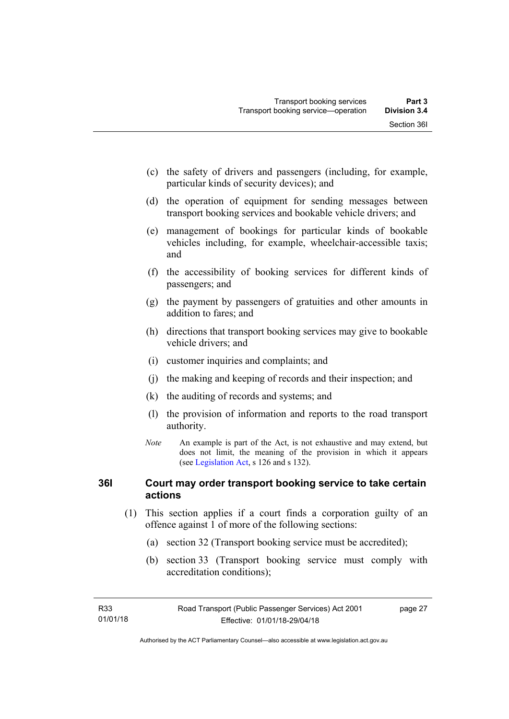- (c) the safety of drivers and passengers (including, for example, particular kinds of security devices); and
- (d) the operation of equipment for sending messages between transport booking services and bookable vehicle drivers; and
- (e) management of bookings for particular kinds of bookable vehicles including, for example, wheelchair-accessible taxis; and
- (f) the accessibility of booking services for different kinds of passengers; and
- (g) the payment by passengers of gratuities and other amounts in addition to fares; and
- (h) directions that transport booking services may give to bookable vehicle drivers; and
- (i) customer inquiries and complaints; and
- (j) the making and keeping of records and their inspection; and
- (k) the auditing of records and systems; and
- (l) the provision of information and reports to the road transport authority.
- *Note* An example is part of the Act, is not exhaustive and may extend, but does not limit, the meaning of the provision in which it appears (see [Legislation Act,](http://www.legislation.act.gov.au/a/2001-14) s 126 and s 132).

### **36I Court may order transport booking service to take certain actions**

- (1) This section applies if a court finds a corporation guilty of an offence against 1 of more of the following sections:
	- (a) section 32 (Transport booking service must be accredited);
	- (b) section 33 (Transport booking service must comply with accreditation conditions);

page 27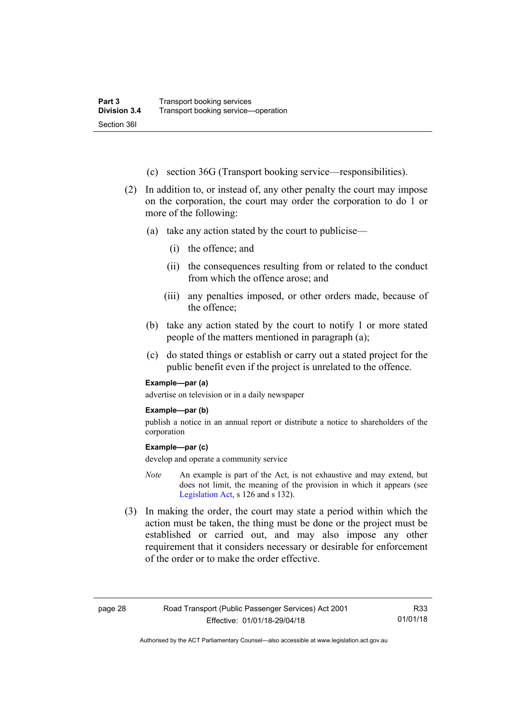- (c) section 36G (Transport booking service—responsibilities).
- (2) In addition to, or instead of, any other penalty the court may impose on the corporation, the court may order the corporation to do 1 or more of the following:
	- (a) take any action stated by the court to publicise—
		- (i) the offence; and
		- (ii) the consequences resulting from or related to the conduct from which the offence arose; and
		- (iii) any penalties imposed, or other orders made, because of the offence;
	- (b) take any action stated by the court to notify 1 or more stated people of the matters mentioned in paragraph (a);
	- (c) do stated things or establish or carry out a stated project for the public benefit even if the project is unrelated to the offence.

#### **Example—par (a)**

advertise on television or in a daily newspaper

#### **Example—par (b)**

publish a notice in an annual report or distribute a notice to shareholders of the corporation

#### **Example—par (c)**

develop and operate a community service

- *Note* An example is part of the Act, is not exhaustive and may extend, but does not limit, the meaning of the provision in which it appears (see [Legislation Act,](http://www.legislation.act.gov.au/a/2001-14) s 126 and s 132).
- (3) In making the order, the court may state a period within which the action must be taken, the thing must be done or the project must be established or carried out, and may also impose any other requirement that it considers necessary or desirable for enforcement of the order or to make the order effective.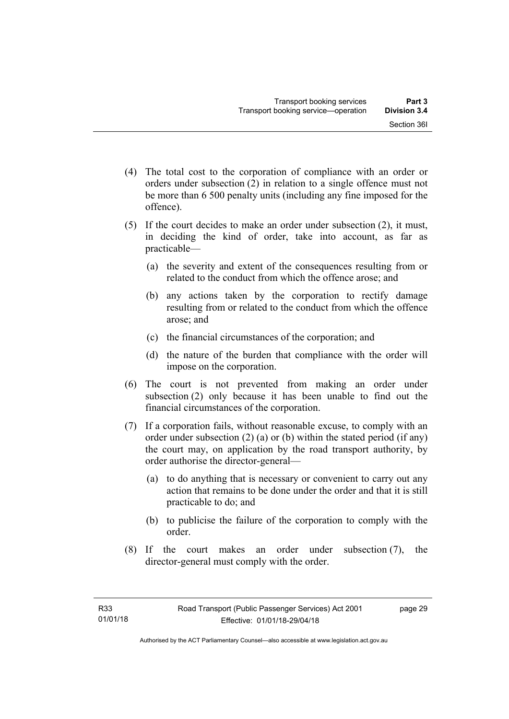- (4) The total cost to the corporation of compliance with an order or orders under subsection (2) in relation to a single offence must not be more than 6 500 penalty units (including any fine imposed for the offence).
- (5) If the court decides to make an order under subsection (2), it must, in deciding the kind of order, take into account, as far as practicable—
	- (a) the severity and extent of the consequences resulting from or related to the conduct from which the offence arose; and
	- (b) any actions taken by the corporation to rectify damage resulting from or related to the conduct from which the offence arose; and
	- (c) the financial circumstances of the corporation; and
	- (d) the nature of the burden that compliance with the order will impose on the corporation.
- (6) The court is not prevented from making an order under subsection (2) only because it has been unable to find out the financial circumstances of the corporation.
- (7) If a corporation fails, without reasonable excuse, to comply with an order under subsection (2) (a) or (b) within the stated period (if any) the court may, on application by the road transport authority, by order authorise the director-general—
	- (a) to do anything that is necessary or convenient to carry out any action that remains to be done under the order and that it is still practicable to do; and
	- (b) to publicise the failure of the corporation to comply with the order.
- (8) If the court makes an order under subsection (7), the director-general must comply with the order.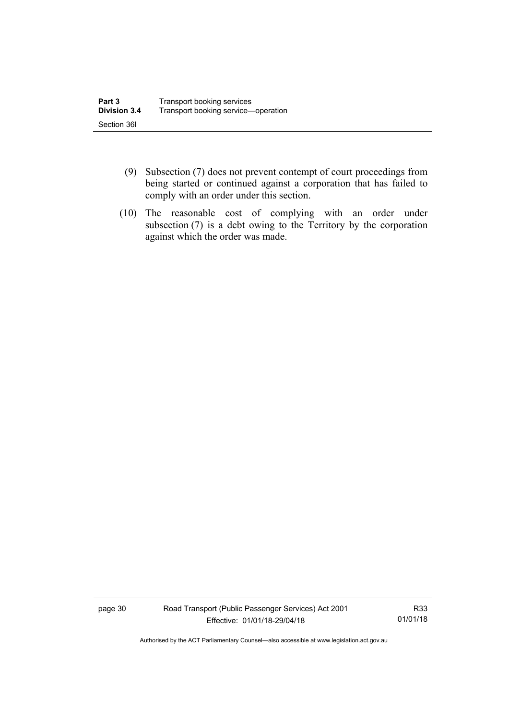- (9) Subsection (7) does not prevent contempt of court proceedings from being started or continued against a corporation that has failed to comply with an order under this section.
- (10) The reasonable cost of complying with an order under subsection (7) is a debt owing to the Territory by the corporation against which the order was made.

page 30 Road Transport (Public Passenger Services) Act 2001 Effective: 01/01/18-29/04/18

R33 01/01/18

Authorised by the ACT Parliamentary Counsel—also accessible at www.legislation.act.gov.au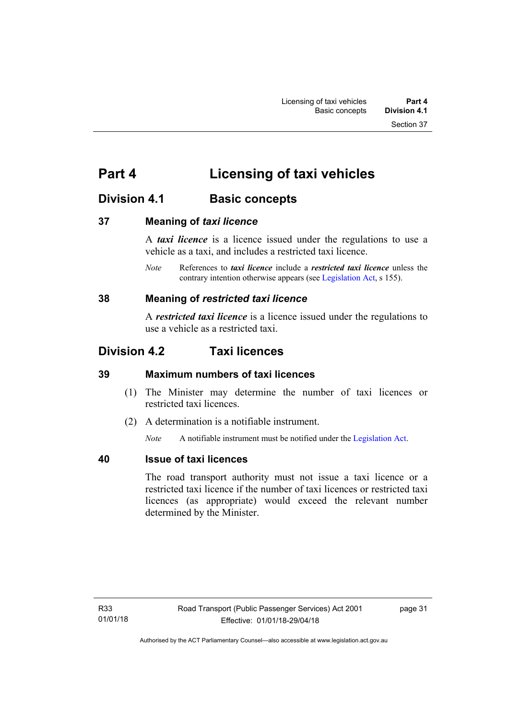# **Part 4 Licensing of taxi vehicles**

# **Division 4.1 Basic concepts**

### **37 Meaning of** *taxi licence*

A *taxi licence* is a licence issued under the regulations to use a vehicle as a taxi, and includes a restricted taxi licence.

*Note* References to *taxi licence* include a *restricted taxi licence* unless the contrary intention otherwise appears (see [Legislation Act,](http://www.legislation.act.gov.au/a/2001-14) s 155).

### **38 Meaning of** *restricted taxi licence*

A *restricted taxi licence* is a licence issued under the regulations to use a vehicle as a restricted taxi.

# **Division 4.2 Taxi licences**

### **39 Maximum numbers of taxi licences**

- (1) The Minister may determine the number of taxi licences or restricted taxi licences.
- (2) A determination is a notifiable instrument.

*Note* A notifiable instrument must be notified under the [Legislation Act](http://www.legislation.act.gov.au/a/2001-14).

### **40 Issue of taxi licences**

The road transport authority must not issue a taxi licence or a restricted taxi licence if the number of taxi licences or restricted taxi licences (as appropriate) would exceed the relevant number determined by the Minister.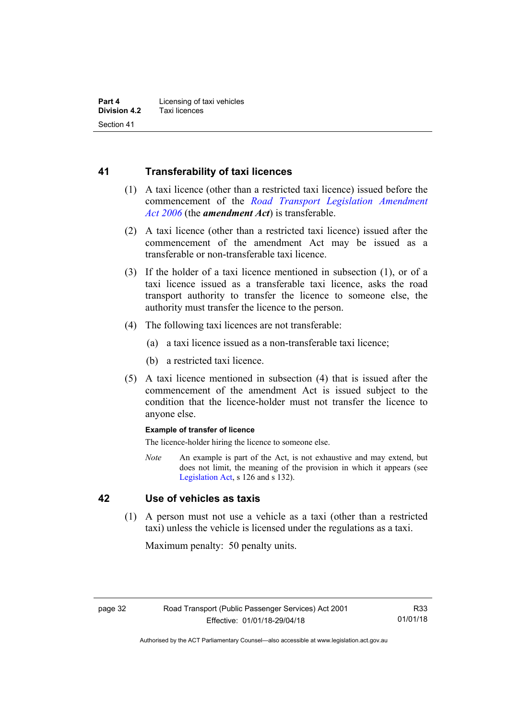### **41 Transferability of taxi licences**

- (1) A taxi licence (other than a restricted taxi licence) issued before the commencement of the *[Road Transport Legislation Amendment](http://www.legislation.act.gov.au/a/2006-26)  [Act 2006](http://www.legislation.act.gov.au/a/2006-26)* (the *amendment Act*) is transferable.
- (2) A taxi licence (other than a restricted taxi licence) issued after the commencement of the amendment Act may be issued as a transferable or non-transferable taxi licence.
- (3) If the holder of a taxi licence mentioned in subsection (1), or of a taxi licence issued as a transferable taxi licence, asks the road transport authority to transfer the licence to someone else, the authority must transfer the licence to the person.
- (4) The following taxi licences are not transferable:
	- (a) a taxi licence issued as a non-transferable taxi licence;
	- (b) a restricted taxi licence.
- (5) A taxi licence mentioned in subsection (4) that is issued after the commencement of the amendment Act is issued subject to the condition that the licence-holder must not transfer the licence to anyone else.

#### **Example of transfer of licence**

The licence-holder hiring the licence to someone else.

*Note* An example is part of the Act, is not exhaustive and may extend, but does not limit, the meaning of the provision in which it appears (see [Legislation Act,](http://www.legislation.act.gov.au/a/2001-14) s 126 and s 132).

### **42 Use of vehicles as taxis**

 (1) A person must not use a vehicle as a taxi (other than a restricted taxi) unless the vehicle is licensed under the regulations as a taxi.

Maximum penalty: 50 penalty units.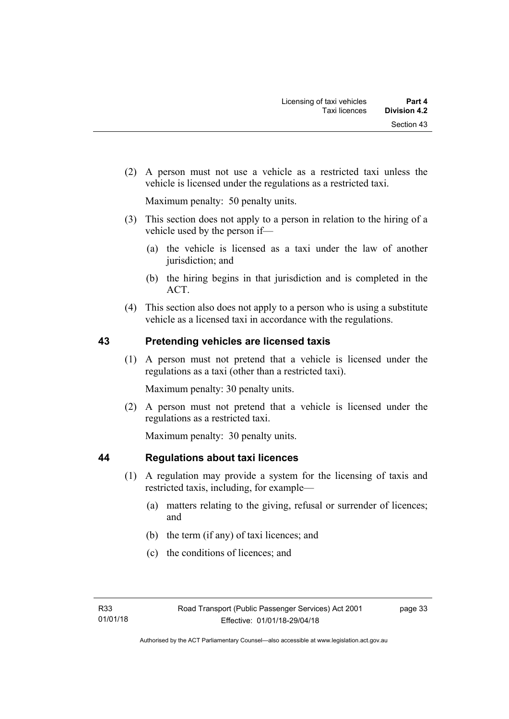(2) A person must not use a vehicle as a restricted taxi unless the vehicle is licensed under the regulations as a restricted taxi.

Maximum penalty: 50 penalty units.

- (3) This section does not apply to a person in relation to the hiring of a vehicle used by the person if—
	- (a) the vehicle is licensed as a taxi under the law of another jurisdiction; and
	- (b) the hiring begins in that jurisdiction and is completed in the ACT.
- (4) This section also does not apply to a person who is using a substitute vehicle as a licensed taxi in accordance with the regulations.

### **43 Pretending vehicles are licensed taxis**

(1) A person must not pretend that a vehicle is licensed under the regulations as a taxi (other than a restricted taxi).

Maximum penalty: 30 penalty units.

 (2) A person must not pretend that a vehicle is licensed under the regulations as a restricted taxi.

Maximum penalty: 30 penalty units.

### **44 Regulations about taxi licences**

- (1) A regulation may provide a system for the licensing of taxis and restricted taxis, including, for example—
	- (a) matters relating to the giving, refusal or surrender of licences; and
	- (b) the term (if any) of taxi licences; and
	- (c) the conditions of licences; and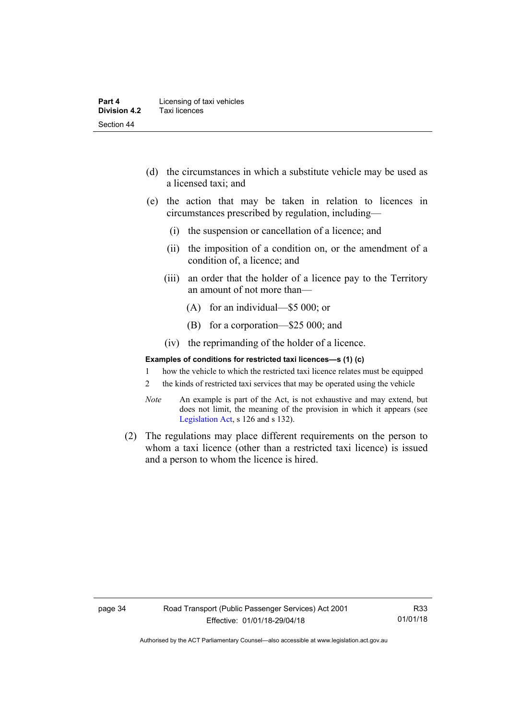- (d) the circumstances in which a substitute vehicle may be used as a licensed taxi; and
- (e) the action that may be taken in relation to licences in circumstances prescribed by regulation, including—
	- (i) the suspension or cancellation of a licence; and
	- (ii) the imposition of a condition on, or the amendment of a condition of, a licence; and
	- (iii) an order that the holder of a licence pay to the Territory an amount of not more than—
		- (A) for an individual—\$5 000; or
		- (B) for a corporation—\$25 000; and
	- (iv) the reprimanding of the holder of a licence.

#### **Examples of conditions for restricted taxi licences—s (1) (c)**

- 1 how the vehicle to which the restricted taxi licence relates must be equipped
- 2 the kinds of restricted taxi services that may be operated using the vehicle
- *Note* An example is part of the Act, is not exhaustive and may extend, but does not limit, the meaning of the provision in which it appears (see [Legislation Act,](http://www.legislation.act.gov.au/a/2001-14) s 126 and s 132).
- (2) The regulations may place different requirements on the person to whom a taxi licence (other than a restricted taxi licence) is issued and a person to whom the licence is hired.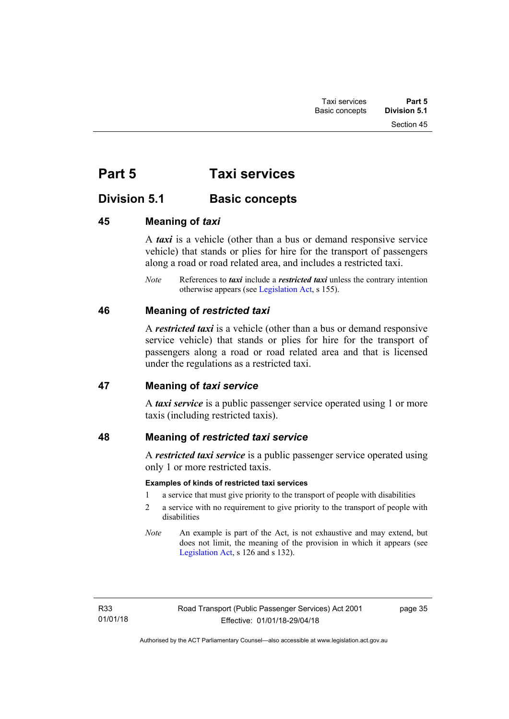Section 45

# **Part 5 Taxi services**

# **Division 5.1 Basic concepts**

### **45 Meaning of** *taxi*

A *taxi* is a vehicle (other than a bus or demand responsive service vehicle) that stands or plies for hire for the transport of passengers along a road or road related area, and includes a restricted taxi.

*Note* References to *taxi* include a *restricted taxi* unless the contrary intention otherwise appears (see [Legislation Act,](http://www.legislation.act.gov.au/a/2001-14) s 155).

### **46 Meaning of** *restricted taxi*

A *restricted taxi* is a vehicle (other than a bus or demand responsive service vehicle) that stands or plies for hire for the transport of passengers along a road or road related area and that is licensed under the regulations as a restricted taxi.

### **47 Meaning of** *taxi service*

A *taxi service* is a public passenger service operated using 1 or more taxis (including restricted taxis).

### **48 Meaning of** *restricted taxi service*

A *restricted taxi service* is a public passenger service operated using only 1 or more restricted taxis.

### **Examples of kinds of restricted taxi services**

- 1 a service that must give priority to the transport of people with disabilities
- 2 a service with no requirement to give priority to the transport of people with disabilities
- *Note* An example is part of the Act, is not exhaustive and may extend, but does not limit, the meaning of the provision in which it appears (see [Legislation Act,](http://www.legislation.act.gov.au/a/2001-14) s 126 and s 132).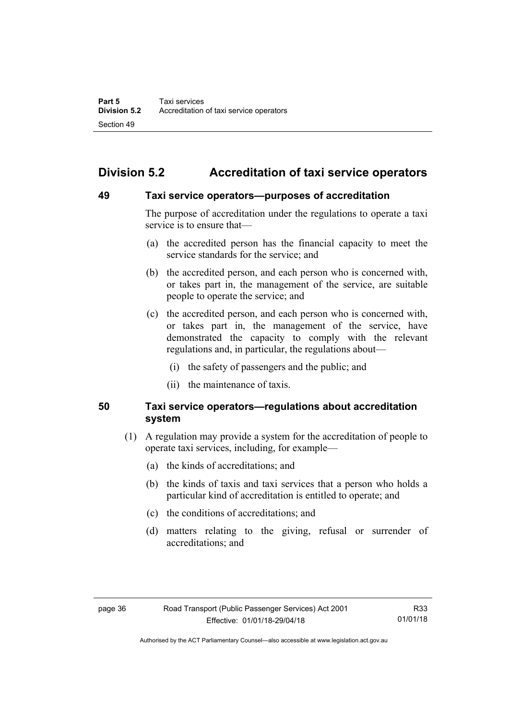# **Division 5.2 Accreditation of taxi service operators**

### **49 Taxi service operators—purposes of accreditation**

The purpose of accreditation under the regulations to operate a taxi service is to ensure that—

- (a) the accredited person has the financial capacity to meet the service standards for the service; and
- (b) the accredited person, and each person who is concerned with, or takes part in, the management of the service, are suitable people to operate the service; and
- (c) the accredited person, and each person who is concerned with, or takes part in, the management of the service, have demonstrated the capacity to comply with the relevant regulations and, in particular, the regulations about—
	- (i) the safety of passengers and the public; and
	- (ii) the maintenance of taxis.

### **50 Taxi service operators—regulations about accreditation system**

- (1) A regulation may provide a system for the accreditation of people to operate taxi services, including, for example—
	- (a) the kinds of accreditations; and
	- (b) the kinds of taxis and taxi services that a person who holds a particular kind of accreditation is entitled to operate; and
	- (c) the conditions of accreditations; and
	- (d) matters relating to the giving, refusal or surrender of accreditations; and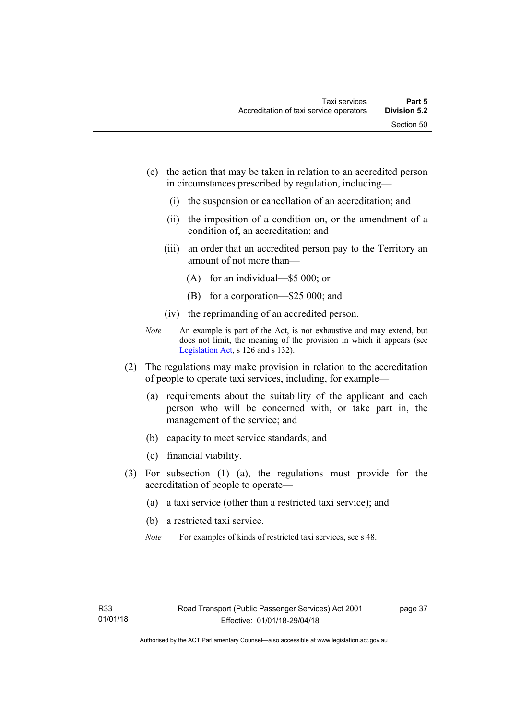- (e) the action that may be taken in relation to an accredited person in circumstances prescribed by regulation, including—
	- (i) the suspension or cancellation of an accreditation; and
	- (ii) the imposition of a condition on, or the amendment of a condition of, an accreditation; and
	- (iii) an order that an accredited person pay to the Territory an amount of not more than—
		- (A) for an individual—\$5 000; or
		- (B) for a corporation—\$25 000; and
	- (iv) the reprimanding of an accredited person.
- *Note* An example is part of the Act, is not exhaustive and may extend, but does not limit, the meaning of the provision in which it appears (see [Legislation Act,](http://www.legislation.act.gov.au/a/2001-14) s 126 and s 132).
- (2) The regulations may make provision in relation to the accreditation of people to operate taxi services, including, for example—
	- (a) requirements about the suitability of the applicant and each person who will be concerned with, or take part in, the management of the service; and
	- (b) capacity to meet service standards; and
	- (c) financial viability.
- (3) For subsection (1) (a), the regulations must provide for the accreditation of people to operate—
	- (a) a taxi service (other than a restricted taxi service); and
	- (b) a restricted taxi service.
	- *Note* For examples of kinds of restricted taxi services, see s 48.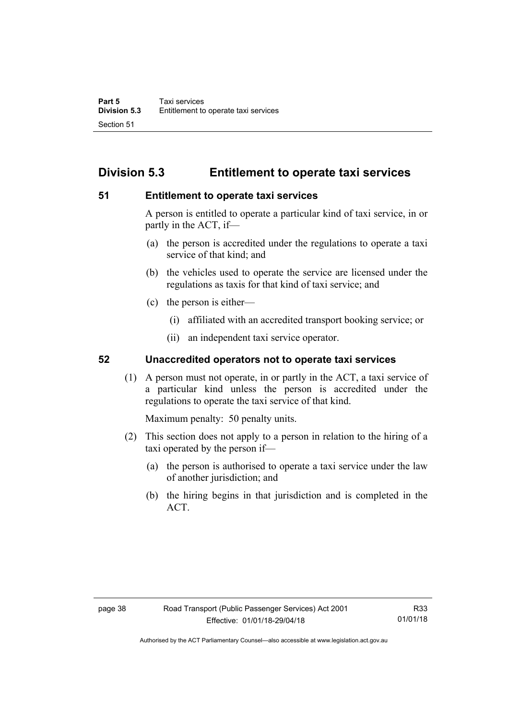# **Division 5.3 Entitlement to operate taxi services**

### **51 Entitlement to operate taxi services**

A person is entitled to operate a particular kind of taxi service, in or partly in the ACT, if—

- (a) the person is accredited under the regulations to operate a taxi service of that kind; and
- (b) the vehicles used to operate the service are licensed under the regulations as taxis for that kind of taxi service; and
- (c) the person is either—
	- (i) affiliated with an accredited transport booking service; or
	- (ii) an independent taxi service operator.

### **52 Unaccredited operators not to operate taxi services**

(1) A person must not operate, in or partly in the ACT, a taxi service of a particular kind unless the person is accredited under the regulations to operate the taxi service of that kind.

Maximum penalty: 50 penalty units.

- (2) This section does not apply to a person in relation to the hiring of a taxi operated by the person if—
	- (a) the person is authorised to operate a taxi service under the law of another jurisdiction; and
	- (b) the hiring begins in that jurisdiction and is completed in the ACT.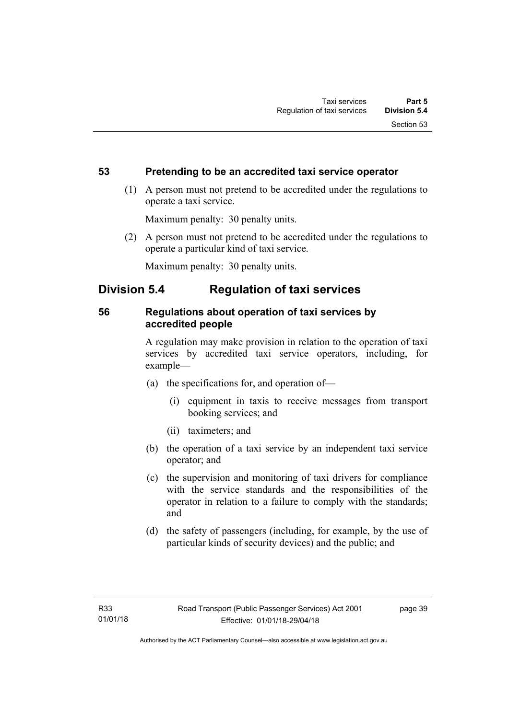### **53 Pretending to be an accredited taxi service operator**

 (1) A person must not pretend to be accredited under the regulations to operate a taxi service.

Maximum penalty: 30 penalty units.

 (2) A person must not pretend to be accredited under the regulations to operate a particular kind of taxi service.

Maximum penalty: 30 penalty units.

## **Division 5.4 Regulation of taxi services**

### **56 Regulations about operation of taxi services by accredited people**

A regulation may make provision in relation to the operation of taxi services by accredited taxi service operators, including, for example—

- (a) the specifications for, and operation of—
	- (i) equipment in taxis to receive messages from transport booking services; and
	- (ii) taximeters; and
- (b) the operation of a taxi service by an independent taxi service operator; and
- (c) the supervision and monitoring of taxi drivers for compliance with the service standards and the responsibilities of the operator in relation to a failure to comply with the standards; and
- (d) the safety of passengers (including, for example, by the use of particular kinds of security devices) and the public; and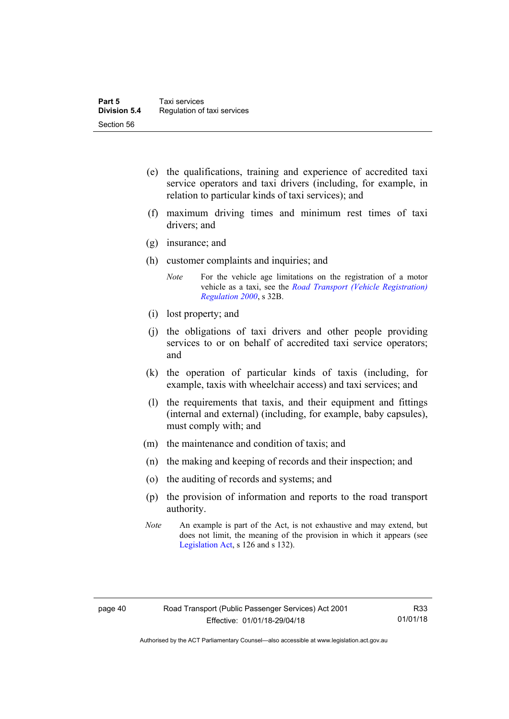- (e) the qualifications, training and experience of accredited taxi service operators and taxi drivers (including, for example, in relation to particular kinds of taxi services); and
- (f) maximum driving times and minimum rest times of taxi drivers; and
- (g) insurance; and
- (h) customer complaints and inquiries; and
	- *Note* For the vehicle age limitations on the registration of a motor vehicle as a taxi, see the *[Road Transport \(Vehicle Registration\)](http://www.legislation.act.gov.au/sl/2000-12)  [Regulation 2000](http://www.legislation.act.gov.au/sl/2000-12)*, s 32B.
- (i) lost property; and
- (j) the obligations of taxi drivers and other people providing services to or on behalf of accredited taxi service operators; and
- (k) the operation of particular kinds of taxis (including, for example, taxis with wheelchair access) and taxi services; and
- (l) the requirements that taxis, and their equipment and fittings (internal and external) (including, for example, baby capsules), must comply with; and
- (m) the maintenance and condition of taxis; and
- (n) the making and keeping of records and their inspection; and
- (o) the auditing of records and systems; and
- (p) the provision of information and reports to the road transport authority.
- *Note* An example is part of the Act, is not exhaustive and may extend, but does not limit, the meaning of the provision in which it appears (see [Legislation Act,](http://www.legislation.act.gov.au/a/2001-14) s 126 and s 132).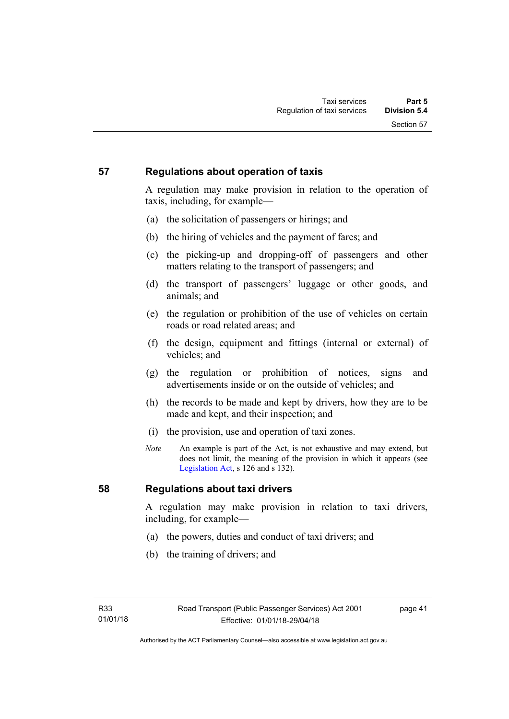### **57 Regulations about operation of taxis**

A regulation may make provision in relation to the operation of taxis, including, for example—

- (a) the solicitation of passengers or hirings; and
- (b) the hiring of vehicles and the payment of fares; and
- (c) the picking-up and dropping-off of passengers and other matters relating to the transport of passengers; and
- (d) the transport of passengers' luggage or other goods, and animals; and
- (e) the regulation or prohibition of the use of vehicles on certain roads or road related areas; and
- (f) the design, equipment and fittings (internal or external) of vehicles; and
- (g) the regulation or prohibition of notices, signs and advertisements inside or on the outside of vehicles; and
- (h) the records to be made and kept by drivers, how they are to be made and kept, and their inspection; and
- (i) the provision, use and operation of taxi zones.
- *Note* An example is part of the Act, is not exhaustive and may extend, but does not limit, the meaning of the provision in which it appears (see [Legislation Act,](http://www.legislation.act.gov.au/a/2001-14) s 126 and s 132).

### **58 Regulations about taxi drivers**

A regulation may make provision in relation to taxi drivers, including, for example—

- (a) the powers, duties and conduct of taxi drivers; and
- (b) the training of drivers; and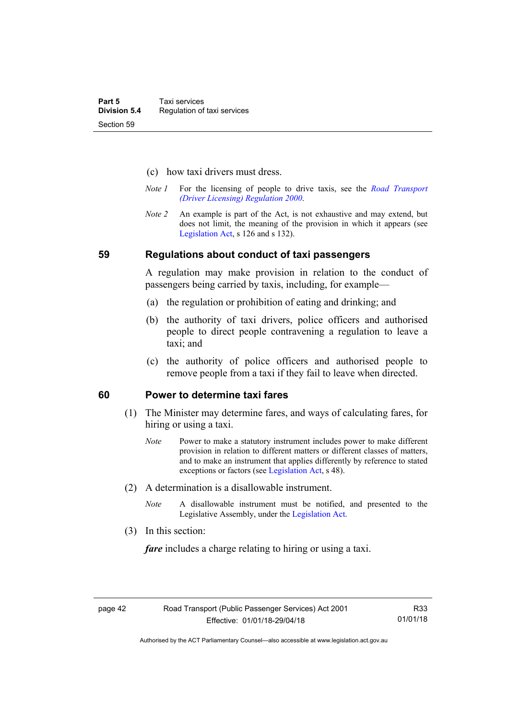- (c) how taxi drivers must dress.
- *Note 1* For the licensing of people to drive taxis, see the *[Road Transport](http://www.legislation.act.gov.au/sl/2000-14)  [\(Driver Licensing\) Regulation 2000](http://www.legislation.act.gov.au/sl/2000-14)*.
- *Note 2* An example is part of the Act, is not exhaustive and may extend, but does not limit, the meaning of the provision in which it appears (see [Legislation Act,](http://www.legislation.act.gov.au/a/2001-14) s 126 and s 132).

#### **59 Regulations about conduct of taxi passengers**

A regulation may make provision in relation to the conduct of passengers being carried by taxis, including, for example—

- (a) the regulation or prohibition of eating and drinking; and
- (b) the authority of taxi drivers, police officers and authorised people to direct people contravening a regulation to leave a taxi; and
- (c) the authority of police officers and authorised people to remove people from a taxi if they fail to leave when directed.

### **60 Power to determine taxi fares**

- (1) The Minister may determine fares, and ways of calculating fares, for hiring or using a taxi.
	- *Note* Power to make a statutory instrument includes power to make different provision in relation to different matters or different classes of matters, and to make an instrument that applies differently by reference to stated exceptions or factors (see [Legislation Act](http://www.legislation.act.gov.au/a/2001-14), s 48).
- (2) A determination is a disallowable instrument.
	- *Note* A disallowable instrument must be notified, and presented to the Legislative Assembly, under the [Legislation Act.](http://www.legislation.act.gov.au/a/2001-14)
- (3) In this section:

*fare* includes a charge relating to hiring or using a taxi.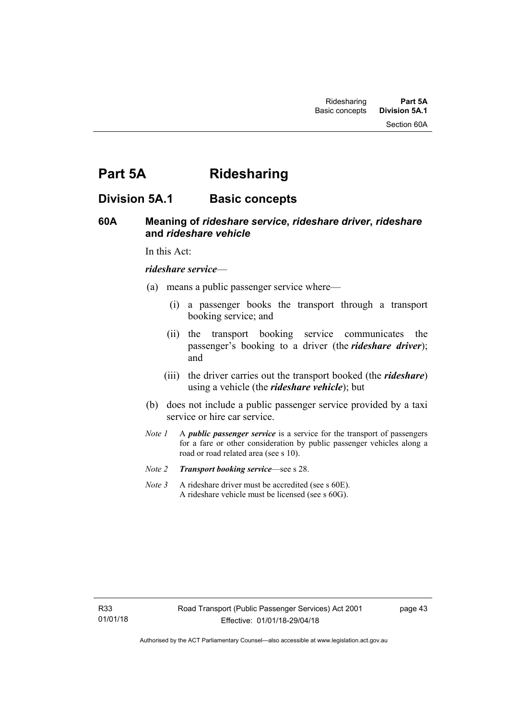# **Part 5A Ridesharing**

## **Division 5A.1 Basic concepts**

### **60A Meaning of** *rideshare service***,** *rideshare driver***,** *rideshare* **and** *rideshare vehicle*

In this Act:

#### *rideshare service*—

- (a) means a public passenger service where—
	- (i) a passenger books the transport through a transport booking service; and
	- (ii) the transport booking service communicates the passenger's booking to a driver (the *rideshare driver*); and
	- (iii) the driver carries out the transport booked (the *rideshare*) using a vehicle (the *rideshare vehicle*); but
- (b) does not include a public passenger service provided by a taxi service or hire car service.
- *Note 1* A *public passenger service* is a service for the transport of passengers for a fare or other consideration by public passenger vehicles along a road or road related area (see s 10).
- *Note 2 Transport booking service*—see s 28.
- *Note* 3 A rideshare driver must be accredited (see s 60E). A rideshare vehicle must be licensed (see s 60G).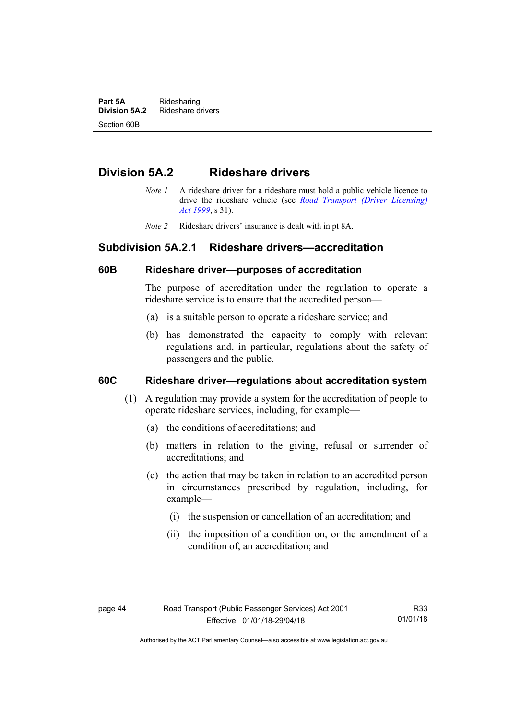**Part 5A** Ridesharing<br>**Division 5A.2** Rideshare d **Division 5A.2** Rideshare drivers Section 60B

## **Division 5A.2 Rideshare drivers**

- *Note 1* A rideshare driver for a rideshare must hold a public vehicle licence to drive the rideshare vehicle (see *[Road Transport \(Driver Licensing\)](http://www.legislation.act.gov.au/a/1999-78)  [Act 1999](http://www.legislation.act.gov.au/a/1999-78)*, s 31).
- *Note 2* Rideshare drivers' insurance is dealt with in pt 8A.

### **Subdivision 5A.2.1 Rideshare drivers—accreditation**

### **60B Rideshare driver—purposes of accreditation**

The purpose of accreditation under the regulation to operate a rideshare service is to ensure that the accredited person—

- (a) is a suitable person to operate a rideshare service; and
- (b) has demonstrated the capacity to comply with relevant regulations and, in particular, regulations about the safety of passengers and the public.

### **60C Rideshare driver—regulations about accreditation system**

- (1) A regulation may provide a system for the accreditation of people to operate rideshare services, including, for example—
	- (a) the conditions of accreditations; and
	- (b) matters in relation to the giving, refusal or surrender of accreditations; and
	- (c) the action that may be taken in relation to an accredited person in circumstances prescribed by regulation, including, for example—
		- (i) the suspension or cancellation of an accreditation; and
		- (ii) the imposition of a condition on, or the amendment of a condition of, an accreditation; and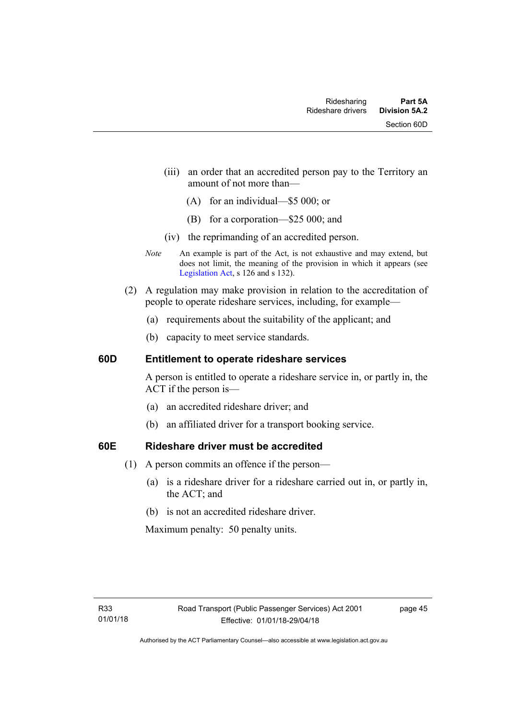- (iii) an order that an accredited person pay to the Territory an amount of not more than—
	- (A) for an individual—\$5 000; or
	- (B) for a corporation—\$25 000; and
- (iv) the reprimanding of an accredited person.
- *Note* An example is part of the Act, is not exhaustive and may extend, but does not limit, the meaning of the provision in which it appears (see [Legislation Act,](http://www.legislation.act.gov.au/a/2001-14) s 126 and s 132).
- (2) A regulation may make provision in relation to the accreditation of people to operate rideshare services, including, for example—
	- (a) requirements about the suitability of the applicant; and
	- (b) capacity to meet service standards.

### **60D Entitlement to operate rideshare services**

A person is entitled to operate a rideshare service in, or partly in, the ACT if the person is—

- (a) an accredited rideshare driver; and
- (b) an affiliated driver for a transport booking service.

### **60E Rideshare driver must be accredited**

- (1) A person commits an offence if the person—
	- (a) is a rideshare driver for a rideshare carried out in, or partly in, the ACT; and
	- (b) is not an accredited rideshare driver.

Maximum penalty: 50 penalty units.

page 45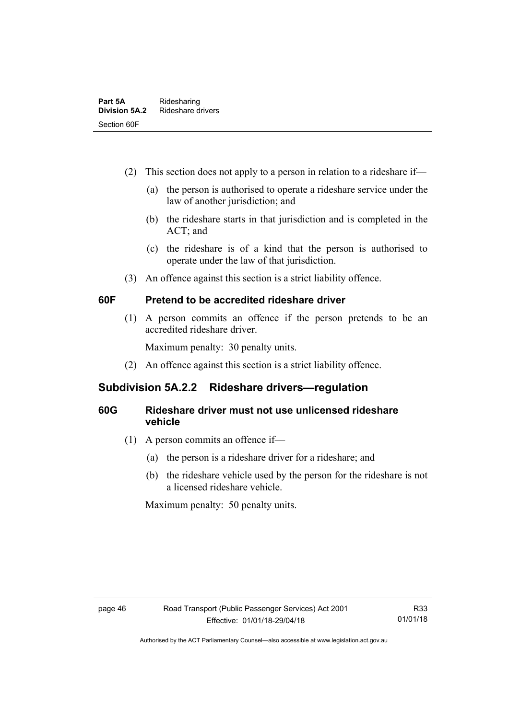- (2) This section does not apply to a person in relation to a rideshare if—
	- (a) the person is authorised to operate a rideshare service under the law of another jurisdiction; and
	- (b) the rideshare starts in that jurisdiction and is completed in the ACT; and
	- (c) the rideshare is of a kind that the person is authorised to operate under the law of that jurisdiction.
- (3) An offence against this section is a strict liability offence.

### **60F Pretend to be accredited rideshare driver**

(1) A person commits an offence if the person pretends to be an accredited rideshare driver.

Maximum penalty: 30 penalty units.

(2) An offence against this section is a strict liability offence.

### **Subdivision 5A.2.2 Rideshare drivers—regulation**

### **60G Rideshare driver must not use unlicensed rideshare vehicle**

- (1) A person commits an offence if—
	- (a) the person is a rideshare driver for a rideshare; and
	- (b) the rideshare vehicle used by the person for the rideshare is not a licensed rideshare vehicle.

Maximum penalty: 50 penalty units.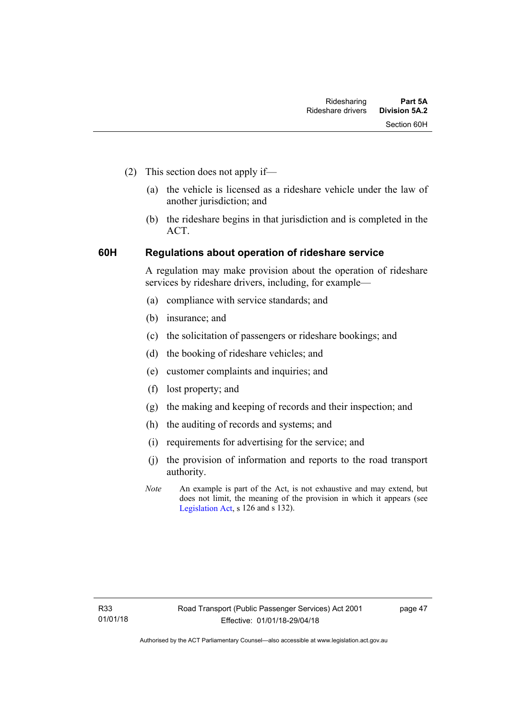- (2) This section does not apply if—
	- (a) the vehicle is licensed as a rideshare vehicle under the law of another jurisdiction; and
	- (b) the rideshare begins in that jurisdiction and is completed in the ACT.

### **60H Regulations about operation of rideshare service**

A regulation may make provision about the operation of rideshare services by rideshare drivers, including, for example—

- (a) compliance with service standards; and
- (b) insurance; and
- (c) the solicitation of passengers or rideshare bookings; and
- (d) the booking of rideshare vehicles; and
- (e) customer complaints and inquiries; and
- (f) lost property; and
- (g) the making and keeping of records and their inspection; and
- (h) the auditing of records and systems; and
- (i) requirements for advertising for the service; and
- (j) the provision of information and reports to the road transport authority.
- *Note* An example is part of the Act, is not exhaustive and may extend, but does not limit, the meaning of the provision in which it appears (see [Legislation Act,](http://www.legislation.act.gov.au/a/2001-14) s 126 and s 132).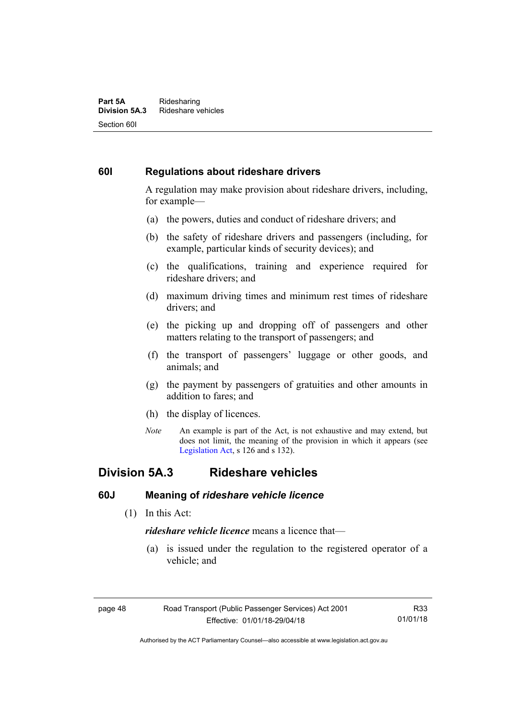#### **Part 5A** Ridesharing<br>**Division 5A.3** Rideshare ve **Division 5A.3** Rideshare vehicles Section 60I

### **60I Regulations about rideshare drivers**

A regulation may make provision about rideshare drivers, including, for example—

- (a) the powers, duties and conduct of rideshare drivers; and
- (b) the safety of rideshare drivers and passengers (including, for example, particular kinds of security devices); and
- (c) the qualifications, training and experience required for rideshare drivers; and
- (d) maximum driving times and minimum rest times of rideshare drivers; and
- (e) the picking up and dropping off of passengers and other matters relating to the transport of passengers; and
- (f) the transport of passengers' luggage or other goods, and animals; and
- (g) the payment by passengers of gratuities and other amounts in addition to fares; and
- (h) the display of licences.
- *Note* An example is part of the Act, is not exhaustive and may extend, but does not limit, the meaning of the provision in which it appears (see [Legislation Act,](http://www.legislation.act.gov.au/a/2001-14) s 126 and s 132).

### **Division 5A.3 Rideshare vehicles**

### **60J Meaning of** *rideshare vehicle licence*

(1) In this Act:

*rideshare vehicle licence* means a licence that—

 (a) is issued under the regulation to the registered operator of a vehicle; and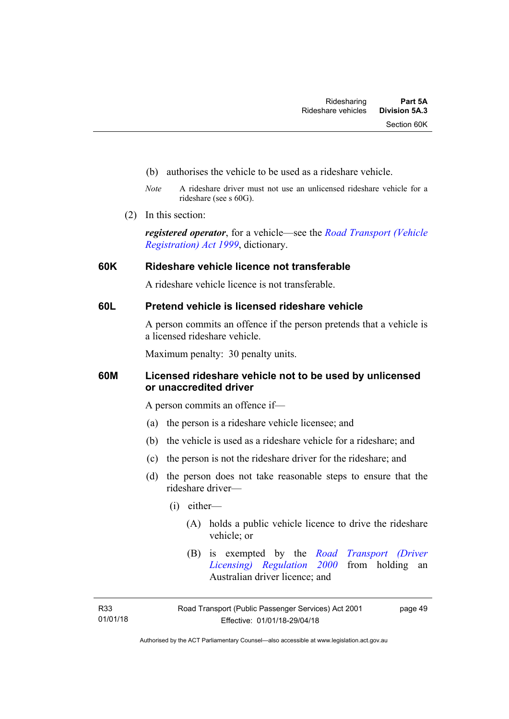- (b) authorises the vehicle to be used as a rideshare vehicle.
- *Note* A rideshare driver must not use an unlicensed rideshare vehicle for a rideshare (see s 60G).
- (2) In this section:

*registered operator*, for a vehicle—see the *[Road Transport \(Vehicle](http://www.legislation.act.gov.au/a/1999-81)  [Registration\) Act 1999](http://www.legislation.act.gov.au/a/1999-81)*, dictionary.

### **60K Rideshare vehicle licence not transferable**

A rideshare vehicle licence is not transferable.

### **60L Pretend vehicle is licensed rideshare vehicle**

A person commits an offence if the person pretends that a vehicle is a licensed rideshare vehicle.

Maximum penalty: 30 penalty units.

### **60M Licensed rideshare vehicle not to be used by unlicensed or unaccredited driver**

A person commits an offence if—

- (a) the person is a rideshare vehicle licensee; and
- (b) the vehicle is used as a rideshare vehicle for a rideshare; and
- (c) the person is not the rideshare driver for the rideshare; and
- (d) the person does not take reasonable steps to ensure that the rideshare driver—
	- (i) either—
		- (A) holds a public vehicle licence to drive the rideshare vehicle; or
		- (B) is exempted by the *[Road Transport \(Driver](http://www.legislation.act.gov.au/sl/2000-14/default.asp)  [Licensing\) Regulation 2000](http://www.legislation.act.gov.au/sl/2000-14/default.asp)* from holding an Australian driver licence; and

page 49

Authorised by the ACT Parliamentary Counsel—also accessible at www.legislation.act.gov.au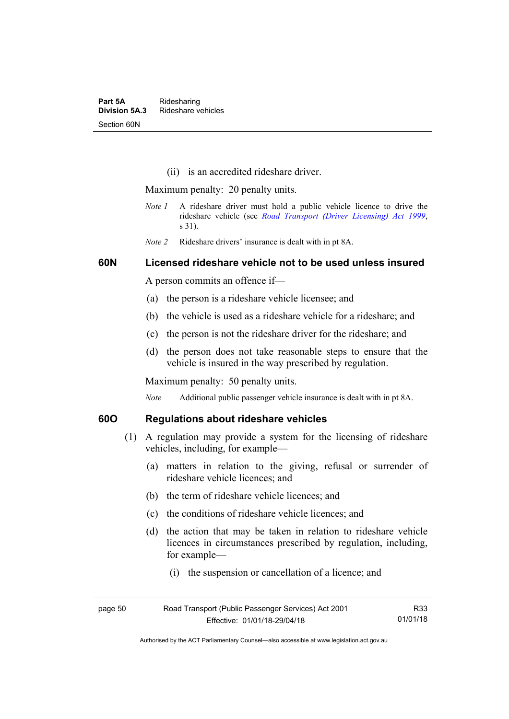(ii) is an accredited rideshare driver.

Maximum penalty: 20 penalty units.

- *Note 1* A rideshare driver must hold a public vehicle licence to drive the rideshare vehicle (see *[Road Transport \(Driver Licensing\) Act 1999](http://www.legislation.act.gov.au/a/1999-78)*, s 31).
- *Note 2* Rideshare drivers' insurance is dealt with in pt 8A.

### **60N Licensed rideshare vehicle not to be used unless insured**

A person commits an offence if—

- (a) the person is a rideshare vehicle licensee; and
- (b) the vehicle is used as a rideshare vehicle for a rideshare; and
- (c) the person is not the rideshare driver for the rideshare; and
- (d) the person does not take reasonable steps to ensure that the vehicle is insured in the way prescribed by regulation.

Maximum penalty: 50 penalty units.

*Note* Additional public passenger vehicle insurance is dealt with in pt 8A.

### **60O Regulations about rideshare vehicles**

- (1) A regulation may provide a system for the licensing of rideshare vehicles, including, for example—
	- (a) matters in relation to the giving, refusal or surrender of rideshare vehicle licences; and
	- (b) the term of rideshare vehicle licences; and
	- (c) the conditions of rideshare vehicle licences; and
	- (d) the action that may be taken in relation to rideshare vehicle licences in circumstances prescribed by regulation, including, for example—
		- (i) the suspension or cancellation of a licence; and

| page 50 | Road Transport (Public Passenger Services) Act 2001 | R33      |
|---------|-----------------------------------------------------|----------|
|         | Effective: 01/01/18-29/04/18                        | 01/01/18 |

Authorised by the ACT Parliamentary Counsel—also accessible at www.legislation.act.gov.au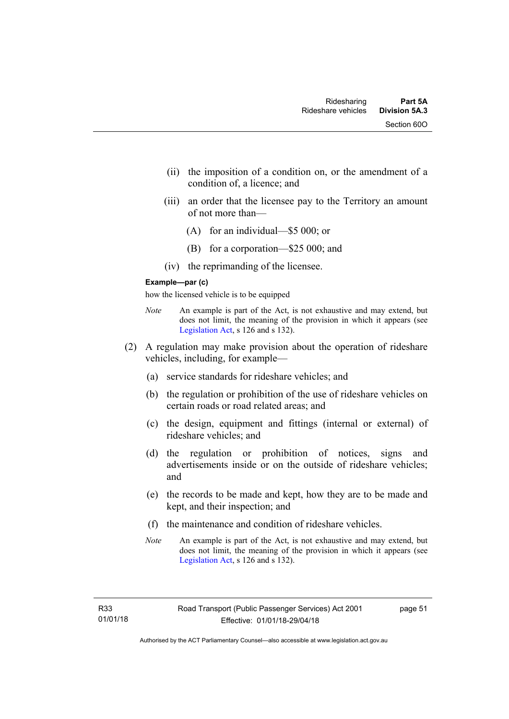- (ii) the imposition of a condition on, or the amendment of a condition of, a licence; and
- (iii) an order that the licensee pay to the Territory an amount of not more than—
	- (A) for an individual—\$5 000; or
	- (B) for a corporation—\$25 000; and
- (iv) the reprimanding of the licensee.

#### **Example—par (c)**

how the licensed vehicle is to be equipped

- *Note* An example is part of the Act, is not exhaustive and may extend, but does not limit, the meaning of the provision in which it appears (see [Legislation Act,](http://www.legislation.act.gov.au/a/2001-14) s 126 and s 132).
- (2) A regulation may make provision about the operation of rideshare vehicles, including, for example—
	- (a) service standards for rideshare vehicles; and
	- (b) the regulation or prohibition of the use of rideshare vehicles on certain roads or road related areas; and
	- (c) the design, equipment and fittings (internal or external) of rideshare vehicles; and
	- (d) the regulation or prohibition of notices, signs and advertisements inside or on the outside of rideshare vehicles; and
	- (e) the records to be made and kept, how they are to be made and kept, and their inspection; and
	- (f) the maintenance and condition of rideshare vehicles.
	- *Note* An example is part of the Act, is not exhaustive and may extend, but does not limit, the meaning of the provision in which it appears (see [Legislation Act,](http://www.legislation.act.gov.au/a/2001-14) s 126 and s 132).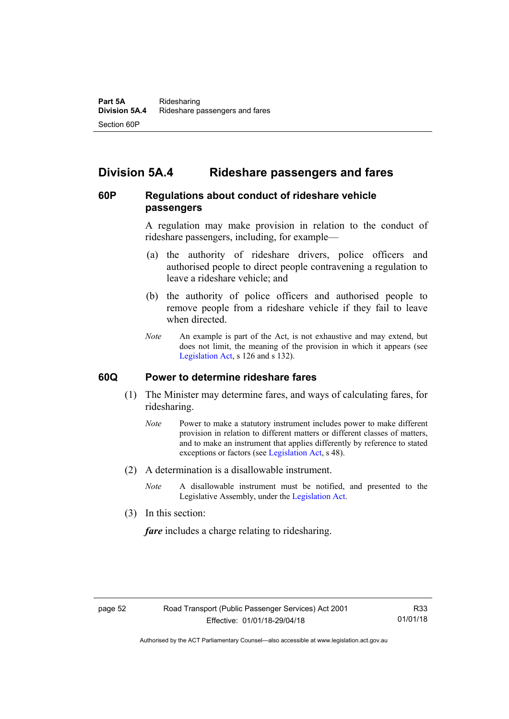# **Division 5A.4 Rideshare passengers and fares**

### **60P Regulations about conduct of rideshare vehicle passengers**

A regulation may make provision in relation to the conduct of rideshare passengers, including, for example—

- (a) the authority of rideshare drivers, police officers and authorised people to direct people contravening a regulation to leave a rideshare vehicle; and
- (b) the authority of police officers and authorised people to remove people from a rideshare vehicle if they fail to leave when directed.
- *Note* An example is part of the Act, is not exhaustive and may extend, but does not limit, the meaning of the provision in which it appears (see [Legislation Act,](http://www.legislation.act.gov.au/a/2001-14) s 126 and s 132).

### **60Q Power to determine rideshare fares**

- (1) The Minister may determine fares, and ways of calculating fares, for ridesharing.
	- *Note* Power to make a statutory instrument includes power to make different provision in relation to different matters or different classes of matters, and to make an instrument that applies differently by reference to stated exceptions or factors (see [Legislation Act](http://www.legislation.act.gov.au/a/2001-14), s 48).
- (2) A determination is a disallowable instrument.
	- *Note* A disallowable instrument must be notified, and presented to the Legislative Assembly, under the [Legislation Act.](http://www.legislation.act.gov.au/a/2001-14)
- (3) In this section:

*fare* includes a charge relating to ridesharing.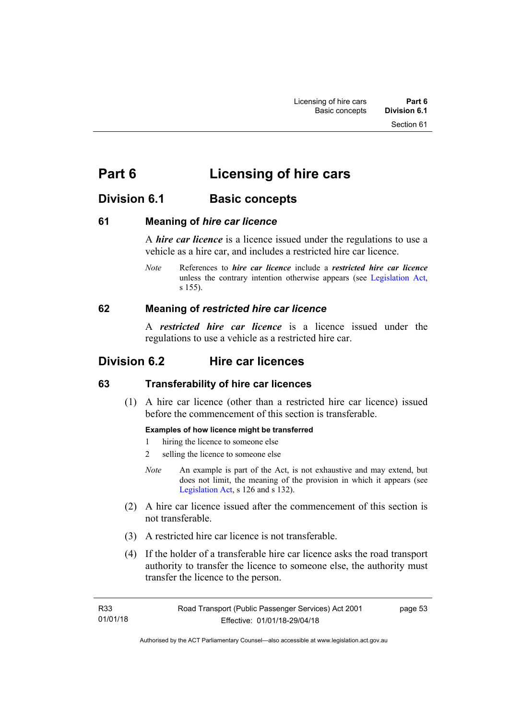# **Part 6 Licensing of hire cars**

# **Division 6.1 Basic concepts**

### **61 Meaning of** *hire car licence*

A *hire car licence* is a licence issued under the regulations to use a vehicle as a hire car, and includes a restricted hire car licence.

*Note* References to *hire car licence* include a *restricted hire car licence* unless the contrary intention otherwise appears (see [Legislation Act,](http://www.legislation.act.gov.au/a/2001-14) s 155).

### **62 Meaning of** *restricted hire car licence*

A *restricted hire car licence* is a licence issued under the regulations to use a vehicle as a restricted hire car.

# **Division 6.2 Hire car licences**

### **63 Transferability of hire car licences**

 (1) A hire car licence (other than a restricted hire car licence) issued before the commencement of this section is transferable.

### **Examples of how licence might be transferred**

- 1 hiring the licence to someone else
- 2 selling the licence to someone else
- *Note* An example is part of the Act, is not exhaustive and may extend, but does not limit, the meaning of the provision in which it appears (see [Legislation Act,](http://www.legislation.act.gov.au/a/2001-14) s 126 and s 132).
- (2) A hire car licence issued after the commencement of this section is not transferable.
- (3) A restricted hire car licence is not transferable.
- (4) If the holder of a transferable hire car licence asks the road transport authority to transfer the licence to someone else, the authority must transfer the licence to the person.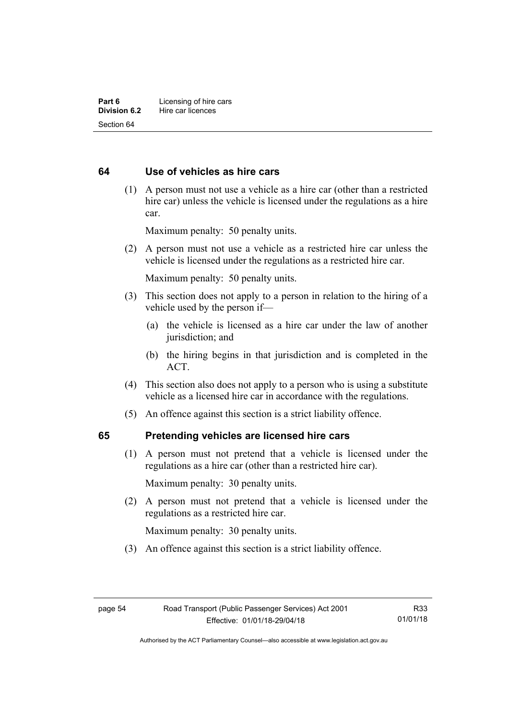### **64 Use of vehicles as hire cars**

 (1) A person must not use a vehicle as a hire car (other than a restricted hire car) unless the vehicle is licensed under the regulations as a hire car.

Maximum penalty: 50 penalty units.

 (2) A person must not use a vehicle as a restricted hire car unless the vehicle is licensed under the regulations as a restricted hire car.

Maximum penalty: 50 penalty units.

- (3) This section does not apply to a person in relation to the hiring of a vehicle used by the person if—
	- (a) the vehicle is licensed as a hire car under the law of another jurisdiction; and
	- (b) the hiring begins in that jurisdiction and is completed in the ACT.
- (4) This section also does not apply to a person who is using a substitute vehicle as a licensed hire car in accordance with the regulations.
- (5) An offence against this section is a strict liability offence.

### **65 Pretending vehicles are licensed hire cars**

(1) A person must not pretend that a vehicle is licensed under the regulations as a hire car (other than a restricted hire car).

Maximum penalty: 30 penalty units.

 (2) A person must not pretend that a vehicle is licensed under the regulations as a restricted hire car.

Maximum penalty: 30 penalty units.

(3) An offence against this section is a strict liability offence.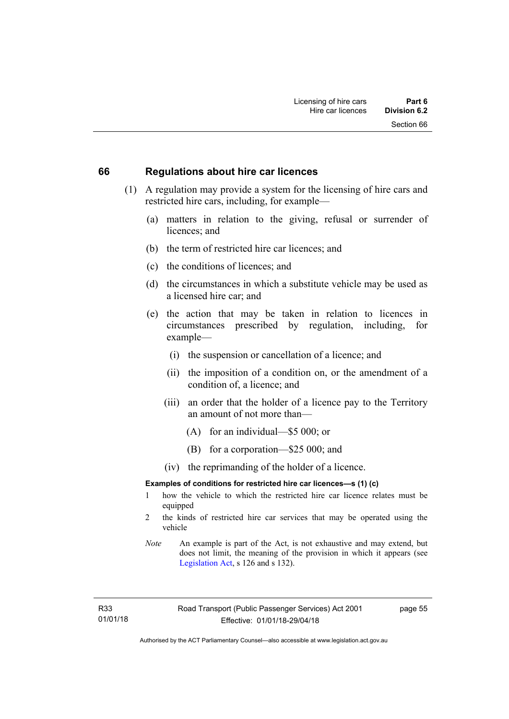#### **66 Regulations about hire car licences**

- (1) A regulation may provide a system for the licensing of hire cars and restricted hire cars, including, for example—
	- (a) matters in relation to the giving, refusal or surrender of licences; and
	- (b) the term of restricted hire car licences; and
	- (c) the conditions of licences; and
	- (d) the circumstances in which a substitute vehicle may be used as a licensed hire car; and
	- (e) the action that may be taken in relation to licences in circumstances prescribed by regulation, including, for example—
		- (i) the suspension or cancellation of a licence; and
		- (ii) the imposition of a condition on, or the amendment of a condition of, a licence; and
		- (iii) an order that the holder of a licence pay to the Territory an amount of not more than—
			- (A) for an individual—\$5 000; or
			- (B) for a corporation—\$25 000; and
		- (iv) the reprimanding of the holder of a licence.

#### **Examples of conditions for restricted hire car licences—s (1) (c)**

- 1 how the vehicle to which the restricted hire car licence relates must be equipped
- 2 the kinds of restricted hire car services that may be operated using the vehicle
- *Note* An example is part of the Act, is not exhaustive and may extend, but does not limit, the meaning of the provision in which it appears (see [Legislation Act,](http://www.legislation.act.gov.au/a/2001-14) s 126 and s 132).

R33 01/01/18 page 55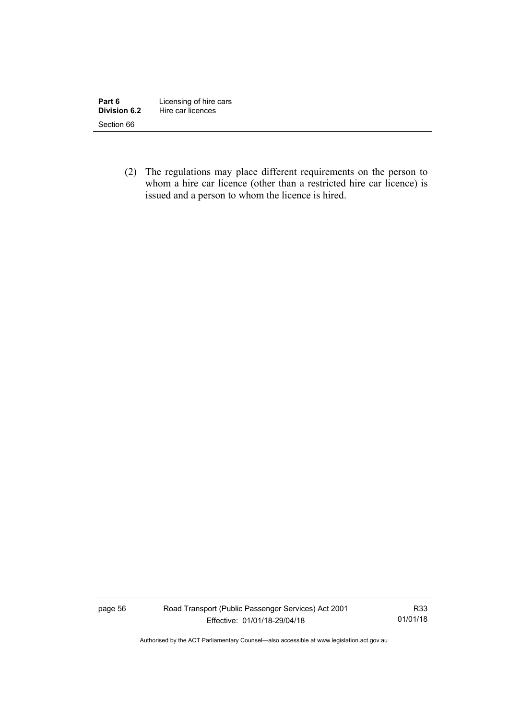| Part 6       | Licensing of hire cars |
|--------------|------------------------|
| Division 6.2 | Hire car licences      |
| Section 66   |                        |

 (2) The regulations may place different requirements on the person to whom a hire car licence (other than a restricted hire car licence) is issued and a person to whom the licence is hired.

page 56 Road Transport (Public Passenger Services) Act 2001 Effective: 01/01/18-29/04/18

R33 01/01/18

Authorised by the ACT Parliamentary Counsel—also accessible at www.legislation.act.gov.au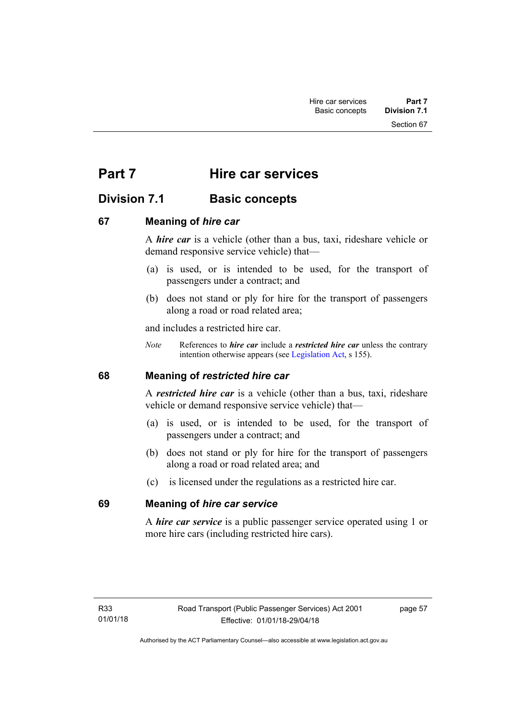Section 67

# **Part 7 Hire car services**

# **Division 7.1 Basic concepts**

### **67 Meaning of** *hire car*

A *hire car* is a vehicle (other than a bus, taxi, rideshare vehicle or demand responsive service vehicle) that—

- (a) is used, or is intended to be used, for the transport of passengers under a contract; and
- (b) does not stand or ply for hire for the transport of passengers along a road or road related area;

and includes a restricted hire car.

*Note* References to *hire car* include a *restricted hire car* unless the contrary intention otherwise appears (see [Legislation Act](http://www.legislation.act.gov.au/a/2001-14), s 155).

### **68 Meaning of** *restricted hire car*

A *restricted hire car* is a vehicle (other than a bus, taxi, rideshare vehicle or demand responsive service vehicle) that—

- (a) is used, or is intended to be used, for the transport of passengers under a contract; and
- (b) does not stand or ply for hire for the transport of passengers along a road or road related area; and
- (c) is licensed under the regulations as a restricted hire car.

### **69 Meaning of** *hire car service*

A *hire car service* is a public passenger service operated using 1 or more hire cars (including restricted hire cars).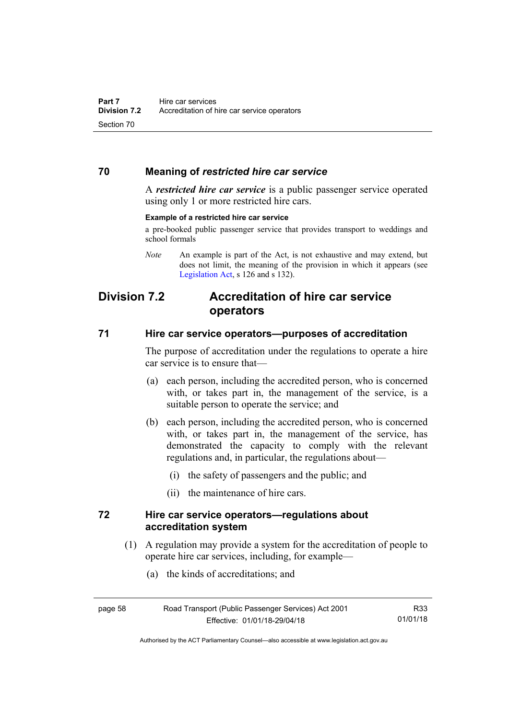### **70 Meaning of** *restricted hire car service*

A *restricted hire car service* is a public passenger service operated using only 1 or more restricted hire cars.

#### **Example of a restricted hire car service**

a pre-booked public passenger service that provides transport to weddings and school formals

*Note* An example is part of the Act, is not exhaustive and may extend, but does not limit, the meaning of the provision in which it appears (see [Legislation Act,](http://www.legislation.act.gov.au/a/2001-14) s 126 and s 132).

# **Division 7.2 Accreditation of hire car service operators**

#### **71 Hire car service operators—purposes of accreditation**

The purpose of accreditation under the regulations to operate a hire car service is to ensure that—

- (a) each person, including the accredited person, who is concerned with, or takes part in, the management of the service, is a suitable person to operate the service; and
- (b) each person, including the accredited person, who is concerned with, or takes part in, the management of the service, has demonstrated the capacity to comply with the relevant regulations and, in particular, the regulations about—
	- (i) the safety of passengers and the public; and
	- (ii) the maintenance of hire cars.

### **72 Hire car service operators—regulations about accreditation system**

- (1) A regulation may provide a system for the accreditation of people to operate hire car services, including, for example—
	- (a) the kinds of accreditations; and

Authorised by the ACT Parliamentary Counsel—also accessible at www.legislation.act.gov.au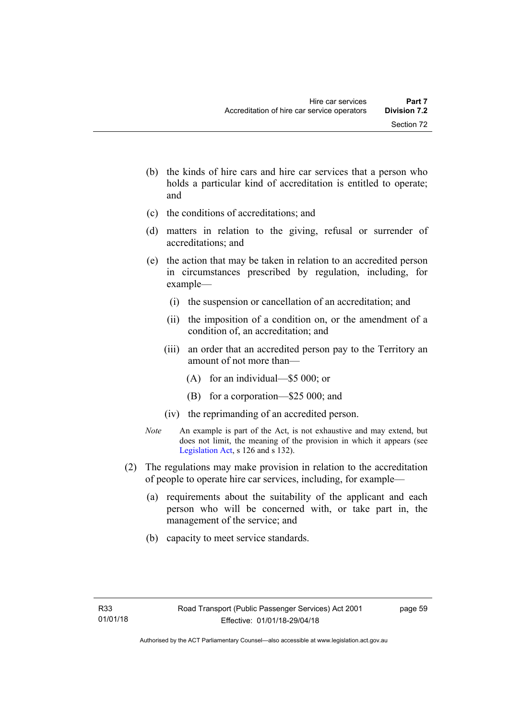- (b) the kinds of hire cars and hire car services that a person who holds a particular kind of accreditation is entitled to operate; and
- (c) the conditions of accreditations; and
- (d) matters in relation to the giving, refusal or surrender of accreditations; and
- (e) the action that may be taken in relation to an accredited person in circumstances prescribed by regulation, including, for example—
	- (i) the suspension or cancellation of an accreditation; and
	- (ii) the imposition of a condition on, or the amendment of a condition of, an accreditation; and
	- (iii) an order that an accredited person pay to the Territory an amount of not more than—
		- (A) for an individual—\$5 000; or
		- (B) for a corporation—\$25 000; and
	- (iv) the reprimanding of an accredited person.
- *Note* An example is part of the Act, is not exhaustive and may extend, but does not limit, the meaning of the provision in which it appears (see [Legislation Act,](http://www.legislation.act.gov.au/a/2001-14) s 126 and s 132).
- (2) The regulations may make provision in relation to the accreditation of people to operate hire car services, including, for example—
	- (a) requirements about the suitability of the applicant and each person who will be concerned with, or take part in, the management of the service; and
	- (b) capacity to meet service standards.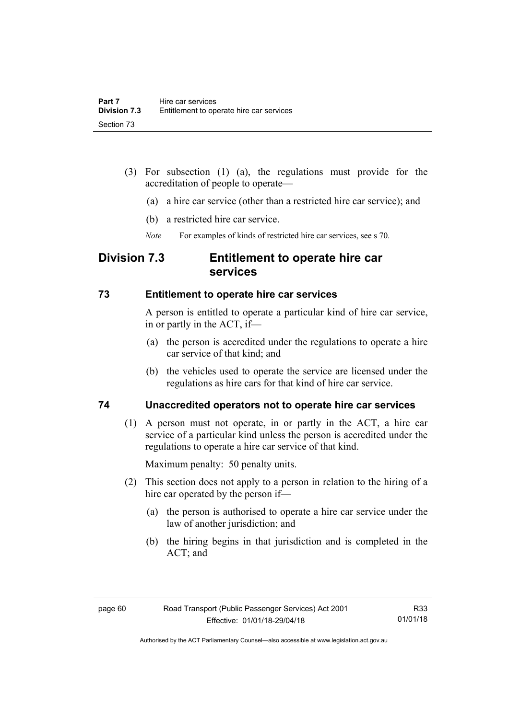- (3) For subsection (1) (a), the regulations must provide for the accreditation of people to operate—
	- (a) a hire car service (other than a restricted hire car service); and
	- (b) a restricted hire car service.
	- *Note* For examples of kinds of restricted hire car services, see s 70.

### **Division 7.3 Entitlement to operate hire car services**

#### **73 Entitlement to operate hire car services**

A person is entitled to operate a particular kind of hire car service, in or partly in the ACT, if—

- (a) the person is accredited under the regulations to operate a hire car service of that kind; and
- (b) the vehicles used to operate the service are licensed under the regulations as hire cars for that kind of hire car service.

### **74 Unaccredited operators not to operate hire car services**

(1) A person must not operate, in or partly in the ACT, a hire car service of a particular kind unless the person is accredited under the regulations to operate a hire car service of that kind.

Maximum penalty: 50 penalty units.

- (2) This section does not apply to a person in relation to the hiring of a hire car operated by the person if—
	- (a) the person is authorised to operate a hire car service under the law of another jurisdiction; and
	- (b) the hiring begins in that jurisdiction and is completed in the ACT; and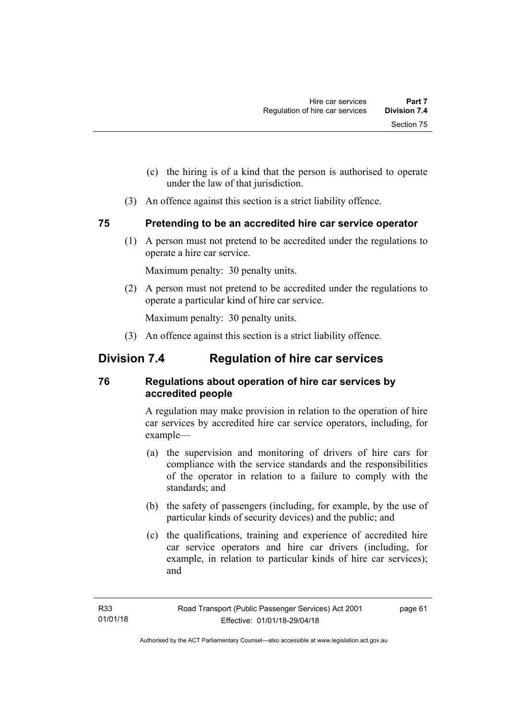- (c) the hiring is of a kind that the person is authorised to operate under the law of that jurisdiction.
- (3) An offence against this section is a strict liability offence.

### **75 Pretending to be an accredited hire car service operator**

(1) A person must not pretend to be accredited under the regulations to operate a hire car service.

Maximum penalty: 30 penalty units.

 (2) A person must not pretend to be accredited under the regulations to operate a particular kind of hire car service.

Maximum penalty: 30 penalty units.

(3) An offence against this section is a strict liability offence.

# **Division 7.4 Regulation of hire car services**

### **76 Regulations about operation of hire car services by accredited people**

A regulation may make provision in relation to the operation of hire car services by accredited hire car service operators, including, for example—

- (a) the supervision and monitoring of drivers of hire cars for compliance with the service standards and the responsibilities of the operator in relation to a failure to comply with the standards; and
- (b) the safety of passengers (including, for example, by the use of particular kinds of security devices) and the public; and
- (c) the qualifications, training and experience of accredited hire car service operators and hire car drivers (including, for example, in relation to particular kinds of hire car services); and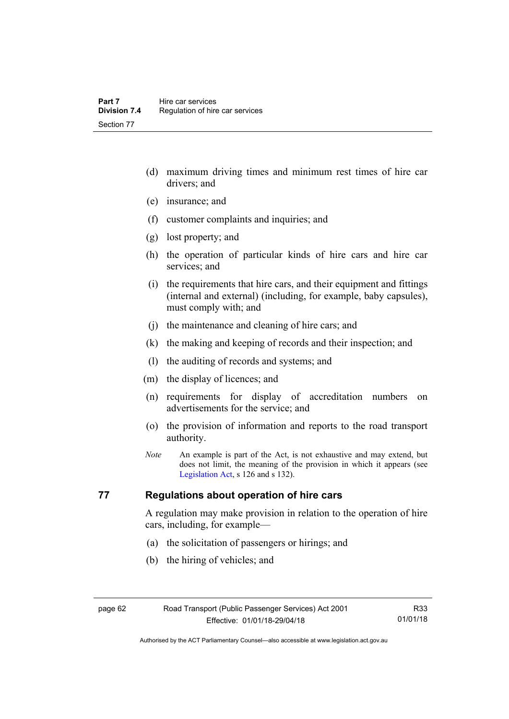- (d) maximum driving times and minimum rest times of hire car drivers; and
- (e) insurance; and
- (f) customer complaints and inquiries; and
- (g) lost property; and
- (h) the operation of particular kinds of hire cars and hire car services; and
- (i) the requirements that hire cars, and their equipment and fittings (internal and external) (including, for example, baby capsules), must comply with; and
- (j) the maintenance and cleaning of hire cars; and
- (k) the making and keeping of records and their inspection; and
- (l) the auditing of records and systems; and
- (m) the display of licences; and
- (n) requirements for display of accreditation numbers on advertisements for the service; and
- (o) the provision of information and reports to the road transport authority.
- *Note* An example is part of the Act, is not exhaustive and may extend, but does not limit, the meaning of the provision in which it appears (see [Legislation Act,](http://www.legislation.act.gov.au/a/2001-14) s 126 and s 132).

### **77 Regulations about operation of hire cars**

A regulation may make provision in relation to the operation of hire cars, including, for example—

- (a) the solicitation of passengers or hirings; and
- (b) the hiring of vehicles; and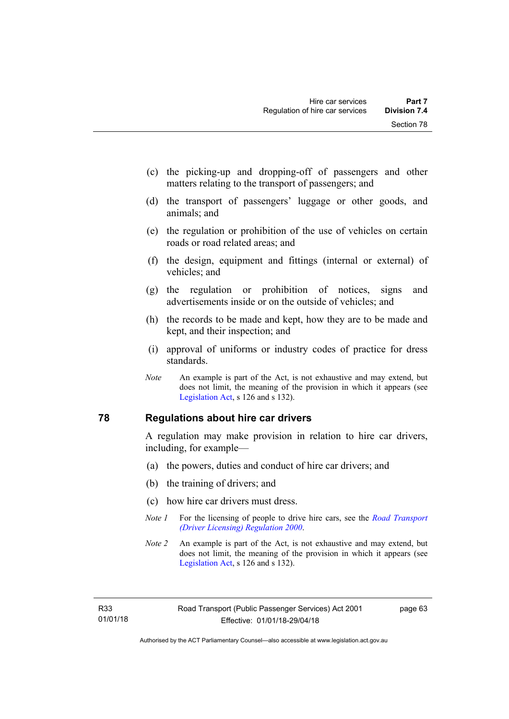- (c) the picking-up and dropping-off of passengers and other matters relating to the transport of passengers; and
- (d) the transport of passengers' luggage or other goods, and animals; and
- (e) the regulation or prohibition of the use of vehicles on certain roads or road related areas; and
- (f) the design, equipment and fittings (internal or external) of vehicles; and
- (g) the regulation or prohibition of notices, signs and advertisements inside or on the outside of vehicles; and
- (h) the records to be made and kept, how they are to be made and kept, and their inspection; and
- (i) approval of uniforms or industry codes of practice for dress standards.
- *Note* An example is part of the Act, is not exhaustive and may extend, but does not limit, the meaning of the provision in which it appears (see [Legislation Act,](http://www.legislation.act.gov.au/a/2001-14) s 126 and s 132).

## **78 Regulations about hire car drivers**

A regulation may make provision in relation to hire car drivers, including, for example—

- (a) the powers, duties and conduct of hire car drivers; and
- (b) the training of drivers; and
- (c) how hire car drivers must dress.
- *Note 1* For the licensing of people to drive hire cars, see the *[Road Transport](http://www.legislation.act.gov.au/sl/2000-14)  [\(Driver Licensing\) Regulation 2000](http://www.legislation.act.gov.au/sl/2000-14)*.
- *Note 2* An example is part of the Act, is not exhaustive and may extend, but does not limit, the meaning of the provision in which it appears (see [Legislation Act,](http://www.legislation.act.gov.au/a/2001-14) s 126 and s 132).

R33 01/01/18 page 63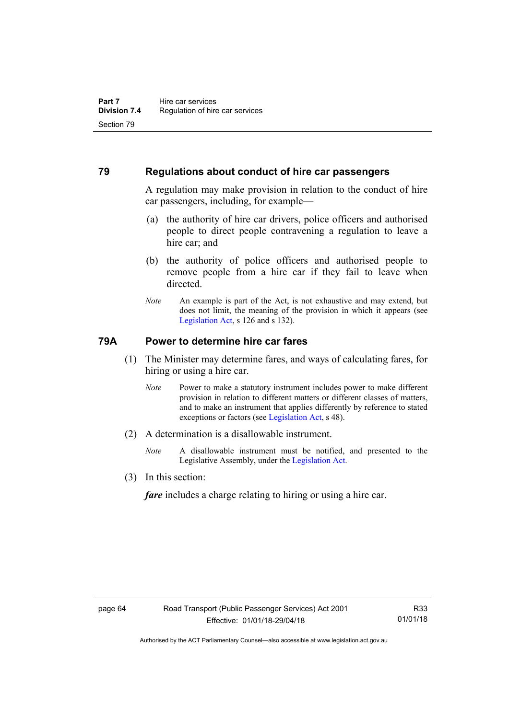# **79 Regulations about conduct of hire car passengers**

A regulation may make provision in relation to the conduct of hire car passengers, including, for example—

- (a) the authority of hire car drivers, police officers and authorised people to direct people contravening a regulation to leave a hire car; and
- (b) the authority of police officers and authorised people to remove people from a hire car if they fail to leave when directed.
- *Note* An example is part of the Act, is not exhaustive and may extend, but does not limit, the meaning of the provision in which it appears (see [Legislation Act,](http://www.legislation.act.gov.au/a/2001-14) s 126 and s 132).

# **79A Power to determine hire car fares**

- (1) The Minister may determine fares, and ways of calculating fares, for hiring or using a hire car.
	- *Note* Power to make a statutory instrument includes power to make different provision in relation to different matters or different classes of matters, and to make an instrument that applies differently by reference to stated exceptions or factors (see [Legislation Act](http://www.legislation.act.gov.au/a/2001-14), s 48).
- (2) A determination is a disallowable instrument.
	- *Note* A disallowable instrument must be notified, and presented to the Legislative Assembly, under the [Legislation Act.](http://www.legislation.act.gov.au/a/2001-14)
- (3) In this section:

*fare* includes a charge relating to hiring or using a hire car.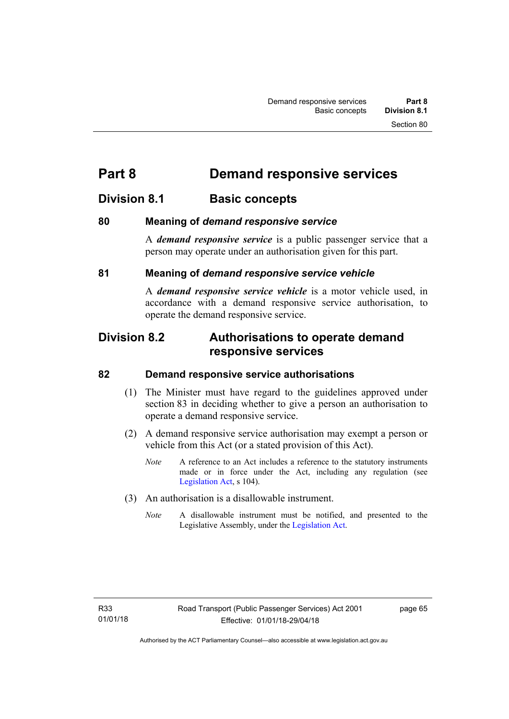# **Part 8 Demand responsive services**

# **Division 8.1 Basic concepts**

# **80 Meaning of** *demand responsive service*

A *demand responsive service* is a public passenger service that a person may operate under an authorisation given for this part.

# **81 Meaning of** *demand responsive service vehicle*

A *demand responsive service vehicle* is a motor vehicle used, in accordance with a demand responsive service authorisation, to operate the demand responsive service.

# **Division 8.2 Authorisations to operate demand responsive services**

## **82 Demand responsive service authorisations**

- (1) The Minister must have regard to the guidelines approved under section 83 in deciding whether to give a person an authorisation to operate a demand responsive service.
- (2) A demand responsive service authorisation may exempt a person or vehicle from this Act (or a stated provision of this Act).
	- *Note* A reference to an Act includes a reference to the statutory instruments made or in force under the Act, including any regulation (see [Legislation Act,](http://www.legislation.act.gov.au/a/2001-14) s 104).
- (3) An authorisation is a disallowable instrument.
	- *Note* A disallowable instrument must be notified, and presented to the Legislative Assembly, under the [Legislation Act.](http://www.legislation.act.gov.au/a/2001-14)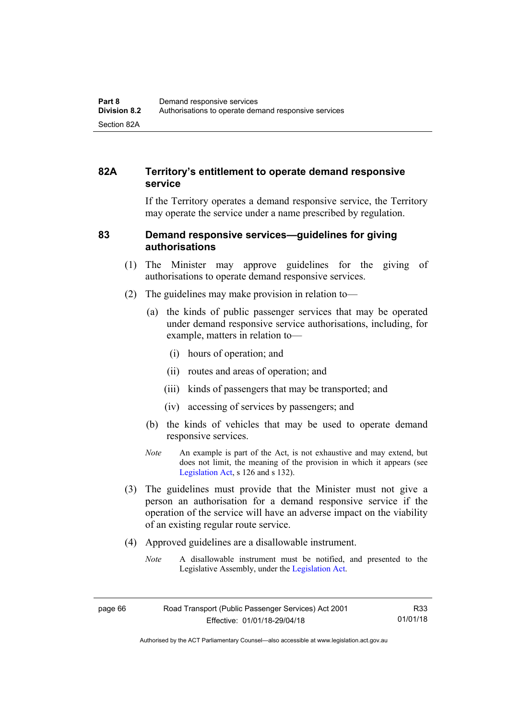# **82A Territory's entitlement to operate demand responsive service**

If the Territory operates a demand responsive service, the Territory may operate the service under a name prescribed by regulation.

## **83 Demand responsive services—guidelines for giving authorisations**

- (1) The Minister may approve guidelines for the giving of authorisations to operate demand responsive services.
- (2) The guidelines may make provision in relation to—
	- (a) the kinds of public passenger services that may be operated under demand responsive service authorisations, including, for example, matters in relation to—
		- (i) hours of operation; and
		- (ii) routes and areas of operation; and
		- (iii) kinds of passengers that may be transported; and
		- (iv) accessing of services by passengers; and
	- (b) the kinds of vehicles that may be used to operate demand responsive services.
	- *Note* An example is part of the Act, is not exhaustive and may extend, but does not limit, the meaning of the provision in which it appears (see [Legislation Act,](http://www.legislation.act.gov.au/a/2001-14) s 126 and s 132).
- (3) The guidelines must provide that the Minister must not give a person an authorisation for a demand responsive service if the operation of the service will have an adverse impact on the viability of an existing regular route service.
- (4) Approved guidelines are a disallowable instrument.
	- *Note* A disallowable instrument must be notified, and presented to the Legislative Assembly, under the [Legislation Act.](http://www.legislation.act.gov.au/a/2001-14)

Authorised by the ACT Parliamentary Counsel—also accessible at www.legislation.act.gov.au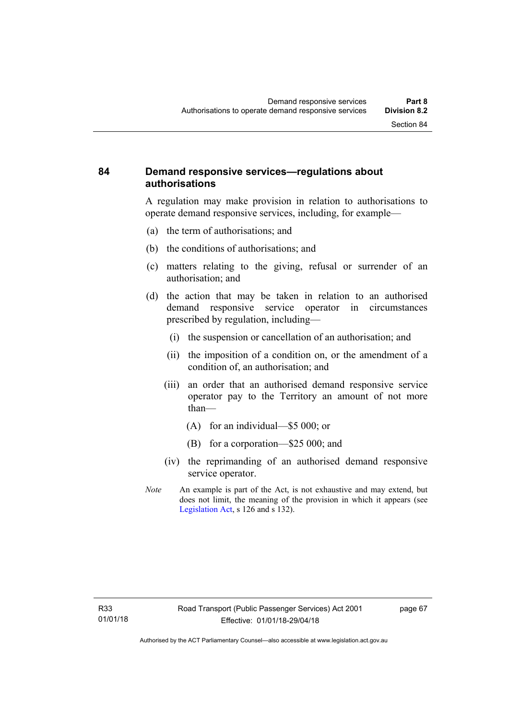# **84 Demand responsive services—regulations about authorisations**

A regulation may make provision in relation to authorisations to operate demand responsive services, including, for example—

- (a) the term of authorisations; and
- (b) the conditions of authorisations; and
- (c) matters relating to the giving, refusal or surrender of an authorisation; and
- (d) the action that may be taken in relation to an authorised demand responsive service operator in circumstances prescribed by regulation, including—
	- (i) the suspension or cancellation of an authorisation; and
	- (ii) the imposition of a condition on, or the amendment of a condition of, an authorisation; and
	- (iii) an order that an authorised demand responsive service operator pay to the Territory an amount of not more than—
		- (A) for an individual—\$5 000; or
		- (B) for a corporation—\$25 000; and
	- (iv) the reprimanding of an authorised demand responsive service operator.
- *Note* An example is part of the Act, is not exhaustive and may extend, but does not limit, the meaning of the provision in which it appears (see [Legislation Act,](http://www.legislation.act.gov.au/a/2001-14) s 126 and s 132).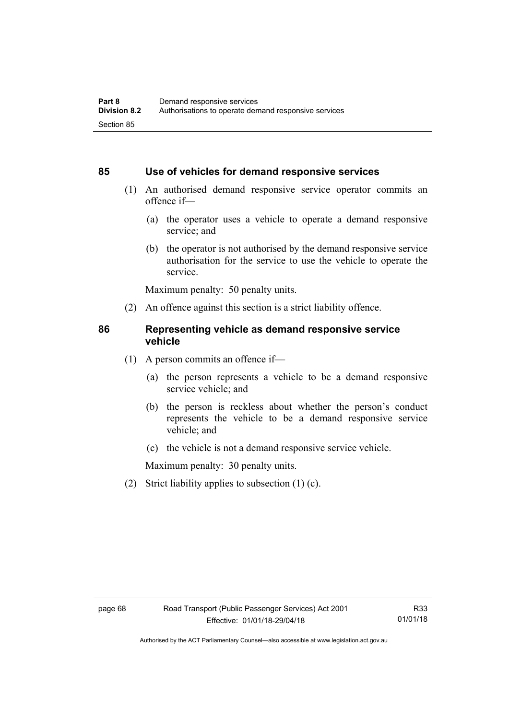### **85 Use of vehicles for demand responsive services**

- (1) An authorised demand responsive service operator commits an offence if—
	- (a) the operator uses a vehicle to operate a demand responsive service; and
	- (b) the operator is not authorised by the demand responsive service authorisation for the service to use the vehicle to operate the service.

Maximum penalty: 50 penalty units.

(2) An offence against this section is a strict liability offence.

#### **86 Representing vehicle as demand responsive service vehicle**

- (1) A person commits an offence if—
	- (a) the person represents a vehicle to be a demand responsive service vehicle; and
	- (b) the person is reckless about whether the person's conduct represents the vehicle to be a demand responsive service vehicle; and
	- (c) the vehicle is not a demand responsive service vehicle.

Maximum penalty: 30 penalty units.

(2) Strict liability applies to subsection (1) (c).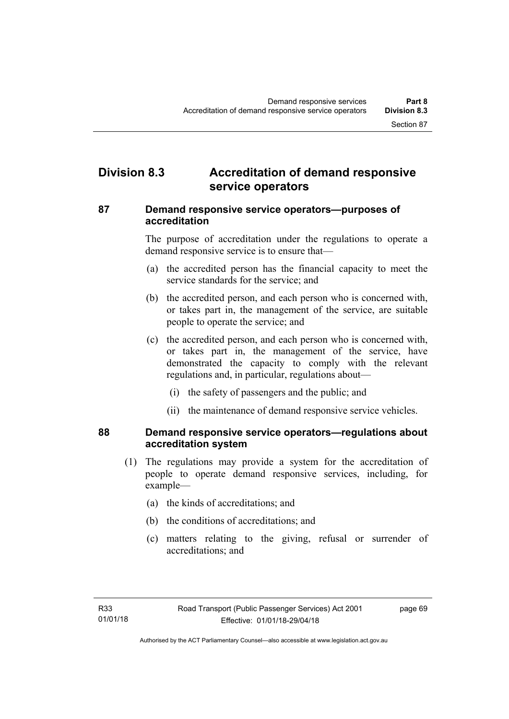# **Division 8.3 Accreditation of demand responsive service operators**

# **87 Demand responsive service operators—purposes of accreditation**

The purpose of accreditation under the regulations to operate a demand responsive service is to ensure that—

- (a) the accredited person has the financial capacity to meet the service standards for the service; and
- (b) the accredited person, and each person who is concerned with, or takes part in, the management of the service, are suitable people to operate the service; and
- (c) the accredited person, and each person who is concerned with, or takes part in, the management of the service, have demonstrated the capacity to comply with the relevant regulations and, in particular, regulations about—
	- (i) the safety of passengers and the public; and
	- (ii) the maintenance of demand responsive service vehicles.

# **88 Demand responsive service operators—regulations about accreditation system**

- (1) The regulations may provide a system for the accreditation of people to operate demand responsive services, including, for example—
	- (a) the kinds of accreditations; and
	- (b) the conditions of accreditations; and
	- (c) matters relating to the giving, refusal or surrender of accreditations; and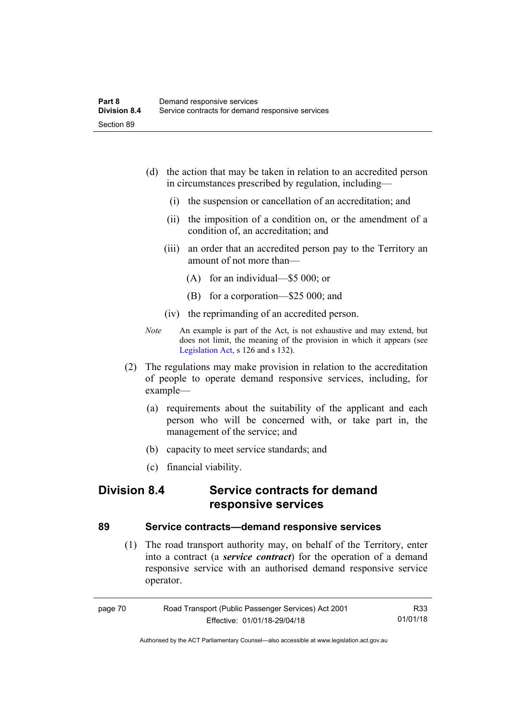- (d) the action that may be taken in relation to an accredited person in circumstances prescribed by regulation, including—
	- (i) the suspension or cancellation of an accreditation; and
	- (ii) the imposition of a condition on, or the amendment of a condition of, an accreditation; and
	- (iii) an order that an accredited person pay to the Territory an amount of not more than—
		- (A) for an individual—\$5 000; or
		- (B) for a corporation—\$25 000; and
	- (iv) the reprimanding of an accredited person.
- *Note* An example is part of the Act, is not exhaustive and may extend, but does not limit, the meaning of the provision in which it appears (see [Legislation Act,](http://www.legislation.act.gov.au/a/2001-14) s 126 and s 132).
- (2) The regulations may make provision in relation to the accreditation of people to operate demand responsive services, including, for example—
	- (a) requirements about the suitability of the applicant and each person who will be concerned with, or take part in, the management of the service; and
	- (b) capacity to meet service standards; and
	- (c) financial viability.

# **Division 8.4 Service contracts for demand responsive services**

## **89 Service contracts—demand responsive services**

 (1) The road transport authority may, on behalf of the Territory, enter into a contract (a *service contract*) for the operation of a demand responsive service with an authorised demand responsive service operator.

| page 70 | Road Transport (Public Passenger Services) Act 2001 | R33      |
|---------|-----------------------------------------------------|----------|
|         | Effective: 01/01/18-29/04/18                        | 01/01/18 |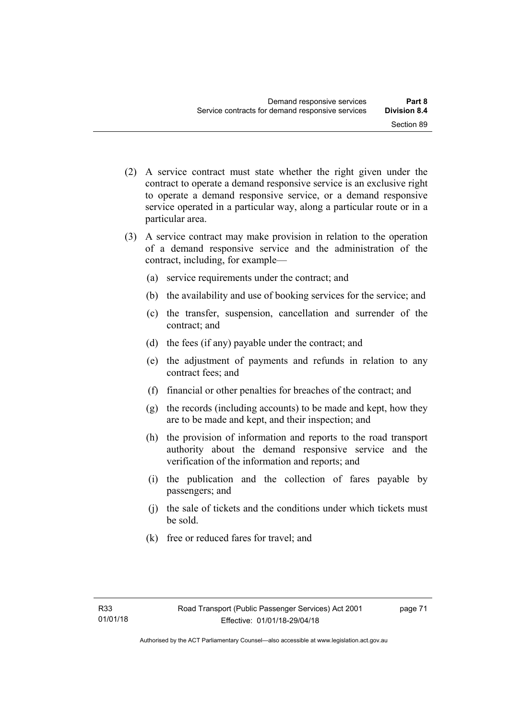- (2) A service contract must state whether the right given under the contract to operate a demand responsive service is an exclusive right to operate a demand responsive service, or a demand responsive service operated in a particular way, along a particular route or in a particular area.
- (3) A service contract may make provision in relation to the operation of a demand responsive service and the administration of the contract, including, for example—
	- (a) service requirements under the contract; and
	- (b) the availability and use of booking services for the service; and
	- (c) the transfer, suspension, cancellation and surrender of the contract; and
	- (d) the fees (if any) payable under the contract; and
	- (e) the adjustment of payments and refunds in relation to any contract fees; and
	- (f) financial or other penalties for breaches of the contract; and
	- (g) the records (including accounts) to be made and kept, how they are to be made and kept, and their inspection; and
	- (h) the provision of information and reports to the road transport authority about the demand responsive service and the verification of the information and reports; and
	- (i) the publication and the collection of fares payable by passengers; and
	- (j) the sale of tickets and the conditions under which tickets must be sold.
	- (k) free or reduced fares for travel; and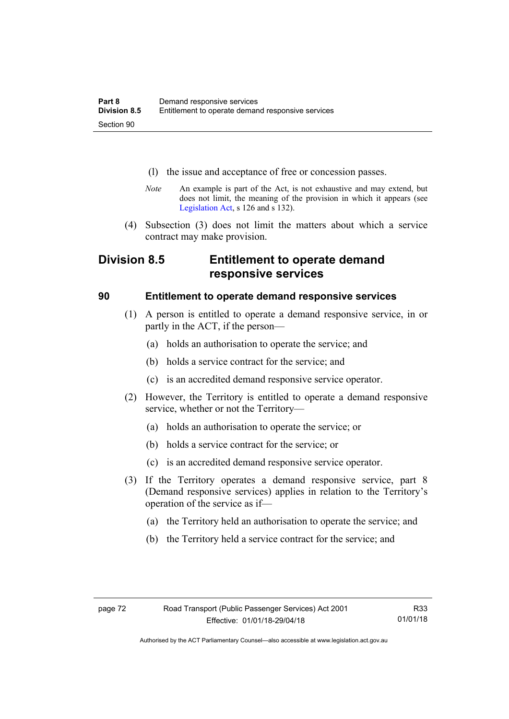- (l) the issue and acceptance of free or concession passes.
- *Note* An example is part of the Act, is not exhaustive and may extend, but does not limit, the meaning of the provision in which it appears (see [Legislation Act,](http://www.legislation.act.gov.au/a/2001-14) s 126 and s 132).
- (4) Subsection (3) does not limit the matters about which a service contract may make provision.

# **Division 8.5 Entitlement to operate demand responsive services**

## **90 Entitlement to operate demand responsive services**

- (1) A person is entitled to operate a demand responsive service, in or partly in the ACT, if the person—
	- (a) holds an authorisation to operate the service; and
	- (b) holds a service contract for the service; and
	- (c) is an accredited demand responsive service operator.
- (2) However, the Territory is entitled to operate a demand responsive service, whether or not the Territory—
	- (a) holds an authorisation to operate the service; or
	- (b) holds a service contract for the service; or
	- (c) is an accredited demand responsive service operator.
- (3) If the Territory operates a demand responsive service, part 8 (Demand responsive services) applies in relation to the Territory's operation of the service as if—
	- (a) the Territory held an authorisation to operate the service; and
	- (b) the Territory held a service contract for the service; and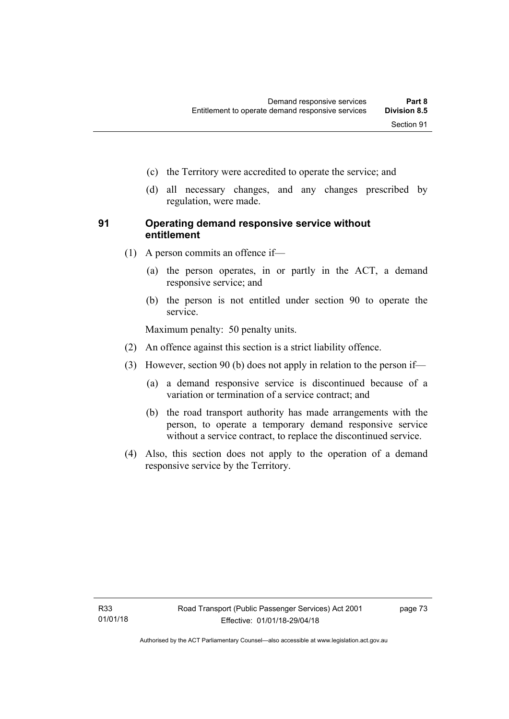- (c) the Territory were accredited to operate the service; and
- (d) all necessary changes, and any changes prescribed by regulation, were made.

# **91 Operating demand responsive service without entitlement**

- (1) A person commits an offence if—
	- (a) the person operates, in or partly in the ACT, a demand responsive service; and
	- (b) the person is not entitled under section 90 to operate the service.

Maximum penalty: 50 penalty units.

- (2) An offence against this section is a strict liability offence.
- (3) However, section 90 (b) does not apply in relation to the person if—
	- (a) a demand responsive service is discontinued because of a variation or termination of a service contract; and
	- (b) the road transport authority has made arrangements with the person, to operate a temporary demand responsive service without a service contract, to replace the discontinued service.
- (4) Also, this section does not apply to the operation of a demand responsive service by the Territory.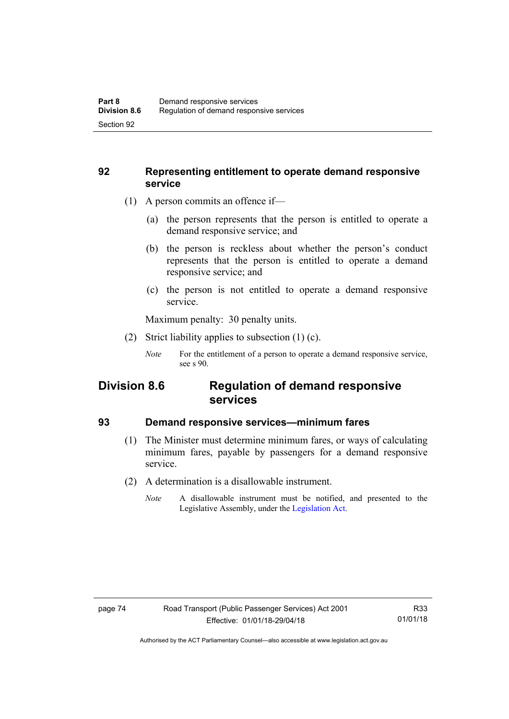# **92 Representing entitlement to operate demand responsive service**

- (1) A person commits an offence if—
	- (a) the person represents that the person is entitled to operate a demand responsive service; and
	- (b) the person is reckless about whether the person's conduct represents that the person is entitled to operate a demand responsive service; and
	- (c) the person is not entitled to operate a demand responsive service.

Maximum penalty: 30 penalty units.

- (2) Strict liability applies to subsection (1) (c).
	- *Note* For the entitlement of a person to operate a demand responsive service, see s 90.

# **Division 8.6 Regulation of demand responsive services**

## **93 Demand responsive services—minimum fares**

- (1) The Minister must determine minimum fares, or ways of calculating minimum fares, payable by passengers for a demand responsive service.
- (2) A determination is a disallowable instrument.
	- *Note* A disallowable instrument must be notified, and presented to the Legislative Assembly, under the [Legislation Act.](http://www.legislation.act.gov.au/a/2001-14)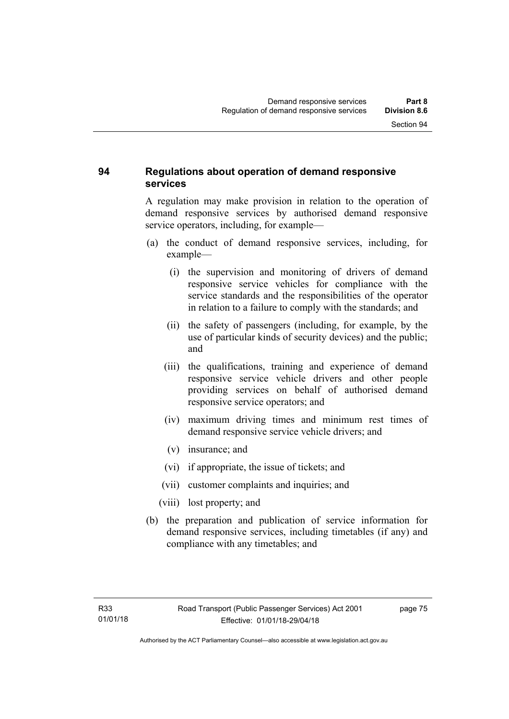# **94 Regulations about operation of demand responsive services**

A regulation may make provision in relation to the operation of demand responsive services by authorised demand responsive service operators, including, for example—

- (a) the conduct of demand responsive services, including, for example—
	- (i) the supervision and monitoring of drivers of demand responsive service vehicles for compliance with the service standards and the responsibilities of the operator in relation to a failure to comply with the standards; and
	- (ii) the safety of passengers (including, for example, by the use of particular kinds of security devices) and the public; and
	- (iii) the qualifications, training and experience of demand responsive service vehicle drivers and other people providing services on behalf of authorised demand responsive service operators; and
	- (iv) maximum driving times and minimum rest times of demand responsive service vehicle drivers; and
	- (v) insurance; and
	- (vi) if appropriate, the issue of tickets; and
	- (vii) customer complaints and inquiries; and
	- (viii) lost property; and
- (b) the preparation and publication of service information for demand responsive services, including timetables (if any) and compliance with any timetables; and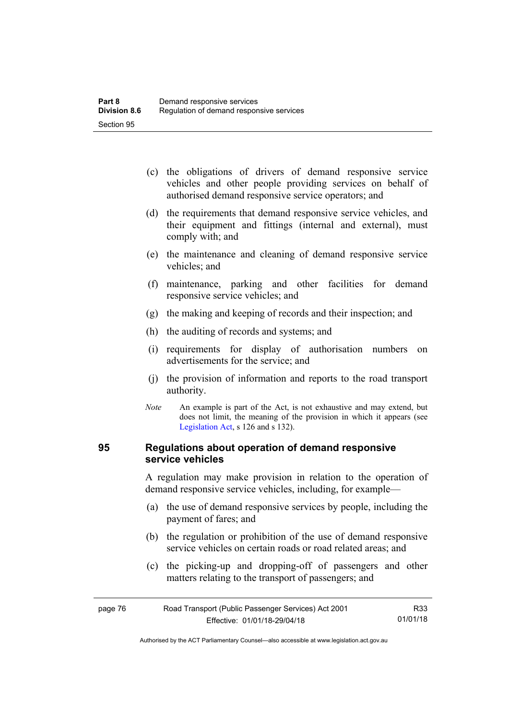- (c) the obligations of drivers of demand responsive service vehicles and other people providing services on behalf of authorised demand responsive service operators; and
- (d) the requirements that demand responsive service vehicles, and their equipment and fittings (internal and external), must comply with; and
- (e) the maintenance and cleaning of demand responsive service vehicles; and
- (f) maintenance, parking and other facilities for demand responsive service vehicles; and
- (g) the making and keeping of records and their inspection; and
- (h) the auditing of records and systems; and
- (i) requirements for display of authorisation numbers on advertisements for the service; and
- (j) the provision of information and reports to the road transport authority.
- *Note* An example is part of the Act, is not exhaustive and may extend, but does not limit, the meaning of the provision in which it appears (see [Legislation Act,](http://www.legislation.act.gov.au/a/2001-14) s 126 and s 132).

## **95 Regulations about operation of demand responsive service vehicles**

A regulation may make provision in relation to the operation of demand responsive service vehicles, including, for example—

- (a) the use of demand responsive services by people, including the payment of fares; and
- (b) the regulation or prohibition of the use of demand responsive service vehicles on certain roads or road related areas; and
- (c) the picking-up and dropping-off of passengers and other matters relating to the transport of passengers; and

| page 76 | Road Transport (Public Passenger Services) Act 2001 | R33      |
|---------|-----------------------------------------------------|----------|
|         | Effective: 01/01/18-29/04/18                        | 01/01/18 |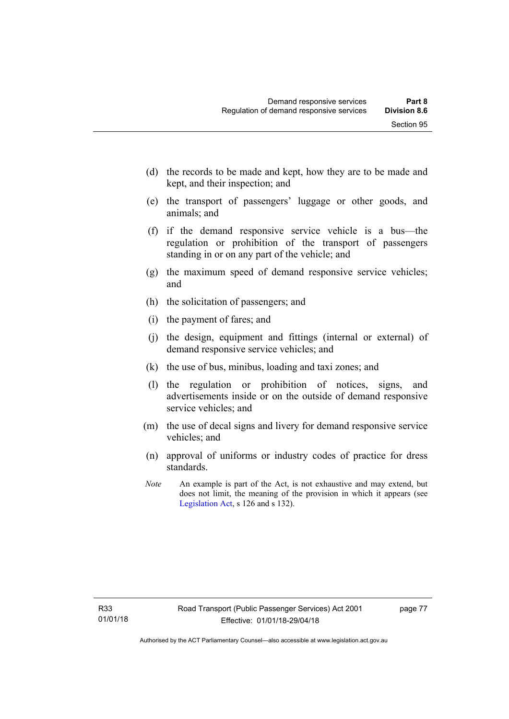- (d) the records to be made and kept, how they are to be made and kept, and their inspection; and
- (e) the transport of passengers' luggage or other goods, and animals; and
- (f) if the demand responsive service vehicle is a bus—the regulation or prohibition of the transport of passengers standing in or on any part of the vehicle; and
- (g) the maximum speed of demand responsive service vehicles; and
- (h) the solicitation of passengers; and
- (i) the payment of fares; and
- (j) the design, equipment and fittings (internal or external) of demand responsive service vehicles; and
- (k) the use of bus, minibus, loading and taxi zones; and
- (l) the regulation or prohibition of notices, signs, and advertisements inside or on the outside of demand responsive service vehicles; and
- (m) the use of decal signs and livery for demand responsive service vehicles; and
- (n) approval of uniforms or industry codes of practice for dress standards.
- *Note* An example is part of the Act, is not exhaustive and may extend, but does not limit, the meaning of the provision in which it appears (see [Legislation Act,](http://www.legislation.act.gov.au/a/2001-14) s 126 and s 132).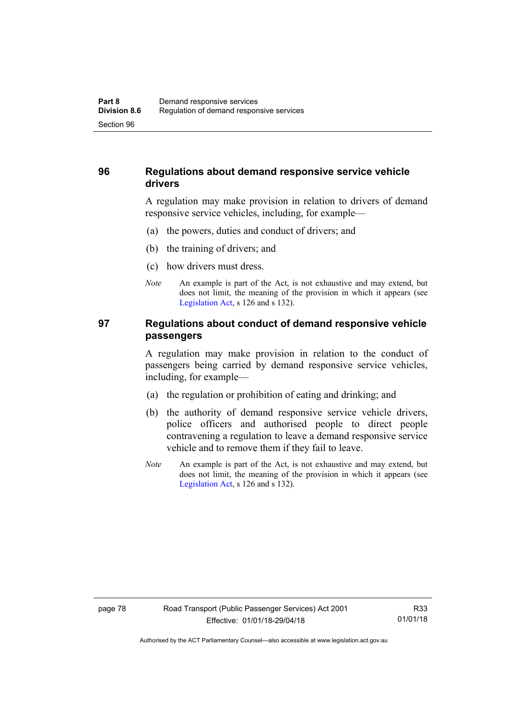# **96 Regulations about demand responsive service vehicle drivers**

A regulation may make provision in relation to drivers of demand responsive service vehicles, including, for example—

- (a) the powers, duties and conduct of drivers; and
- (b) the training of drivers; and
- (c) how drivers must dress.
- *Note* An example is part of the Act, is not exhaustive and may extend, but does not limit, the meaning of the provision in which it appears (see [Legislation Act,](http://www.legislation.act.gov.au/a/2001-14) s 126 and s 132).

# **97 Regulations about conduct of demand responsive vehicle passengers**

A regulation may make provision in relation to the conduct of passengers being carried by demand responsive service vehicles, including, for example—

- (a) the regulation or prohibition of eating and drinking; and
- (b) the authority of demand responsive service vehicle drivers, police officers and authorised people to direct people contravening a regulation to leave a demand responsive service vehicle and to remove them if they fail to leave.
- *Note* An example is part of the Act, is not exhaustive and may extend, but does not limit, the meaning of the provision in which it appears (see [Legislation Act,](http://www.legislation.act.gov.au/a/2001-14) s 126 and s 132).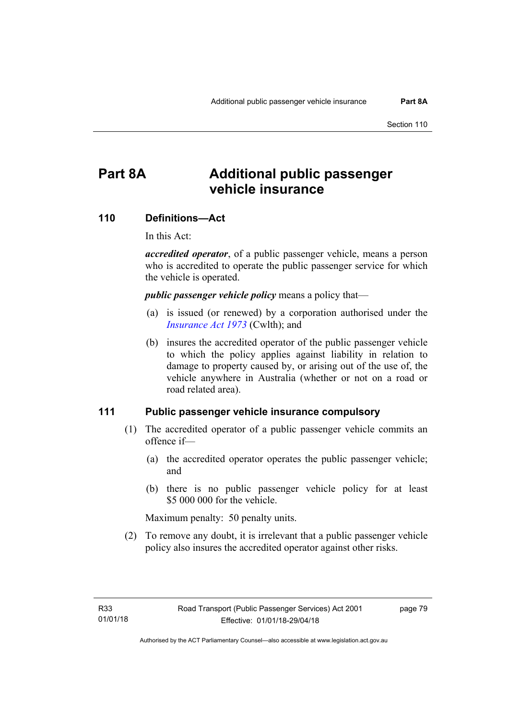# **Part 8A Additional public passenger vehicle insurance**

#### **110 Definitions—Act**

In this Act:

*accredited operator*, of a public passenger vehicle, means a person who is accredited to operate the public passenger service for which the vehicle is operated.

*public passenger vehicle policy* means a policy that—

- (a) is issued (or renewed) by a corporation authorised under the *[Insurance Act 1973](http://www.comlaw.gov.au/Details/C2013C00019)* (Cwlth); and
- (b) insures the accredited operator of the public passenger vehicle to which the policy applies against liability in relation to damage to property caused by, or arising out of the use of, the vehicle anywhere in Australia (whether or not on a road or road related area).

#### **111 Public passenger vehicle insurance compulsory**

- (1) The accredited operator of a public passenger vehicle commits an offence if—
	- (a) the accredited operator operates the public passenger vehicle; and
	- (b) there is no public passenger vehicle policy for at least \$5 000 000 for the vehicle.

Maximum penalty: 50 penalty units.

 (2) To remove any doubt, it is irrelevant that a public passenger vehicle policy also insures the accredited operator against other risks.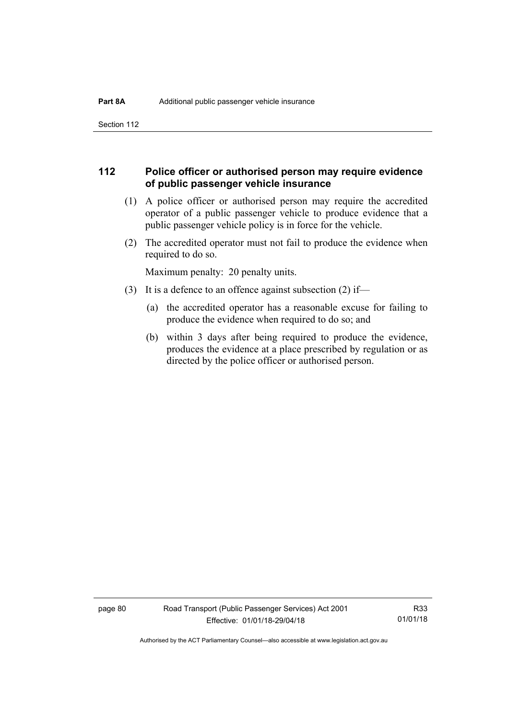Section 112

# **112 Police officer or authorised person may require evidence of public passenger vehicle insurance**

- (1) A police officer or authorised person may require the accredited operator of a public passenger vehicle to produce evidence that a public passenger vehicle policy is in force for the vehicle.
- (2) The accredited operator must not fail to produce the evidence when required to do so.

Maximum penalty: 20 penalty units.

- (3) It is a defence to an offence against subsection (2) if—
	- (a) the accredited operator has a reasonable excuse for failing to produce the evidence when required to do so; and
	- (b) within 3 days after being required to produce the evidence, produces the evidence at a place prescribed by regulation or as directed by the police officer or authorised person.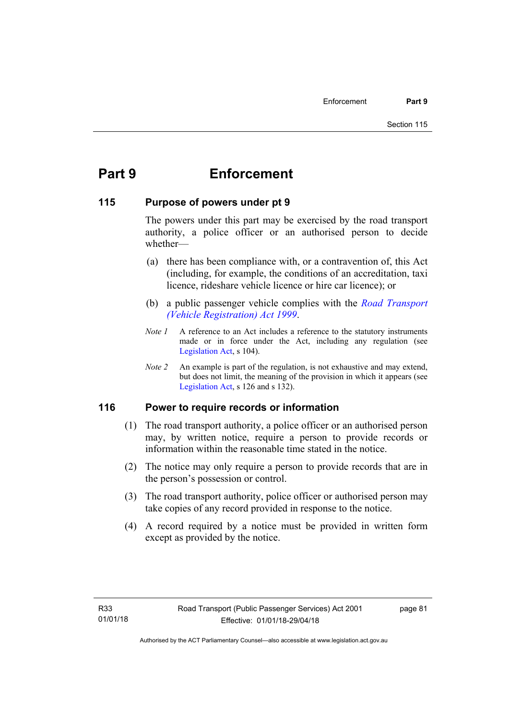# **Part 9 Enforcement**

# **115 Purpose of powers under pt 9**

The powers under this part may be exercised by the road transport authority, a police officer or an authorised person to decide whether—

- (a) there has been compliance with, or a contravention of, this Act (including, for example, the conditions of an accreditation, taxi licence, rideshare vehicle licence or hire car licence); or
- (b) a public passenger vehicle complies with the *[Road Transport](http://www.legislation.act.gov.au/a/1999-81)  [\(Vehicle Registration\) Act 1999](http://www.legislation.act.gov.au/a/1999-81)*.
- *Note 1* A reference to an Act includes a reference to the statutory instruments made or in force under the Act, including any regulation (see [Legislation Act,](http://www.legislation.act.gov.au/a/2001-14) s 104).
- *Note 2* An example is part of the regulation, is not exhaustive and may extend, but does not limit, the meaning of the provision in which it appears (see [Legislation Act,](http://www.legislation.act.gov.au/a/2001-14) s 126 and s 132).

# **116 Power to require records or information**

- (1) The road transport authority, a police officer or an authorised person may, by written notice, require a person to provide records or information within the reasonable time stated in the notice.
- (2) The notice may only require a person to provide records that are in the person's possession or control.
- (3) The road transport authority, police officer or authorised person may take copies of any record provided in response to the notice.
- (4) A record required by a notice must be provided in written form except as provided by the notice.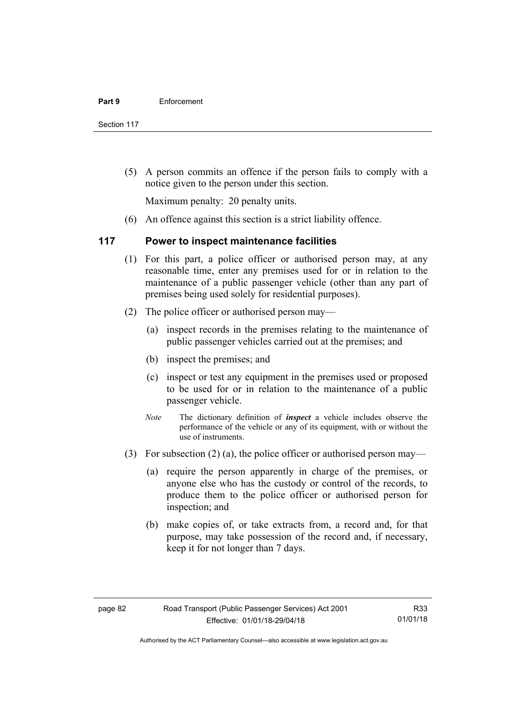Section 117

 (5) A person commits an offence if the person fails to comply with a notice given to the person under this section.

Maximum penalty: 20 penalty units.

(6) An offence against this section is a strict liability offence.

# **117 Power to inspect maintenance facilities**

- (1) For this part, a police officer or authorised person may, at any reasonable time, enter any premises used for or in relation to the maintenance of a public passenger vehicle (other than any part of premises being used solely for residential purposes).
- (2) The police officer or authorised person may—
	- (a) inspect records in the premises relating to the maintenance of public passenger vehicles carried out at the premises; and
	- (b) inspect the premises; and
	- (c) inspect or test any equipment in the premises used or proposed to be used for or in relation to the maintenance of a public passenger vehicle.
	- *Note* The dictionary definition of *inspect* a vehicle includes observe the performance of the vehicle or any of its equipment, with or without the use of instruments.
- (3) For subsection (2) (a), the police officer or authorised person may—
	- (a) require the person apparently in charge of the premises, or anyone else who has the custody or control of the records, to produce them to the police officer or authorised person for inspection; and
	- (b) make copies of, or take extracts from, a record and, for that purpose, may take possession of the record and, if necessary, keep it for not longer than 7 days.

R33 01/01/18

Authorised by the ACT Parliamentary Counsel—also accessible at www.legislation.act.gov.au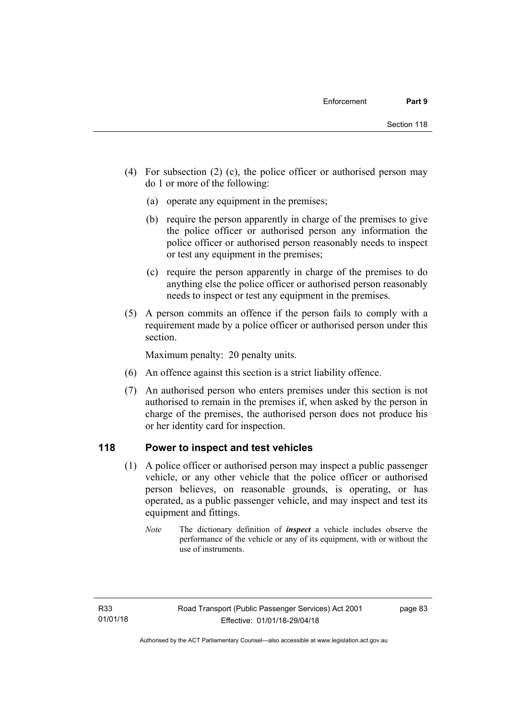- (4) For subsection (2) (c), the police officer or authorised person may do 1 or more of the following:
	- (a) operate any equipment in the premises;
	- (b) require the person apparently in charge of the premises to give the police officer or authorised person any information the police officer or authorised person reasonably needs to inspect or test any equipment in the premises;
	- (c) require the person apparently in charge of the premises to do anything else the police officer or authorised person reasonably needs to inspect or test any equipment in the premises.
- (5) A person commits an offence if the person fails to comply with a requirement made by a police officer or authorised person under this section.

Maximum penalty: 20 penalty units.

- (6) An offence against this section is a strict liability offence.
- (7) An authorised person who enters premises under this section is not authorised to remain in the premises if, when asked by the person in charge of the premises, the authorised person does not produce his or her identity card for inspection.

# **118 Power to inspect and test vehicles**

- (1) A police officer or authorised person may inspect a public passenger vehicle, or any other vehicle that the police officer or authorised person believes, on reasonable grounds, is operating, or has operated, as a public passenger vehicle, and may inspect and test its equipment and fittings.
	- *Note* The dictionary definition of *inspect* a vehicle includes observe the performance of the vehicle or any of its equipment, with or without the use of instruments.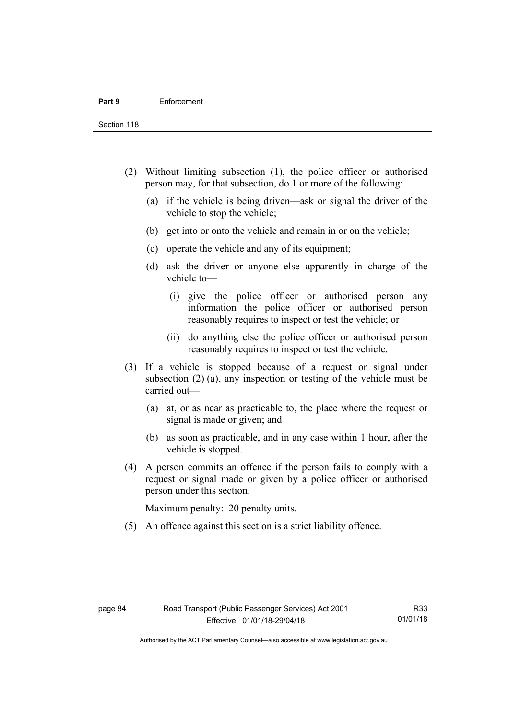Section 118

- (2) Without limiting subsection (1), the police officer or authorised person may, for that subsection, do 1 or more of the following:
	- (a) if the vehicle is being driven—ask or signal the driver of the vehicle to stop the vehicle;
	- (b) get into or onto the vehicle and remain in or on the vehicle;
	- (c) operate the vehicle and any of its equipment;
	- (d) ask the driver or anyone else apparently in charge of the vehicle to—
		- (i) give the police officer or authorised person any information the police officer or authorised person reasonably requires to inspect or test the vehicle; or
		- (ii) do anything else the police officer or authorised person reasonably requires to inspect or test the vehicle.
- (3) If a vehicle is stopped because of a request or signal under subsection (2) (a), any inspection or testing of the vehicle must be carried out—
	- (a) at, or as near as practicable to, the place where the request or signal is made or given; and
	- (b) as soon as practicable, and in any case within 1 hour, after the vehicle is stopped.
- (4) A person commits an offence if the person fails to comply with a request or signal made or given by a police officer or authorised person under this section.

Maximum penalty: 20 penalty units.

(5) An offence against this section is a strict liability offence.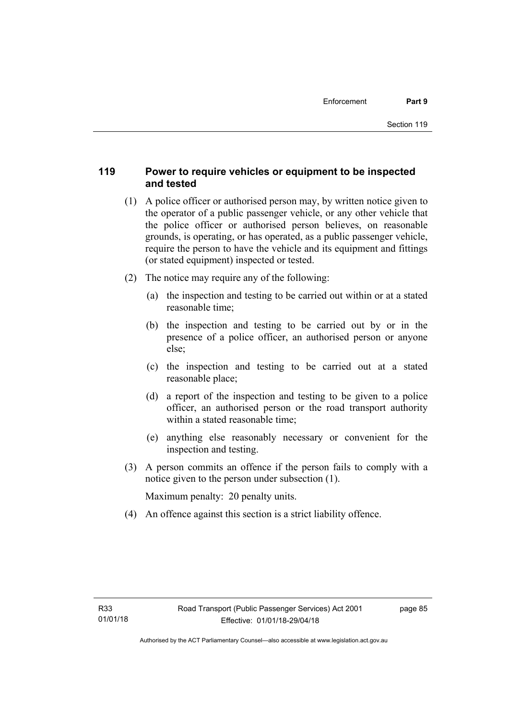# **119 Power to require vehicles or equipment to be inspected and tested**

- (1) A police officer or authorised person may, by written notice given to the operator of a public passenger vehicle, or any other vehicle that the police officer or authorised person believes, on reasonable grounds, is operating, or has operated, as a public passenger vehicle, require the person to have the vehicle and its equipment and fittings (or stated equipment) inspected or tested.
- (2) The notice may require any of the following:
	- (a) the inspection and testing to be carried out within or at a stated reasonable time;
	- (b) the inspection and testing to be carried out by or in the presence of a police officer, an authorised person or anyone else;
	- (c) the inspection and testing to be carried out at a stated reasonable place;
	- (d) a report of the inspection and testing to be given to a police officer, an authorised person or the road transport authority within a stated reasonable time;
	- (e) anything else reasonably necessary or convenient for the inspection and testing.
- (3) A person commits an offence if the person fails to comply with a notice given to the person under subsection (1).

Maximum penalty: 20 penalty units.

(4) An offence against this section is a strict liability offence.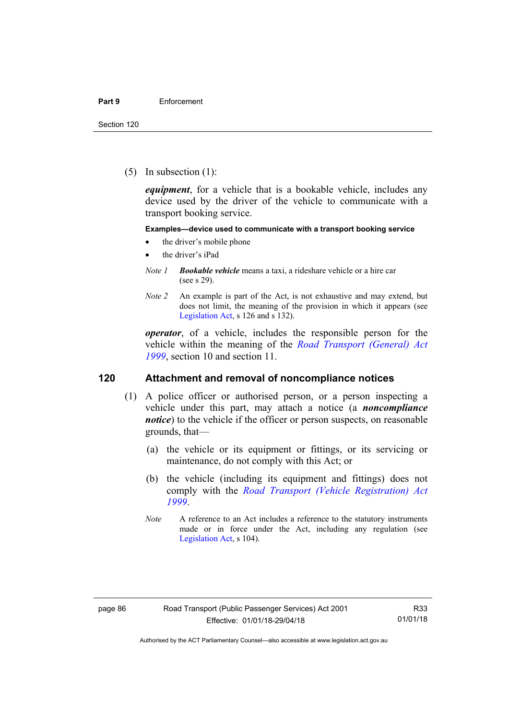(5) In subsection (1):

*equipment*, for a vehicle that is a bookable vehicle, includes any device used by the driver of the vehicle to communicate with a transport booking service.

#### **Examples—device used to communicate with a transport booking service**

- the driver's mobile phone
- the driver's iPad
- *Note 1 Bookable vehicle* means a taxi, a rideshare vehicle or a hire car (see s 29).
- *Note 2* An example is part of the Act, is not exhaustive and may extend, but does not limit, the meaning of the provision in which it appears (see [Legislation Act,](http://www.legislation.act.gov.au/a/2001-14) s 126 and s 132).

*operator*, of a vehicle, includes the responsible person for the vehicle within the meaning of the *[Road Transport \(General\) Act](http://www.legislation.act.gov.au/a/1999-77)  [1999](http://www.legislation.act.gov.au/a/1999-77)*, section 10 and section 11.

#### **120 Attachment and removal of noncompliance notices**

- (1) A police officer or authorised person, or a person inspecting a vehicle under this part, may attach a notice (a *noncompliance notice*) to the vehicle if the officer or person suspects, on reasonable grounds, that—
	- (a) the vehicle or its equipment or fittings, or its servicing or maintenance, do not comply with this Act; or
	- (b) the vehicle (including its equipment and fittings) does not comply with the *[Road Transport \(Vehicle Registration\) Act](http://www.legislation.act.gov.au/a/1999-81)  [1999](http://www.legislation.act.gov.au/a/1999-81)*.
	- *Note* A reference to an Act includes a reference to the statutory instruments made or in force under the Act, including any regulation (see [Legislation Act,](http://www.legislation.act.gov.au/a/2001-14) s 104).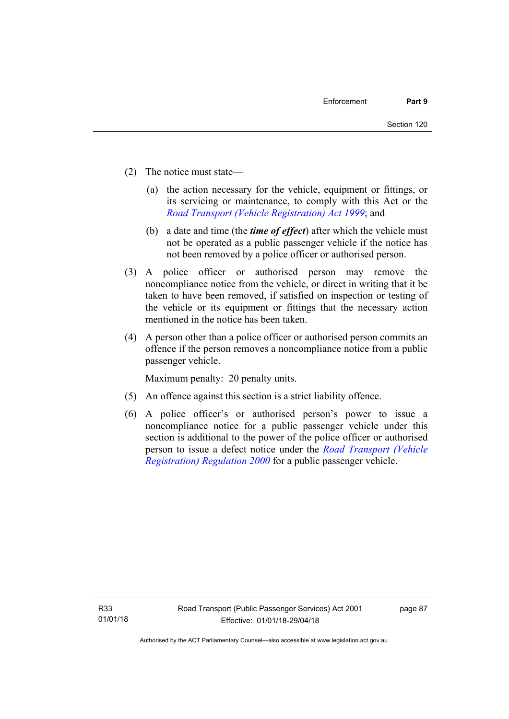- (2) The notice must state—
	- (a) the action necessary for the vehicle, equipment or fittings, or its servicing or maintenance, to comply with this Act or the *[Road Transport \(Vehicle Registration\) Act 1999](http://www.legislation.act.gov.au/a/1999-81)*; and
	- (b) a date and time (the *time of effect*) after which the vehicle must not be operated as a public passenger vehicle if the notice has not been removed by a police officer or authorised person.
- (3) A police officer or authorised person may remove the noncompliance notice from the vehicle, or direct in writing that it be taken to have been removed, if satisfied on inspection or testing of the vehicle or its equipment or fittings that the necessary action mentioned in the notice has been taken.
- (4) A person other than a police officer or authorised person commits an offence if the person removes a noncompliance notice from a public passenger vehicle.

Maximum penalty: 20 penalty units.

- (5) An offence against this section is a strict liability offence.
- (6) A police officer's or authorised person's power to issue a noncompliance notice for a public passenger vehicle under this section is additional to the power of the police officer or authorised person to issue a defect notice under the *[Road Transport \(Vehicle](http://www.legislation.act.gov.au/sl/2000-12)  [Registration\) Regulation 2000](http://www.legislation.act.gov.au/sl/2000-12)* for a public passenger vehicle.

page 87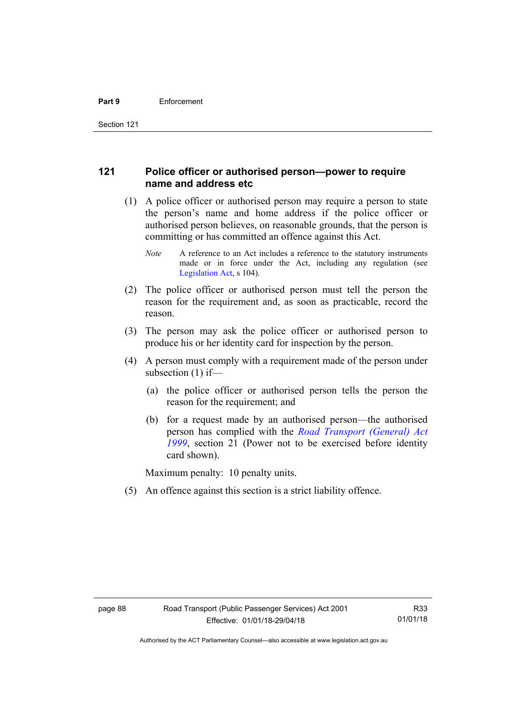# **121 Police officer or authorised person—power to require name and address etc**

- (1) A police officer or authorised person may require a person to state the person's name and home address if the police officer or authorised person believes, on reasonable grounds, that the person is committing or has committed an offence against this Act.
	- *Note* A reference to an Act includes a reference to the statutory instruments made or in force under the Act, including any regulation (see [Legislation Act,](http://www.legislation.act.gov.au/a/2001-14) s 104).
- (2) The police officer or authorised person must tell the person the reason for the requirement and, as soon as practicable, record the reason.
- (3) The person may ask the police officer or authorised person to produce his or her identity card for inspection by the person.
- (4) A person must comply with a requirement made of the person under subsection (1) if—
	- (a) the police officer or authorised person tells the person the reason for the requirement; and
	- (b) for a request made by an authorised person—the authorised person has complied with the *[Road Transport \(General\) Act](http://www.legislation.act.gov.au/a/1999-77)  [1999](http://www.legislation.act.gov.au/a/1999-77)*, section 21 (Power not to be exercised before identity card shown).

Maximum penalty: 10 penalty units.

(5) An offence against this section is a strict liability offence.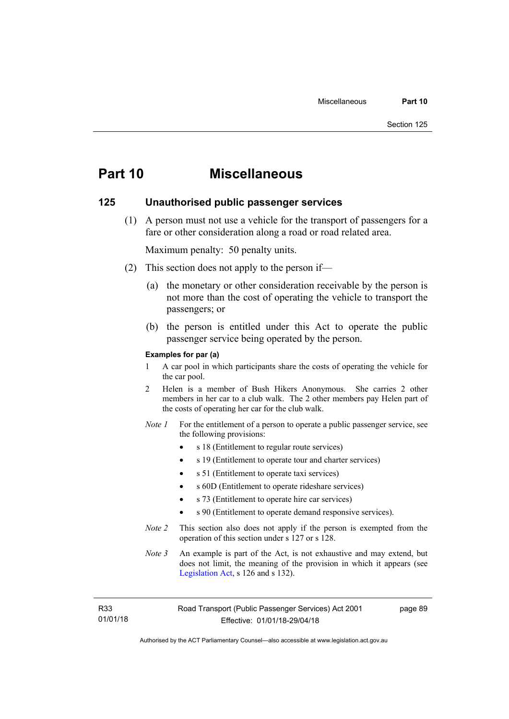# **Part 10 Miscellaneous**

#### **125 Unauthorised public passenger services**

 (1) A person must not use a vehicle for the transport of passengers for a fare or other consideration along a road or road related area.

Maximum penalty: 50 penalty units.

- (2) This section does not apply to the person if—
	- (a) the monetary or other consideration receivable by the person is not more than the cost of operating the vehicle to transport the passengers; or
	- (b) the person is entitled under this Act to operate the public passenger service being operated by the person.

#### **Examples for par (a)**

- 1 A car pool in which participants share the costs of operating the vehicle for the car pool.
- 2 Helen is a member of Bush Hikers Anonymous. She carries 2 other members in her car to a club walk. The 2 other members pay Helen part of the costs of operating her car for the club walk.
- *Note 1* For the entitlement of a person to operate a public passenger service, see the following provisions:
	- s 18 (Entitlement to regular route services)
	- s 19 (Entitlement to operate tour and charter services)
	- s 51 (Entitlement to operate taxi services)
	- s 60D (Entitlement to operate rideshare services)
	- s 73 (Entitlement to operate hire car services)
	- s 90 (Entitlement to operate demand responsive services).
- *Note 2* This section also does not apply if the person is exempted from the operation of this section under s 127 or s 128.
- *Note 3* An example is part of the Act, is not exhaustive and may extend, but does not limit, the meaning of the provision in which it appears (see [Legislation Act,](http://www.legislation.act.gov.au/a/2001-14) s 126 and s 132).

R33 01/01/18 page 89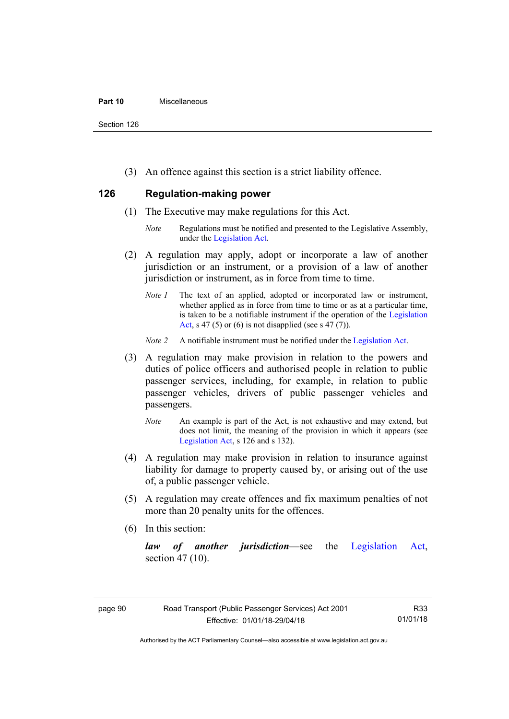#### **Part 10** Miscellaneous

Section 126

(3) An offence against this section is a strict liability offence.

# **126 Regulation-making power**

- (1) The Executive may make regulations for this Act.
	- *Note* Regulations must be notified and presented to the Legislative Assembly, under the [Legislation Act.](http://www.legislation.act.gov.au/a/2001-14)
- (2) A regulation may apply, adopt or incorporate a law of another jurisdiction or an instrument, or a provision of a law of another jurisdiction or instrument, as in force from time to time.
	- *Note 1* The text of an applied, adopted or incorporated law or instrument, whether applied as in force from time to time or as at a particular time, is taken to be a notifiable instrument if the operation of the [Legislation](http://www.legislation.act.gov.au/a/2001-14)  [Act](http://www.legislation.act.gov.au/a/2001-14), s 47 (5) or (6) is not disapplied (see s 47 (7)).
	- *Note 2* A notifiable instrument must be notified under the [Legislation Act](http://www.legislation.act.gov.au/a/2001-14).
- (3) A regulation may make provision in relation to the powers and duties of police officers and authorised people in relation to public passenger services, including, for example, in relation to public passenger vehicles, drivers of public passenger vehicles and passengers.
	- *Note* An example is part of the Act, is not exhaustive and may extend, but does not limit, the meaning of the provision in which it appears (see [Legislation Act,](http://www.legislation.act.gov.au/a/2001-14) s 126 and s 132).
- (4) A regulation may make provision in relation to insurance against liability for damage to property caused by, or arising out of the use of, a public passenger vehicle.
- (5) A regulation may create offences and fix maximum penalties of not more than 20 penalty units for the offences.
- (6) In this section:

*law of another jurisdiction*—see the [Legislation Act](http://www.legislation.act.gov.au/a/2001-14), section 47 (10).

R33 01/01/18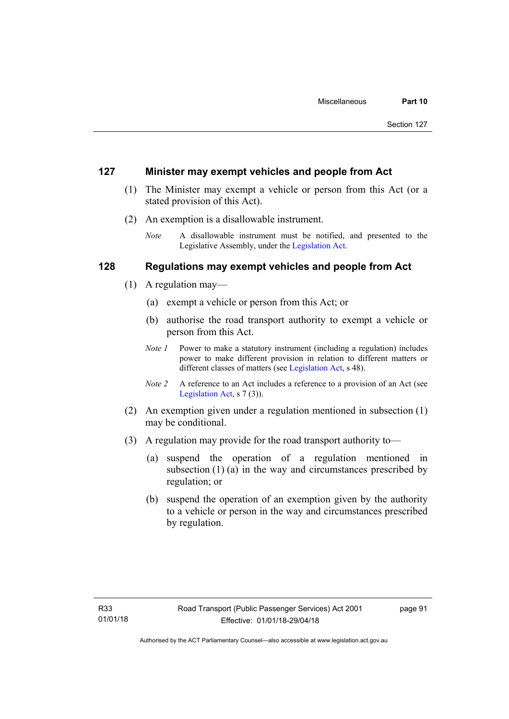#### **127 Minister may exempt vehicles and people from Act**

- (1) The Minister may exempt a vehicle or person from this Act (or a stated provision of this Act).
- (2) An exemption is a disallowable instrument.
	- *Note* A disallowable instrument must be notified, and presented to the Legislative Assembly, under the [Legislation Act.](http://www.legislation.act.gov.au/a/2001-14)

## **128 Regulations may exempt vehicles and people from Act**

- (1) A regulation may—
	- (a) exempt a vehicle or person from this Act; or
	- (b) authorise the road transport authority to exempt a vehicle or person from this Act.
	- *Note 1* Power to make a statutory instrument (including a regulation) includes power to make different provision in relation to different matters or different classes of matters (see [Legislation Act,](http://www.legislation.act.gov.au/a/2001-14) s 48).
	- *Note 2* A reference to an Act includes a reference to a provision of an Act (see [Legislation Act,](http://www.legislation.act.gov.au/a/2001-14) s 7 (3)).
- (2) An exemption given under a regulation mentioned in subsection (1) may be conditional.
- (3) A regulation may provide for the road transport authority to—
	- (a) suspend the operation of a regulation mentioned in subsection (1) (a) in the way and circumstances prescribed by regulation; or
	- (b) suspend the operation of an exemption given by the authority to a vehicle or person in the way and circumstances prescribed by regulation.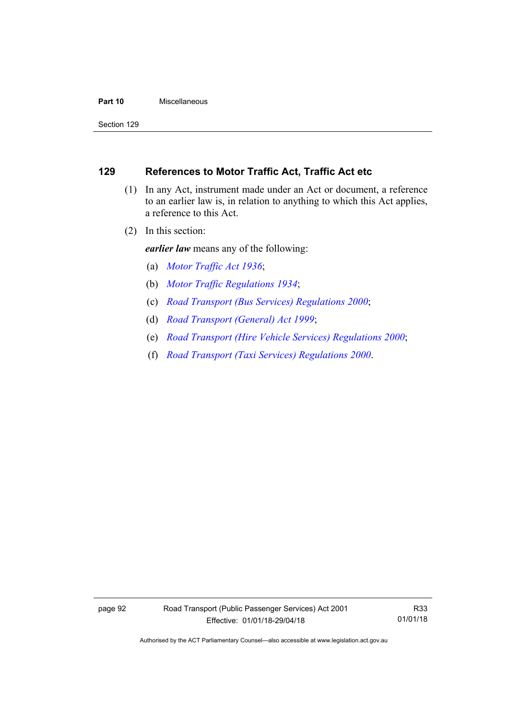#### **Part 10** Miscellaneous

Section 129

# **129 References to Motor Traffic Act, Traffic Act etc**

- (1) In any Act, instrument made under an Act or document, a reference to an earlier law is, in relation to anything to which this Act applies, a reference to this Act.
- (2) In this section:

*earlier law* means any of the following:

- (a) *[Motor Traffic Act 1936](http://www.legislation.act.gov.au/a/1936-45)*;
- (b) *[Motor Traffic Regulations 1934](http://www.legislation.act.gov.au/sl/1934-6)*;
- (c) *[Road Transport \(Bus Services\) Regulations 2000](http://www.legislation.act.gov.au/sl/2000-9)*;
- (d) *[Road Transport \(General\) Act 1999](http://www.legislation.act.gov.au/a/1999-77)*;
- (e) *[Road Transport \(Hire Vehicle Services\) Regulations 2000](http://www.legislation.act.gov.au/sl/2000-4)*;
- (f) *[Road Transport \(Taxi Services\) Regulations 2000](http://www.legislation.act.gov.au/sl/2000-5)*.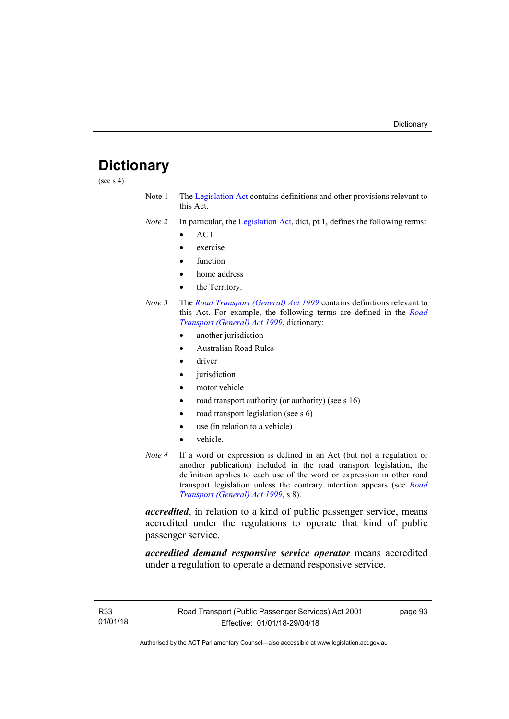# **Dictionary**

(see s 4)

- Note 1 The [Legislation Act](http://www.legislation.act.gov.au/a/2001-14) contains definitions and other provisions relevant to this Act.
- *Note 2* In particular, the [Legislation Act,](http://www.legislation.act.gov.au/a/2001-14) dict, pt 1, defines the following terms:
	- ACT
	- exercise
	- function
	- home address
	- the Territory.
- *Note 3* The *[Road Transport \(General\) Act 1999](http://www.legislation.act.gov.au/a/1999-77)* contains definitions relevant to this Act. For example, the following terms are defined in the *[Road](http://www.legislation.act.gov.au/a/1999-77)  [Transport \(General\) Act 1999](http://www.legislation.act.gov.au/a/1999-77)*, dictionary:
	- another jurisdiction
	- Australian Road Rules
	- driver
	- jurisdiction
	- motor vehicle
	- road transport authority (or authority) (see s 16)
	- road transport legislation (see s 6)
	- use (in relation to a vehicle)
	- vehicle.
- *Note 4* If a word or expression is defined in an Act (but not a regulation or another publication) included in the road transport legislation, the definition applies to each use of the word or expression in other road transport legislation unless the contrary intention appears (see *[Road](http://www.legislation.act.gov.au/a/1999-77)  [Transport \(General\) Act 1999](http://www.legislation.act.gov.au/a/1999-77)*, s 8).

*accredited*, in relation to a kind of public passenger service, means accredited under the regulations to operate that kind of public passenger service.

*accredited demand responsive service operator* means accredited under a regulation to operate a demand responsive service.

page 93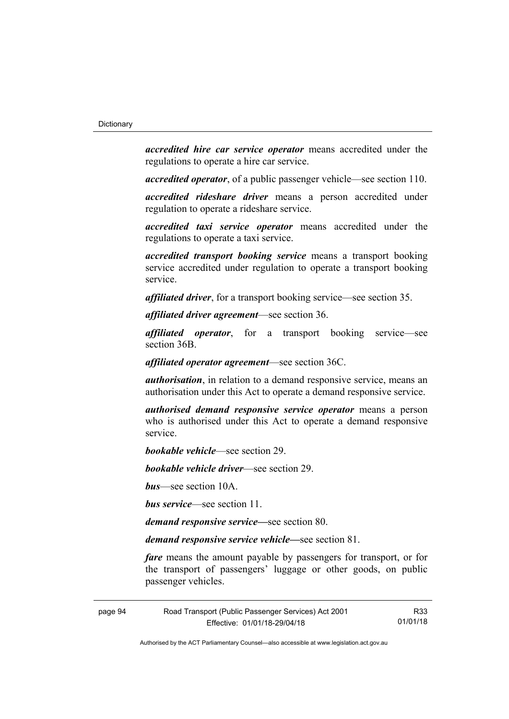*accredited hire car service operator* means accredited under the regulations to operate a hire car service.

*accredited operator*, of a public passenger vehicle—see section 110.

*accredited rideshare driver* means a person accredited under regulation to operate a rideshare service.

*accredited taxi service operator* means accredited under the regulations to operate a taxi service.

*accredited transport booking service* means a transport booking service accredited under regulation to operate a transport booking service.

*affiliated driver*, for a transport booking service—see section 35.

*affiliated driver agreement*—see section 36.

*affiliated operator*, for a transport booking service—see section 36B.

*affiliated operator agreement*—see section 36C.

*authorisation*, in relation to a demand responsive service, means an authorisation under this Act to operate a demand responsive service.

*authorised demand responsive service operator* means a person who is authorised under this Act to operate a demand responsive service.

*bookable vehicle*—see section 29.

*bookable vehicle driver*—see section 29.

*bus*—see section 10A.

*bus service*—see section 11.

*demand responsive service—*see section 80.

*demand responsive service vehicle—*see section 81.

*fare* means the amount payable by passengers for transport, or for the transport of passengers' luggage or other goods, on public passenger vehicles.

page 94 Road Transport (Public Passenger Services) Act 2001 Effective: 01/01/18-29/04/18

R33 01/01/18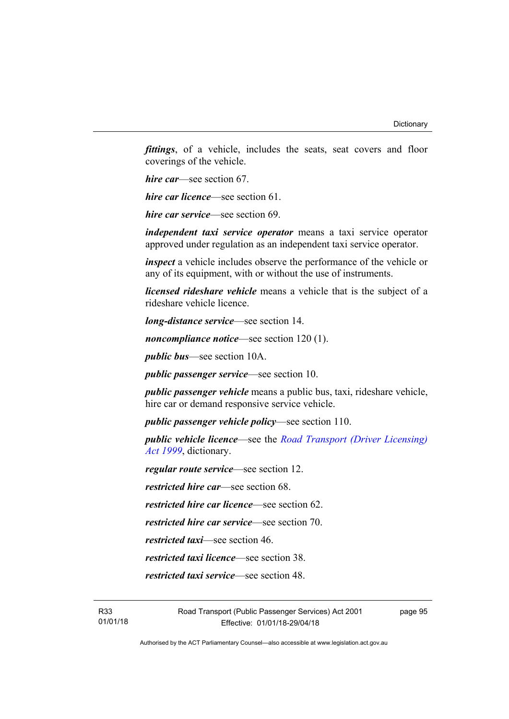*fittings*, of a vehicle, includes the seats, seat covers and floor coverings of the vehicle.

*hire car*—see section 67.

*hire car licence*—see section 61.

*hire car service*—see section 69.

*independent taxi service operator* means a taxi service operator approved under regulation as an independent taxi service operator.

*inspect* a vehicle includes observe the performance of the vehicle or any of its equipment, with or without the use of instruments.

*licensed rideshare vehicle* means a vehicle that is the subject of a rideshare vehicle licence.

*long-distance service*—see section 14.

*noncompliance notice*—see section 120 (1).

*public bus*—see section 10A.

*public passenger service*—see section 10.

*public passenger vehicle* means a public bus, taxi, rideshare vehicle, hire car or demand responsive service vehicle.

*public passenger vehicle policy*—see section 110.

*public vehicle licence*—see the *[Road Transport \(Driver Licensing\)](http://www.legislation.act.gov.au/a/1999-78)  [Act 1999](http://www.legislation.act.gov.au/a/1999-78)*, dictionary.

*regular route service*—see section 12.

*restricted hire car*—see section 68.

*restricted hire car licence*—see section 62.

*restricted hire car service*—see section 70.

*restricted taxi*—see section 46.

*restricted taxi licence*—see section 38.

*restricted taxi service*—see section 48.

page 95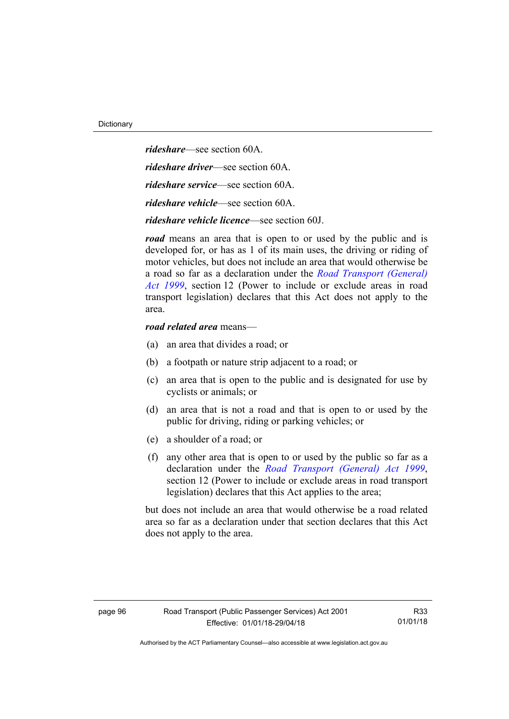*rideshare*—see section 60A. *rideshare driver*—see section 60A. *rideshare service*—see section 60A. *rideshare vehicle*—see section 60A. *rideshare vehicle licence*—see section 60J.

*road* means an area that is open to or used by the public and is developed for, or has as 1 of its main uses, the driving or riding of motor vehicles, but does not include an area that would otherwise be a road so far as a declaration under the *[Road Transport \(General\)](http://www.legislation.act.gov.au/a/1999-77)  [Act 1999](http://www.legislation.act.gov.au/a/1999-77)*, section 12 (Power to include or exclude areas in road transport legislation) declares that this Act does not apply to the area.

#### *road related area* means—

- (a) an area that divides a road; or
- (b) a footpath or nature strip adjacent to a road; or
- (c) an area that is open to the public and is designated for use by cyclists or animals; or
- (d) an area that is not a road and that is open to or used by the public for driving, riding or parking vehicles; or
- (e) a shoulder of a road; or
- (f) any other area that is open to or used by the public so far as a declaration under the *[Road Transport \(General\) Act 1999](http://www.legislation.act.gov.au/a/1999-77)*, section 12 (Power to include or exclude areas in road transport legislation) declares that this Act applies to the area;

but does not include an area that would otherwise be a road related area so far as a declaration under that section declares that this Act does not apply to the area.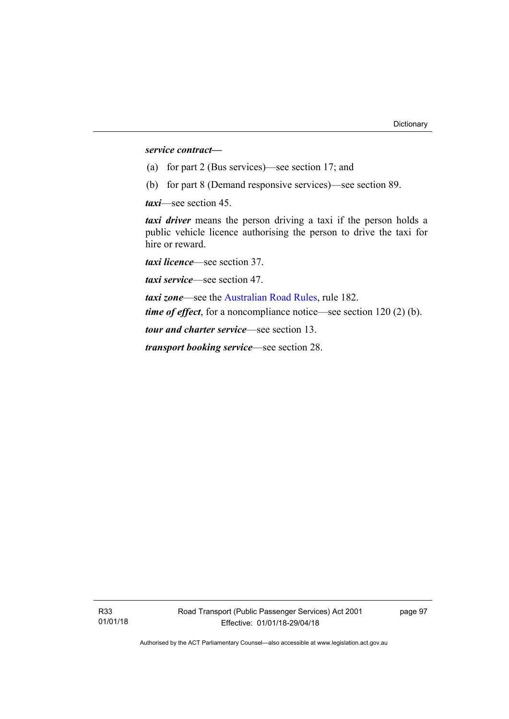#### *service contract—*

- (a) for part 2 (Bus services)—see section 17; and
- (b) for part 8 (Demand responsive services)—see section 89.

*taxi*—see section 45.

*taxi driver* means the person driving a taxi if the person holds a public vehicle licence authorising the person to drive the taxi for hire or reward.

*taxi licence*—see section 37.

*taxi service*—see section 47.

*taxi zone*—see the [Australian Road Rules](http://www.legislation.act.gov.au//ni/db_37271/default.asp), rule 182. *time of effect*, for a noncompliance notice—see section 120 (2) (b).

*tour and charter service*—see section 13.

*transport booking service*—see section 28.

page 97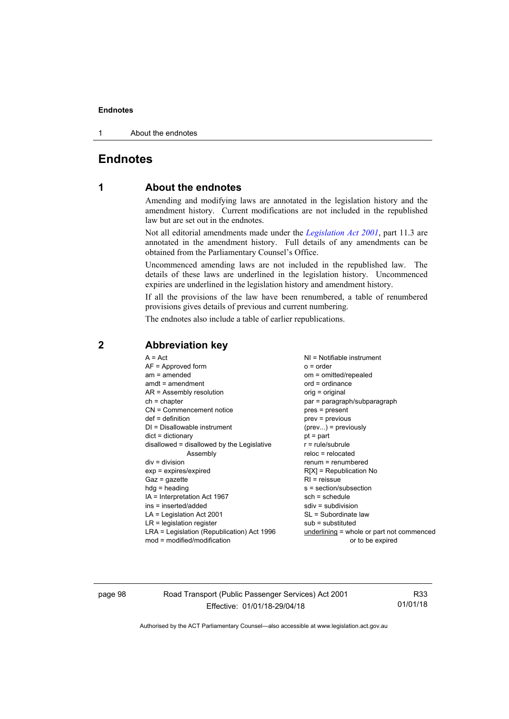#### **Endnotes**

1 About the endnotes

# **Endnotes**

## **1 About the endnotes**

Amending and modifying laws are annotated in the legislation history and the amendment history. Current modifications are not included in the republished law but are set out in the endnotes.

Not all editorial amendments made under the *[Legislation Act 2001](http://www.legislation.act.gov.au/a/2001-14/default.asp)*, part 11.3 are annotated in the amendment history. Full details of any amendments can be obtained from the Parliamentary Counsel's Office.

Uncommenced amending laws are not included in the republished law. The details of these laws are underlined in the legislation history. Uncommenced expiries are underlined in the legislation history and amendment history.

If all the provisions of the law have been renumbered, a table of renumbered provisions gives details of previous and current numbering.

The endnotes also include a table of earlier republications.

| $A = Act$<br>$AF =$ Approved form<br>$am = amended$<br>$amdt = amendment$<br>$AR = Assembly resolution$<br>$ch = chapter$<br>CN = Commencement notice<br>$def = definition$<br>$DI = Disallowable instrument$<br>$dict = dictionary$<br>disallowed = disallowed by the Legislative<br>Assembly<br>$div = division$<br>$exp = expires/expired$<br>$Gaz = qazette$<br>$hdg = heading$<br>IA = Interpretation Act 1967<br>ins = inserted/added<br>$LA =$ Legislation Act 2001<br>$LR =$ legislation register | $NI = Notifiable$ instrument<br>$o = order$<br>om = omitted/repealed<br>$ord = ordinance$<br>orig = original<br>par = paragraph/subparagraph<br>pres = present<br>$prev = previous$<br>$(\text{prev})$ = previously<br>$pt = part$<br>$r = rule/subrule$<br>$reloc = relocated$<br>$renum = renumbered$<br>$R[X]$ = Republication No<br>$RI =$ reissue<br>$s = section/subsection$<br>$sch = schedule$<br>$sdiv = subdivision$<br>SL = Subordinate law |
|-----------------------------------------------------------------------------------------------------------------------------------------------------------------------------------------------------------------------------------------------------------------------------------------------------------------------------------------------------------------------------------------------------------------------------------------------------------------------------------------------------------|--------------------------------------------------------------------------------------------------------------------------------------------------------------------------------------------------------------------------------------------------------------------------------------------------------------------------------------------------------------------------------------------------------------------------------------------------------|
|                                                                                                                                                                                                                                                                                                                                                                                                                                                                                                           |                                                                                                                                                                                                                                                                                                                                                                                                                                                        |
|                                                                                                                                                                                                                                                                                                                                                                                                                                                                                                           | $sub =$ substituted                                                                                                                                                                                                                                                                                                                                                                                                                                    |
| LRA = Legislation (Republication) Act 1996<br>$mod = modified/modification$                                                                                                                                                                                                                                                                                                                                                                                                                               | underlining = whole or part not commenced<br>or to be expired                                                                                                                                                                                                                                                                                                                                                                                          |

# **2 Abbreviation key**

page 98 Road Transport (Public Passenger Services) Act 2001 Effective: 01/01/18-29/04/18

R33 01/01/18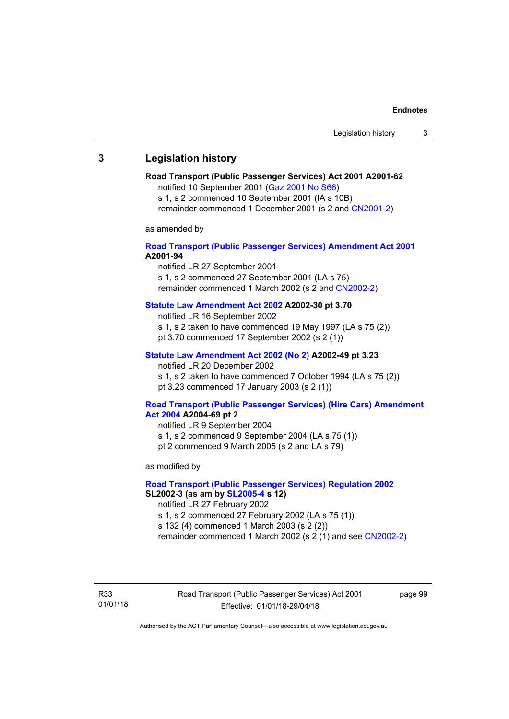## **3 Legislation history**

## **Road Transport (Public Passenger Services) Act 2001 A2001-62**

notified 10 September 2001 [\(Gaz 2001 No S66\)](http://www.legislation.act.gov.au/gaz/2001-S66/default.asp)

s 1, s 2 commenced 10 September 2001 (IA s 10B) remainder commenced 1 December 2001 (s 2 and [CN2001-2\)](http://www.legislation.act.gov.au/cn/2001-2/default.asp)

as amended by

## **[Road Transport \(Public Passenger Services\) Amendment Act 2001](http://www.legislation.act.gov.au/a/2001-94) A2001-94**

notified LR 27 September 2001

s 1, s 2 commenced 27 September 2001 (LA s 75) remainder commenced 1 March 2002 (s 2 and [CN2002-2\)](http://www.legislation.act.gov.au/cn/2002-2/default.asp)

## **[Statute Law Amendment Act 2002](http://www.legislation.act.gov.au/a/2002-30) A2002-30 pt 3.70**

notified LR 16 September 2002

- s 1, s 2 taken to have commenced 19 May 1997 (LA s 75 (2))
- pt 3.70 commenced 17 September 2002 (s 2 (1))

## **[Statute Law Amendment Act 2002 \(No 2\)](http://www.legislation.act.gov.au/a/2002-49) A2002-49 pt 3.23**

notified LR 20 December 2002 s 1, s 2 taken to have commenced 7 October 1994 (LA s 75 (2)) pt 3.23 commenced 17 January 2003 (s 2 (1))

#### **[Road Transport \(Public Passenger Services\) \(Hire Cars\) Amendment](http://www.legislation.act.gov.au/a/2004-69)  [Act 2004](http://www.legislation.act.gov.au/a/2004-69) A2004-69 pt 2**

notified LR 9 September 2004 s 1, s 2 commenced 9 September 2004 (LA s 75 (1)) pt 2 commenced 9 March 2005 (s 2 and LA s 79)

as modified by

## **[Road Transport \(Public Passenger Services\) Regulation 2002](http://www.legislation.act.gov.au/sl/2002-3) SL2002-3 (as am by [SL2005-4](http://www.legislation.act.gov.au/sl/2005-4) s 12)**

notified LR 27 February 2002

s 1, s 2 commenced 27 February 2002 (LA s 75 (1))

s 132 (4) commenced 1 March 2003 (s 2 (2))

remainder commenced 1 March 2002 (s 2 (1) and see [CN2002-2](http://www.legislation.act.gov.au/cn/2002-2/default.asp))

R33 01/01/18 Road Transport (Public Passenger Services) Act 2001 Effective: 01/01/18-29/04/18

page 99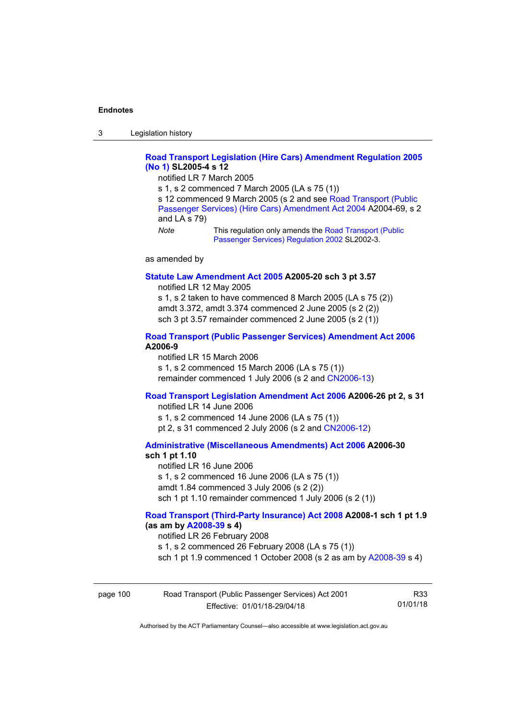3 Legislation history

## **[Road Transport Legislation \(Hire Cars\) Amendment Regulation 2005](http://www.legislation.act.gov.au/sl/2005-4)  [\(No 1\)](http://www.legislation.act.gov.au/sl/2005-4) SL2005-4 s 12**

notified LR 7 March 2005

s 1, s 2 commenced 7 March 2005 (LA s 75 (1))

s 12 commenced 9 March 2005 (s 2 and see [Road Transport \(Public](http://www.legislation.act.gov.au/a/2004-69)  [Passenger Services\) \(Hire Cars\) Amendment Act 2004](http://www.legislation.act.gov.au/a/2004-69) A2004-69, s 2 and LA s 79)

*Note* This regulation only amends the Road Transport (Public [Passenger Services\) Regulation 2002](http://www.legislation.act.gov.au/sl/2002-3) SL2002-3.

as amended by

#### **[Statute Law Amendment Act 2005](http://www.legislation.act.gov.au/a/2005-20) A2005-20 sch 3 pt 3.57**

notified LR 12 May 2005

s 1, s 2 taken to have commenced 8 March 2005 (LA s 75 (2)) amdt 3.372, amdt 3.374 commenced 2 June 2005 (s 2 (2)) sch 3 pt 3.57 remainder commenced 2 June 2005 (s 2 (1))

### **[Road Transport \(Public Passenger Services\) Amendment Act 2006](http://www.legislation.act.gov.au/a/2006-9) A2006-9**

notified LR 15 March 2006 s 1, s 2 commenced 15 March 2006 (LA s 75 (1)) remainder commenced 1 July 2006 (s 2 and [CN2006-13](http://www.legislation.act.gov.au/cn/2006-13/default.asp))

## **[Road Transport Legislation Amendment Act 2006](http://www.legislation.act.gov.au/a/2006-26) A2006-26 pt 2, s 31**

notified LR 14 June 2006 s 1, s 2 commenced 14 June 2006 (LA s 75 (1)) pt 2, s 31 commenced 2 July 2006 (s 2 and [CN2006-12](http://www.legislation.act.gov.au/cn/2006-12/default.asp))

**[Administrative \(Miscellaneous Amendments\) Act 2006](http://www.legislation.act.gov.au/a/2006-30) A2006-30** 

## **sch 1 pt 1.10**

notified LR 16 June 2006 s 1, s 2 commenced 16 June 2006 (LA s 75 (1)) amdt 1.84 commenced 3 July 2006 (s 2 (2)) sch 1 pt 1.10 remainder commenced 1 July 2006 (s 2 (1))

## **[Road Transport \(Third-Party Insurance\) Act 2008](http://www.legislation.act.gov.au/a/2008-1) A2008-1 sch 1 pt 1.9 (as am by [A2008-39](http://www.legislation.act.gov.au/a/2008-39) s 4)**

notified LR 26 February 2008

s 1, s 2 commenced 26 February 2008 (LA s 75 (1))

sch 1 pt 1.9 commenced 1 October 2008 (s 2 as am by [A2008-39](http://www.legislation.act.gov.au/a/2008-39) s 4)

| page 100 | Road Transport (Public Passenger Services) Act 2001 | R33      |
|----------|-----------------------------------------------------|----------|
|          | Effective: 01/01/18-29/04/18                        | 01/01/18 |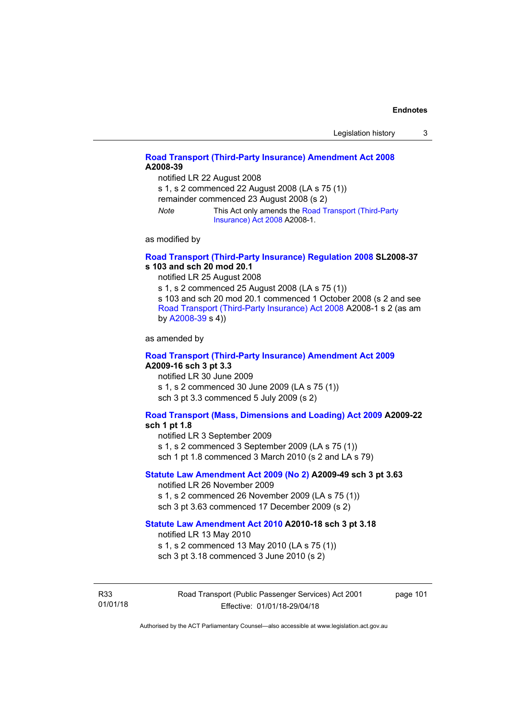## **[Road Transport \(Third-Party Insurance\) Amendment Act 2008](http://www.legislation.act.gov.au/a/2008-39) A2008-39**

notified LR 22 August 2008

s 1, s 2 commenced 22 August 2008 (LA s 75 (1))

remainder commenced 23 August 2008 (s 2)

*Note* This Act only amends the [Road Transport \(Third-Party](http://www.legislation.act.gov.au/a/2008-1)  [Insurance\) Act 2008](http://www.legislation.act.gov.au/a/2008-1) A2008-1.

as modified by

## **[Road Transport \(Third-Party Insurance\) Regulation 2008](http://www.legislation.act.gov.au/sl/2008-37) SL2008-37 s 103 and sch 20 mod 20.1**

notified LR 25 August 2008

s 1, s 2 commenced 25 August 2008 (LA s 75 (1))

s 103 and sch 20 mod 20.1 commenced 1 October 2008 (s 2 and see [Road Transport \(Third-Party Insurance\) Act 2008](http://www.legislation.act.gov.au/a/2008-1) A2008-1 s 2 (as am by [A2008-39](http://www.legislation.act.gov.au/a/2008-39) s 4))

as amended by

#### **[Road Transport \(Third-Party Insurance\) Amendment Act 2009](http://www.legislation.act.gov.au/a/2009-16) A2009-16 sch 3 pt 3.3**

notified LR 30 June 2009 s 1, s 2 commenced 30 June 2009 (LA s 75 (1)) sch 3 pt 3.3 commenced 5 July 2009 (s 2)

## **[Road Transport \(Mass, Dimensions and Loading\) Act 2009](http://www.legislation.act.gov.au/a/2009-22/default.asp) A2009-22**

## **sch 1 pt 1.8**

notified LR 3 September 2009

s 1, s 2 commenced 3 September 2009 (LA s 75 (1))

sch 1 pt 1.8 commenced 3 March 2010 (s 2 and LA s 79)

## **[Statute Law Amendment Act 2009 \(No 2\)](http://www.legislation.act.gov.au/a/2009-49) A2009-49 sch 3 pt 3.63**

notified LR 26 November 2009 s 1, s 2 commenced 26 November 2009 (LA s 75 (1)) sch 3 pt 3.63 commenced 17 December 2009 (s 2)

#### **[Statute Law Amendment Act 2010](http://www.legislation.act.gov.au/a/2010-18) A2010-18 sch 3 pt 3.18**

notified LR 13 May 2010

s 1, s 2 commenced 13 May 2010 (LA s 75 (1))

sch 3 pt 3.18 commenced 3 June 2010 (s 2)

R33 01/01/18 Road Transport (Public Passenger Services) Act 2001 Effective: 01/01/18-29/04/18

page 101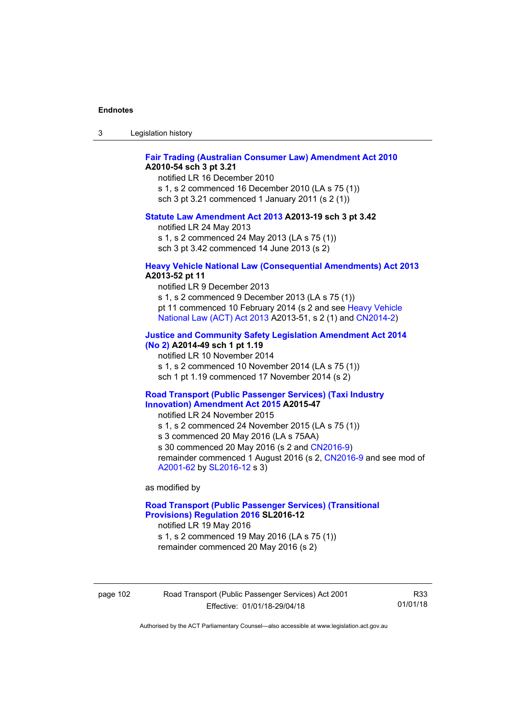| ు | Legislation history |  |
|---|---------------------|--|
|---|---------------------|--|

## **[Fair Trading \(Australian Consumer Law\) Amendment Act 2010](http://www.legislation.act.gov.au/a/2010-54) A2010-54 sch 3 pt 3.21**

notified LR 16 December 2010 s 1, s 2 commenced 16 December 2010 (LA s 75 (1)) sch 3 pt 3.21 commenced 1 January 2011 (s 2 (1))

#### **[Statute Law Amendment Act 2013](http://www.legislation.act.gov.au/a/2013-19) A2013-19 sch 3 pt 3.42**

notified LR 24 May 2013

s 1, s 2 commenced 24 May 2013 (LA s 75 (1)) sch 3 pt 3.42 commenced 14 June 2013 (s 2)

#### **[Heavy Vehicle National Law \(Consequential Amendments\) Act 2013](http://www.legislation.act.gov.au/a/2013-52) A2013-52 pt 11**

notified LR 9 December 2013

s 1, s 2 commenced 9 December 2013 (LA s 75 (1)) pt 11 commenced 10 February 2014 (s 2 and see [Heavy Vehicle](http://www.legislation.act.gov.au/a/2013-51/default.asp)  [National Law \(ACT\) Act 2013](http://www.legislation.act.gov.au/a/2013-51/default.asp) A2013-51, s 2 (1) and [CN2014-2](http://www.legislation.act.gov.au/cn/2014-2/default.asp))

## **[Justice and Community Safety Legislation Amendment Act 2014](http://www.legislation.act.gov.au/a/2014-49)**

**[\(No 2\)](http://www.legislation.act.gov.au/a/2014-49) A2014-49 sch 1 pt 1.19** 

notified LR 10 November 2014

s 1, s 2 commenced 10 November 2014 (LA s 75 (1))

sch 1 pt 1.19 commenced 17 November 2014 (s 2)

#### **[Road Transport \(Public Passenger Services\) \(Taxi Industry](http://www.legislation.act.gov.au/a/2015-47/default.asp)  [Innovation\) Amendment Act 2015](http://www.legislation.act.gov.au/a/2015-47/default.asp) A2015-47**

notified LR 24 November 2015

s 1, s 2 commenced 24 November 2015 (LA s 75 (1))

s 3 commenced 20 May 2016 (LA s 75AA)

s 30 commenced 20 May 2016 (s 2 and [CN2016-9](http://www.legislation.act.gov.au/cn/2016-9/default.asp))

remainder commenced 1 August 2016 (s 2, [CN2016-9](http://www.legislation.act.gov.au/cn/2016-9/default.asp) and see mod of [A2001-62](http://www.legislation.act.gov.au/a/2001-62/default.asp) by [SL2016-12](http://www.legislation.act.gov.au/sl/2016-12/default.asp) s 3)

as modified by

## **[Road Transport \(Public Passenger Services\) \(Transitional](http://www.legislation.act.gov.au/sl/2016-12/default.asp)  [Provisions\) Regulation 2016](http://www.legislation.act.gov.au/sl/2016-12/default.asp) SL2016-12**

notified LR 19 May 2016 s 1, s 2 commenced 19 May 2016 (LA s 75 (1))

remainder commenced 20 May 2016 (s 2)

page 102 Road Transport (Public Passenger Services) Act 2001 Effective: 01/01/18-29/04/18

R33 01/01/18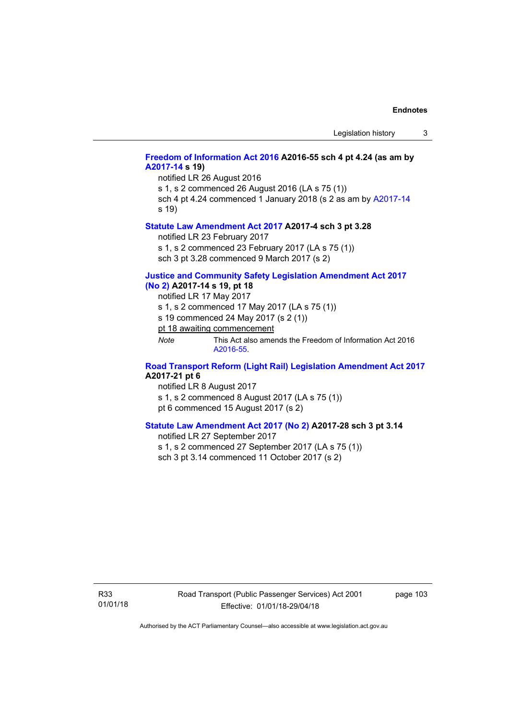## **[Freedom of Information Act 2016](http://www.legislation.act.gov.au/a/2016-55/default.asp) A2016-55 sch 4 pt 4.24 (as am by [A2017-14](http://www.legislation.act.gov.au/a/2017-14) s 19)**

notified LR 26 August 2016

s 1, s 2 commenced 26 August 2016 (LA s 75 (1))

sch 4 pt 4.24 commenced 1 January 2018 (s 2 as am by [A2017-14](http://www.legislation.act.gov.au/a/2017-14) s 19)

#### **[Statute Law Amendment Act 2017](http://www.legislation.act.gov.au/a/2017-4/default.asp) A2017-4 sch 3 pt 3.28**

notified LR 23 February 2017

s 1, s 2 commenced 23 February 2017 (LA s 75 (1))

sch 3 pt 3.28 commenced 9 March 2017 (s 2)

## **[Justice and Community Safety Legislation Amendment Act 2017](http://www.legislation.act.gov.au/a/2017-14/default.asp)**

**[\(No 2\)](http://www.legislation.act.gov.au/a/2017-14/default.asp) A2017-14 s 19, pt 18** 

notified LR 17 May 2017

s 1, s 2 commenced 17 May 2017 (LA s 75 (1))

s 19 commenced 24 May 2017 (s 2 (1))

pt 18 awaiting commencement

*Note* This Act also amends the Freedom of Information Act 2016 [A2016-55](http://www.legislation.act.gov.au/a/2016-55/default.asp).

## **[Road Transport Reform \(Light Rail\) Legislation Amendment Act 2017](http://www.legislation.act.gov.au/a/2017-21/default.asp) A2017-21 pt 6**

notified LR 8 August 2017 s 1, s 2 commenced 8 August 2017 (LA s 75 (1)) pt 6 commenced 15 August 2017 (s 2)

## **[Statute Law Amendment Act 2017 \(No 2\)](http://www.legislation.act.gov.au/a/2017-28/default.asp) A2017-28 sch 3 pt 3.14**

notified LR 27 September 2017

s 1, s 2 commenced 27 September 2017 (LA s 75 (1))

sch 3 pt 3.14 commenced 11 October 2017 (s 2)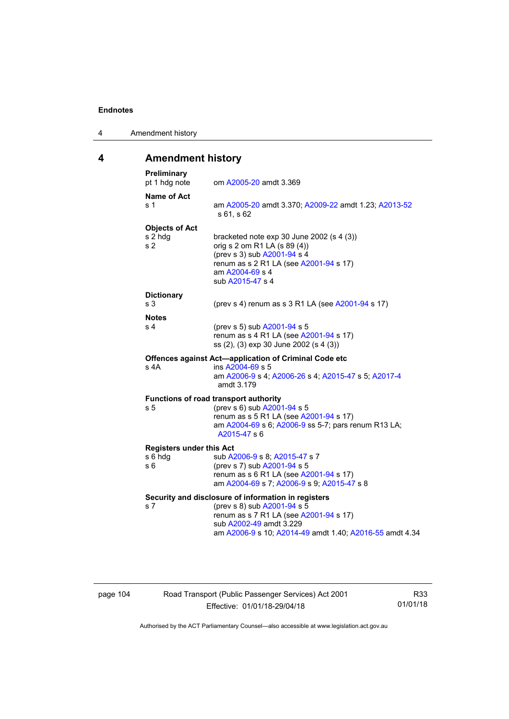4 Amendment history

# **4 Amendment history**

| Preliminary<br>pt 1 hdg note                       | om A2005-20 amdt 3.369                                                                                                                                                                                             |
|----------------------------------------------------|--------------------------------------------------------------------------------------------------------------------------------------------------------------------------------------------------------------------|
| Name of Act<br>s 1                                 | am A2005-20 amdt 3.370; A2009-22 amdt 1.23; A2013-52<br>s 61, s 62                                                                                                                                                 |
| <b>Objects of Act</b><br>s 2 hdg<br>s <sub>2</sub> | bracketed note $exp 30$ June 2002 (s 4 (3))<br>orig s 2 om R1 LA (s 89 (4))<br>(prev s 3) sub A2001-94 s 4<br>renum as s 2 R1 LA (see A2001-94 s 17)<br>am A2004-69 s 4<br>sub A2015-47 s 4                        |
| <b>Dictionary</b><br>s <sub>3</sub>                | (prev s 4) renum as s 3 R1 LA (see A2001-94 s 17)                                                                                                                                                                  |
| <b>Notes</b><br>s 4                                | (prev s 5) sub A2001-94 s 5<br>renum as s 4 R1 LA (see A2001-94 s 17)<br>ss (2), (3) exp 30 June 2002 (s 4 (3))                                                                                                    |
| s 4A                                               | Offences against Act-application of Criminal Code etc<br>ins A2004-69 s 5<br>am A2006-9 s 4; A2006-26 s 4; A2015-47 s 5; A2017-4<br>amdt 3.179                                                                     |
| s 5                                                | Functions of road transport authority<br>(prev s 6) sub A2001-94 s 5<br>renum as s 5 R1 LA (see A2001-94 s 17)<br>am A2004-69 s 6; A2006-9 ss 5-7; pars renum R13 LA;<br>A2015-47 s 6                              |
| <b>Registers under this Act</b><br>s 6 hdg<br>s 6  | sub A2006-9 s 8; A2015-47 s 7<br>(prev s 7) sub A2001-94 s 5<br>renum as s 6 R1 LA (see A2001-94 s 17)<br>am A2004-69 s 7; A2006-9 s 9; A2015-47 s 8                                                               |
| s 7                                                | Security and disclosure of information in registers<br>(prev s 8) sub A2001-94 s 5<br>renum as s 7 R1 LA (see A2001-94 s 17)<br>sub A2002-49 amdt 3.229<br>am A2006-9 s 10; A2014-49 amdt 1.40; A2016-55 amdt 4.34 |

page 104 Road Transport (Public Passenger Services) Act 2001 Effective: 01/01/18-29/04/18

R33 01/01/18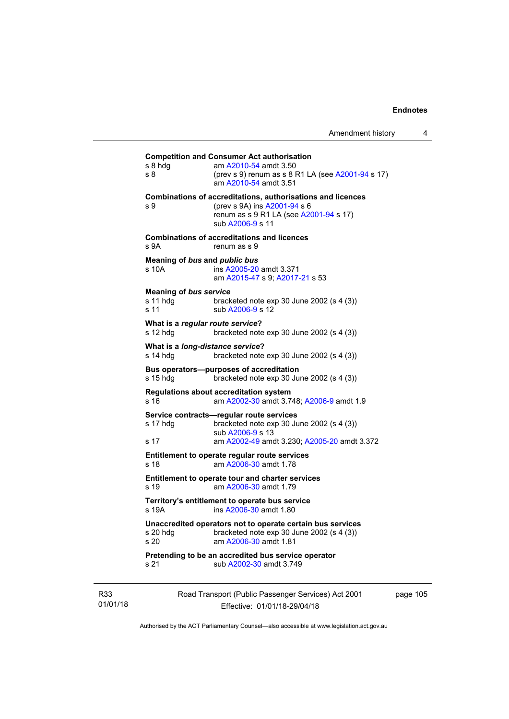## **Competition and Consumer Act authorisation**  s 8 hdg am [A2010-54](http://www.legislation.act.gov.au/a/2010-54) amdt 3.50 s 8 (prev s 9) renum as s 8 R1 LA (see [A2001-94](http://www.legislation.act.gov.au/a/2001-94) s 17) am [A2010-54](http://www.legislation.act.gov.au/a/2010-54) amdt 3.51 **Combinations of accreditations, authorisations and licences**  s 9 (prev s 9A) ins [A2001-94](http://www.legislation.act.gov.au/a/2001-94) s 6 renum as s 9 R1 LA (see [A2001-94](http://www.legislation.act.gov.au/a/2001-94) s 17) sub [A2006-9](http://www.legislation.act.gov.au/a/2006-9) s 11 **Combinations of accreditations and licences**  s 9A renum as s 9 **Meaning of** *bus* **and** *public bus* s 10A ins [A2005-20](http://www.legislation.act.gov.au/a/2005-20) amdt 3.371 am [A2015-47](http://www.legislation.act.gov.au/a/2015-47) s 9; [A2017-21](http://www.legislation.act.gov.au/a/2017-21/default.asp) s 53 **Meaning of** *bus service* s 11 hdg bracketed note exp 30 June 2002 (s 4 (3)) s 11 sub [A2006-9](http://www.legislation.act.gov.au/a/2006-9) s 12 **What is a** *regular route service***?**  s 12 hdg bracketed note exp 30 June 2002 (s 4 (3)) **What is a** *long-distance service***?**  s 14 hdg bracketed note exp 30 June 2002 (s 4 (3)) **Bus operators—purposes of accreditation**  s 15 hdg bracketed note exp 30 June 2002 (s 4 (3)) **Regulations about accreditation system**  s 16 am [A2002-30](http://www.legislation.act.gov.au/a/2002-30) amdt 3.748; [A2006-9](http://www.legislation.act.gov.au/a/2006-9) amdt 1.9 **Service contracts—regular route services**  s 17 hdg bracketed note exp 30 June 2002 (s 4 (3)) sub [A2006-9](http://www.legislation.act.gov.au/a/2006-9) s 13 s 17 am [A2002-49](http://www.legislation.act.gov.au/a/2002-49) amdt 3.230; [A2005-20](http://www.legislation.act.gov.au/a/2005-20) amdt 3.372 **Entitlement to operate regular route services**  s 18 am [A2006-30](http://www.legislation.act.gov.au/a/2006-30) amdt 1.78 **Entitlement to operate tour and charter services**  s 19 am [A2006-30](http://www.legislation.act.gov.au/a/2006-30) amdt 1.79 **Territory's entitlement to operate bus service**  s 19A ins [A2006-30](http://www.legislation.act.gov.au/a/2006-30) amdt 1.80 **Unaccredited operators not to operate certain bus services**  s 20 hdg bracketed note exp 30 June 2002 (s 4 (3)) s 20 am [A2006-30](http://www.legislation.act.gov.au/a/2006-30) amdt 1.81 **Pretending to be an accredited bus service operator**  s 21 sub [A2002-30](http://www.legislation.act.gov.au/a/2002-30) amdt 3.749

R33 01/01/18 Road Transport (Public Passenger Services) Act 2001 Effective: 01/01/18-29/04/18

page 105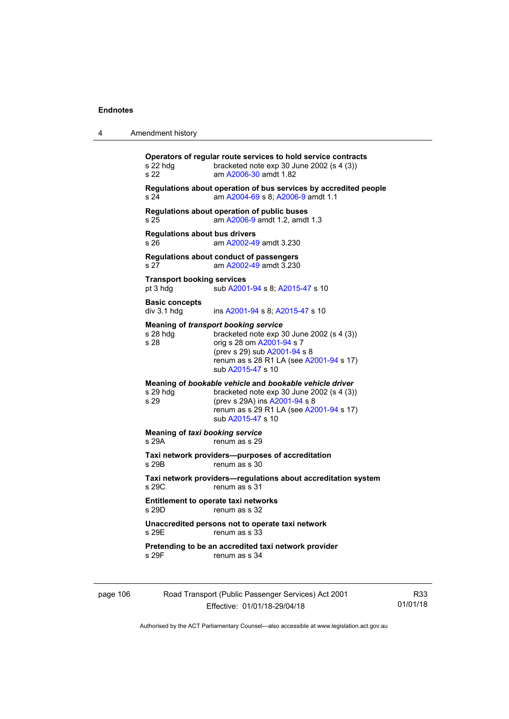| 4        | Amendment history                                                                                                                                                                                                                             |
|----------|-----------------------------------------------------------------------------------------------------------------------------------------------------------------------------------------------------------------------------------------------|
|          | Operators of regular route services to hold service contracts<br>s 22 hdg<br>bracketed note $exp 30$ June 2002 (s 4 (3))<br>s 22<br>am A2006-30 amdt 1.82                                                                                     |
|          | Regulations about operation of bus services by accredited people<br>am A2004-69 s 8; A2006-9 amdt 1.1<br>s 24                                                                                                                                 |
|          | Regulations about operation of public buses<br>am A2006-9 amdt 1.2, amdt 1.3<br>s 25                                                                                                                                                          |
|          | <b>Regulations about bus drivers</b><br>am A2002-49 amdt 3.230<br>s 26                                                                                                                                                                        |
|          | Regulations about conduct of passengers<br>s 27<br>am A2002-49 amdt 3.230                                                                                                                                                                     |
|          | <b>Transport booking services</b><br>sub A2001-94 s 8; A2015-47 s 10<br>pt 3 hdg                                                                                                                                                              |
|          | <b>Basic concepts</b><br>div 3.1 hdg<br>ins A2001-94 s 8; A2015-47 s 10                                                                                                                                                                       |
|          | <b>Meaning of transport booking service</b><br>$s$ 28 hdg<br>bracketed note $exp 30$ June 2002 (s 4 (3))<br>s 28<br>orig s 28 om A2001-94 s 7<br>(prev s 29) sub A2001-94 s 8<br>renum as s 28 R1 LA (see A2001-94 s 17)<br>sub A2015-47 s 10 |
|          | Meaning of bookable vehicle and bookable vehicle driver<br>s 29 hdg<br>bracketed note $exp 30$ June 2002 (s 4 (3))<br>s 29<br>(prev s 29A) ins A2001-94 s 8<br>renum as s 29 R1 LA (see A2001-94 s 17)<br>sub A2015-47 s 10                   |
|          | <b>Meaning of taxi booking service</b><br>s 29A<br>renum as s 29                                                                                                                                                                              |
|          | Taxi network providers--purposes of accreditation<br>s 29B<br>renum as s 30                                                                                                                                                                   |
|          | Taxi network providers-regulations about accreditation system<br>s29C<br>renum as s 31                                                                                                                                                        |
|          | <b>Entitlement to operate taxi networks</b><br>s 29D.<br>renum as s 32                                                                                                                                                                        |
|          | Unaccredited persons not to operate taxi network<br>s 29E<br>renum as s 33                                                                                                                                                                    |
|          | Pretending to be an accredited taxi network provider<br>s 29F<br>renum as s 34                                                                                                                                                                |
| page 106 | Road Transport (Public Passenger Services) Act 2001                                                                                                                                                                                           |

Effective: 01/01/18-29/04/18

R33 01/01/18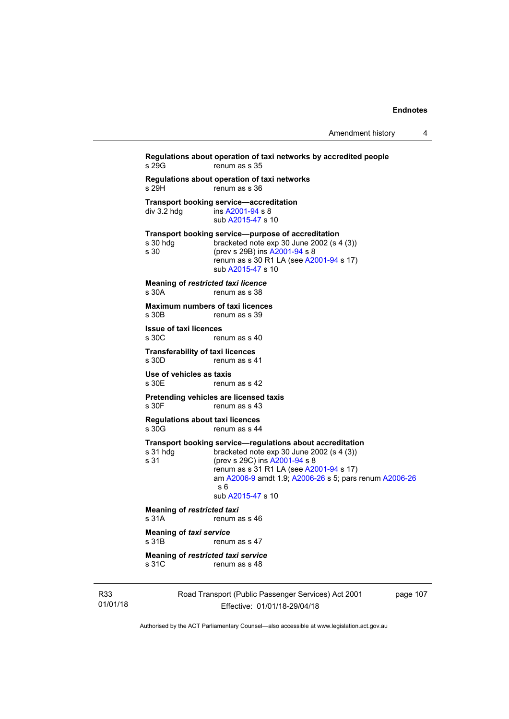```
Regulations about operation of taxi networks by accredited people 
                   renum as s 35
Regulations about operation of taxi networks 
s 29H renum as s 36
Transport booking service—accreditation<br>div 3.2 hdg ins A2001-94 s 8
                   A2001-94 s 8
                    sub A2015-47 s 10 
Transport booking service—purpose of accreditation 
s 30 hdg bracketed note exp 30 June 2002 (s 4 (3)) 
s 30 (prev s 29B) ins A2001-94 s 8 
                   renum as s 30 R1 LA (see A2001-94 s 17)
                   sub A2015-47 s 10 
Meaning of restricted taxi licence 
s 30A renum as s 38
Maximum numbers of taxi licences 
                  renum as s 39
Issue of taxi licences 
s 30C renum as s 40
Transferability of taxi licences<br>s 30D renum as s 4
                  renum as s 41
Use of vehicles as taxis 
s 30E renum as s 42
Pretending vehicles are licensed taxis 
s 30F renum as s 43
Regulations about taxi licences 
s 30G renum as s 44
Transport booking service—regulations about accreditation<br>s 31 hdg bracketed note exp 30 June 2002 (s 4 (3))
                   bracketed note exp 30 June 2002 (s 4 (3))
s 31 (prev s 29C) ins A2001-94 s 8 
                   renum as s 31 R1 LA (see A2001-94 s 17)
                    am A2006-9 amdt 1.9; A2006-26 s 5; pars renum A2006-26
                   s 6 
                    sub A2015-47 s 10 
Meaning of restricted taxi<br>s 31A renum a
                  renum as s 46
Meaning of taxi service 
s 31B renum as s 47
Meaning of restricted taxi service 
s 31C renum as s 48
```
R33 01/01/18 Road Transport (Public Passenger Services) Act 2001 Effective: 01/01/18-29/04/18

page 107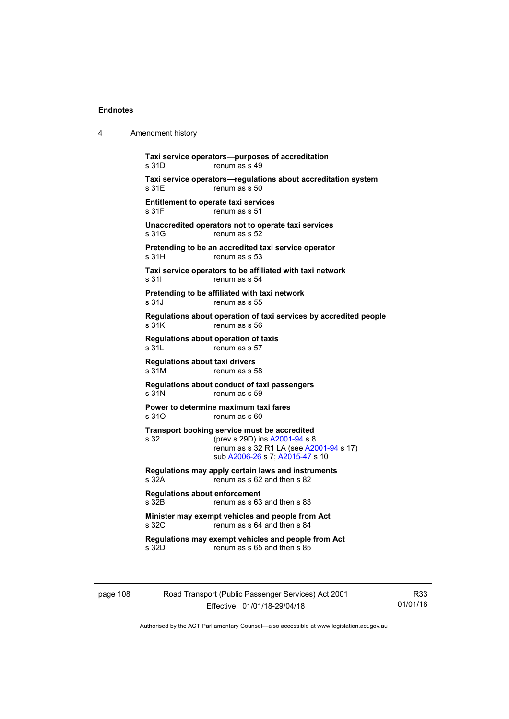4 Amendment history

| s 31D                                          | renum as s 49                                                                                                                                               |
|------------------------------------------------|-------------------------------------------------------------------------------------------------------------------------------------------------------------|
| s 31E                                          | Taxi service operators-regulations about accreditation system<br>renum as s 50                                                                              |
| s 31F                                          | <b>Entitlement to operate taxi services</b><br>renum as s 51                                                                                                |
| s 31G                                          | Unaccredited operators not to operate taxi services<br>renum as s 52                                                                                        |
| s <sub>31H</sub>                               | Pretending to be an accredited taxi service operator<br>renum as s 53                                                                                       |
| s 31l                                          | Taxi service operators to be affiliated with taxi network<br>renum as s 54                                                                                  |
| s 31J                                          | Pretending to be affiliated with taxi network<br>renum as s 55                                                                                              |
| s 31K                                          | Regulations about operation of taxi services by accredited people<br>renum as s 56                                                                          |
| s 31L                                          | Regulations about operation of taxis<br>renum as s 57                                                                                                       |
| <b>Regulations about taxi drivers</b><br>s 31M | renum as s 58                                                                                                                                               |
| s 31N                                          | Regulations about conduct of taxi passengers<br>renum as s 59                                                                                               |
| s 31O                                          | Power to determine maximum taxi fares<br>renum as s 60                                                                                                      |
| s 32                                           | Transport booking service must be accredited<br>(prev s 29D) ins A2001-94 s 8<br>renum as s 32 R1 LA (see A2001-94 s 17)<br>sub A2006-26 s 7; A2015-47 s 10 |
| s 32A                                          | Regulations may apply certain laws and instruments<br>renum as s 62 and then s 82                                                                           |
| <b>Regulations about enforcement</b><br>s 32B  | renum as s 63 and then s 83                                                                                                                                 |
| s 32C                                          | Minister may exempt vehicles and people from Act<br>renum as s 64 and then s 84                                                                             |
| s 32D                                          | Regulations may exempt vehicles and people from Act<br>renum as s 65 and then s 85                                                                          |

page 108 Road Transport (Public Passenger Services) Act 2001 Effective: 01/01/18-29/04/18

R33 01/01/18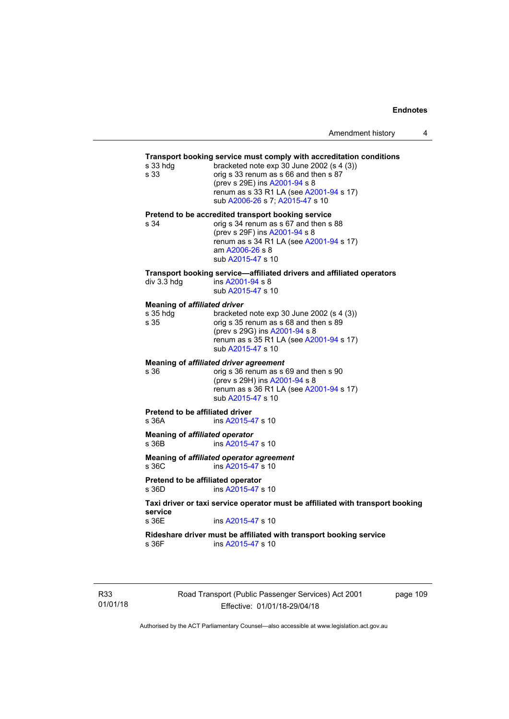## **Transport booking service must comply with accreditation conditions**

| s 33 hdg<br>s 33                                        | <b>Transport booking service must comply with accreditation conditions</b><br>bracketed note exp 30 June 2002 (s 4 (3))<br>orig s 33 renum as s 66 and then s 87<br>(prev s 29E) ins A2001-94 s 8<br>renum as s 33 R1 LA (see A2001-94 s 17)<br>sub A2006-26 s 7; A2015-47 s 10 |
|---------------------------------------------------------|---------------------------------------------------------------------------------------------------------------------------------------------------------------------------------------------------------------------------------------------------------------------------------|
| s 34                                                    | Pretend to be accredited transport booking service<br>orig s 34 renum as s 67 and then s 88<br>(prev s 29F) ins A2001-94 s 8<br>renum as s 34 R1 LA (see A2001-94 s 17)<br>am A2006-26 s 8<br>sub A2015-47 s 10                                                                 |
| div 3.3 hdg                                             | Transport booking service-affiliated drivers and affiliated operators<br>ins A2001-94 s 8<br>sub A2015-47 s 10                                                                                                                                                                  |
| <b>Meaning of affiliated driver</b><br>s 35 hdg<br>s 35 | bracketed note $exp 30$ June 2002 (s 4 (3))<br>orig s 35 renum as s 68 and then s 89<br>(prev s 29G) ins A2001-94 s 8<br>renum as s 35 R1 LA (see A2001-94 s 17)<br>sub A2015-47 s 10                                                                                           |
| s 36                                                    | <b>Meaning of affiliated driver agreement</b><br>orig s 36 renum as s 69 and then s 90<br>(prev s 29H) ins A2001-94 s 8<br>renum as s 36 R1 LA (see A2001-94 s 17)<br>sub A2015-47 s 10                                                                                         |
| <b>Pretend to be affiliated driver</b><br>s 36A         | ins A2015-47 s 10                                                                                                                                                                                                                                                               |
| Meaning of <i>affiliated</i> operator<br>s 36B          | ins A2015-47 s 10                                                                                                                                                                                                                                                               |
| s 36C                                                   | Meaning of affiliated operator agreement<br>ins A2015-47 s 10                                                                                                                                                                                                                   |
| Pretend to be affiliated operator<br>s 36D              | ins A2015-47 s 10                                                                                                                                                                                                                                                               |
| service<br>s 36E                                        | Taxi driver or taxi service operator must be affiliated with transport booking<br>ins A2015-47 s 10                                                                                                                                                                             |

**Rideshare driver must be affiliated with transport booking service**  s 36F ins [A2015-47](http://www.legislation.act.gov.au/a/2015-47) s 10

R33 01/01/18 Road Transport (Public Passenger Services) Act 2001 Effective: 01/01/18-29/04/18

page 109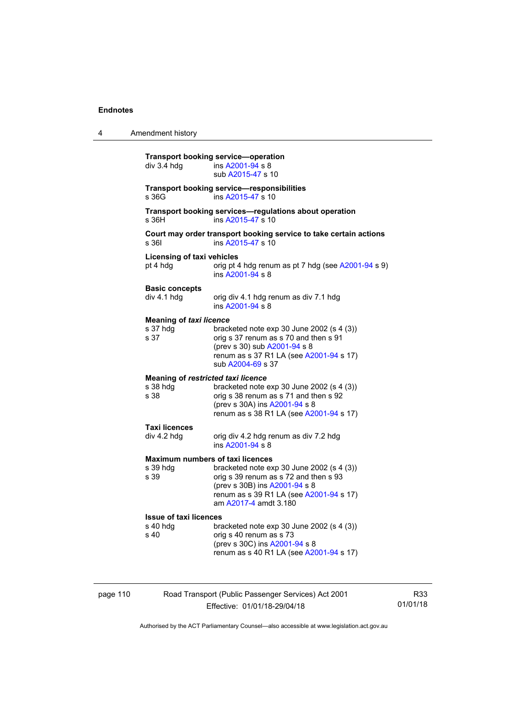4 Amendment history

| div 3.4 hdg                                        | ins A2001-94 s 8<br>sub A2015-47 s 10                                                                                                                                                                                              |
|----------------------------------------------------|------------------------------------------------------------------------------------------------------------------------------------------------------------------------------------------------------------------------------------|
| s 36G                                              | <b>Transport booking service-responsibilities</b><br>ins A2015-47 s 10                                                                                                                                                             |
| s 36H                                              | Transport booking services-regulations about operation<br>ins A2015-47 s 10                                                                                                                                                        |
| s 361                                              | Court may order transport booking service to take certain actions<br>ins A2015-47 s 10                                                                                                                                             |
| <b>Licensing of taxi vehicles</b><br>pt 4 hdg      | orig pt 4 hdg renum as pt 7 hdg (see A2001-94 s 9)<br>ins A2001-94 s 8                                                                                                                                                             |
| <b>Basic concepts</b><br>div 4.1 hdg               | orig div 4.1 hdg renum as div 7.1 hdg<br>ins A2001-94 s 8                                                                                                                                                                          |
| <b>Meaning of taxi licence</b><br>s 37 hdg<br>s 37 | bracketed note $exp 30$ June 2002 (s 4 (3))<br>orig s 37 renum as s 70 and then s 91<br>(prev s 30) sub A2001-94 s 8<br>renum as s 37 R1 LA (see A2001-94 s 17)<br>sub A2004-69 s 37                                               |
| s 38 hdg<br>s 38                                   | <b>Meaning of restricted taxi licence</b><br>bracketed note exp 30 June 2002 (s 4 (3))<br>orig s 38 renum as s 71 and then s 92<br>(prev s 30A) ins A2001-94 s 8<br>renum as s 38 R1 LA (see A2001-94 s 17)                        |
| <b>Taxi licences</b><br>div 4.2 hdg                | orig div 4.2 hdg renum as div 7.2 hdg<br>ins A2001-94 s 8                                                                                                                                                                          |
| s 39 hdg<br>s 39                                   | <b>Maximum numbers of taxi licences</b><br>bracketed note exp 30 June 2002 (s 4 (3))<br>orig s 39 renum as s 72 and then s 93<br>(prev s 30B) ins A2001-94 s 8<br>renum as s 39 R1 LA (see A2001-94 s 17)<br>am A2017-4 amdt 3.180 |
| <b>Issue of taxi licences</b><br>s 40 hdg<br>s 40  | bracketed note exp 30 June 2002 (s 4 (3))<br>orig s 40 renum as s 73<br>(prev s 30C) ins A2001-94 s 8<br>renum as s 40 R1 LA (see A2001-94 s 17)                                                                                   |

## page 110 Road Transport (Public Passenger Services) Act 2001 Effective: 01/01/18-29/04/18

R33 01/01/18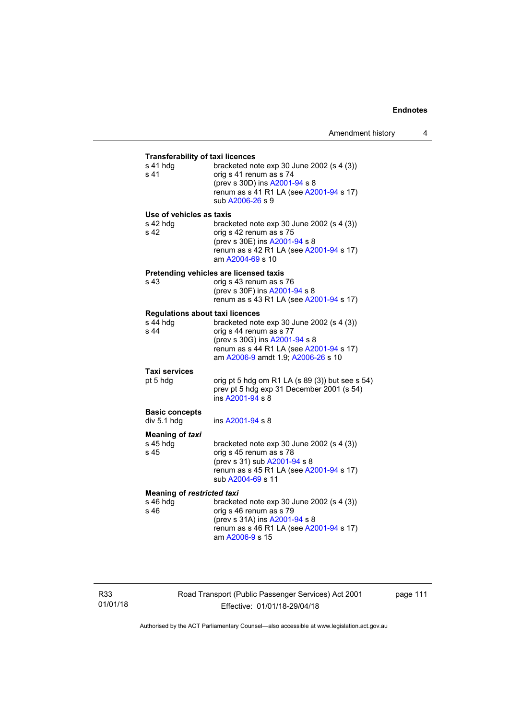| <b>Transferability of taxi licences</b> |                                                                               |
|-----------------------------------------|-------------------------------------------------------------------------------|
| s 41 hdg<br>s 41                        | bracketed note exp 30 June 2002 (s 4 (3))<br>orig s 41 renum as s 74          |
|                                         | (prev s 30D) ins A2001-94 s 8                                                 |
|                                         | renum as s 41 R1 LA (see A2001-94 s 17)<br>sub A2006-26 s 9                   |
| Use of vehicles as taxis                |                                                                               |
| s 42 hdg<br>s 42                        | bracketed note $exp 30$ June 2002 (s 4 (3))<br>orig s 42 renum as s 75        |
|                                         | (prev s 30E) ins A2001-94 s 8                                                 |
|                                         | renum as s 42 R1 LA (see A2001-94 s 17)<br>am A2004-69 s 10                   |
|                                         | Pretending vehicles are licensed taxis                                        |
| s 43                                    | orig s 43 renum as s 76<br>(prev s 30F) ins A2001-94 s 8                      |
|                                         | renum as s 43 R1 LA (see A2001-94 s 17)                                       |
| <b>Regulations about taxi licences</b>  |                                                                               |
| s 44 hdg<br>s 44                        | bracketed note exp 30 June 2002 (s 4 (3))<br>orig s 44 renum as s 77          |
|                                         | (prev s 30G) ins A2001-94 s 8                                                 |
|                                         | renum as s 44 R1 LA (see A2001-94 s 17)<br>am A2006-9 amdt 1.9; A2006-26 s 10 |
| Taxi services                           |                                                                               |
| pt 5 hdg                                | orig pt 5 hdg om R1 LA (s 89 (3)) but see s 54)                               |
|                                         | prev pt 5 hdg exp 31 December 2001 (s 54)<br>ins A2001-94 s 8                 |
| <b>Basic concepts</b>                   |                                                                               |
| div 5.1 hdg                             | ins A2001-94 s 8                                                              |
| <b>Meaning of taxi</b><br>s 45 hdg      | bracketed note $exp 30$ June 2002 (s 4 (3))                                   |
| s 45                                    | orig s 45 renum as s 78                                                       |
|                                         | (prev s 31) sub A2001-94 s 8                                                  |
|                                         | renum as s 45 R1 LA (see A2001-94 s 17)<br>sub A2004-69 s 11                  |
| <b>Meaning of restricted taxi</b>       |                                                                               |
| s 46 hdg<br>s 46                        | bracketed note exp 30 June 2002 (s 4 (3))<br>orig s 46 renum as s 79          |
|                                         | (prev s 31A) ins A2001-94 s 8                                                 |
|                                         | renum as s 46 R1 LA (see A2001-94 s 17)<br>am A2006-9 s 15                    |

Road Transport (Public Passenger Services) Act 2001 Effective: 01/01/18-29/04/18

page 111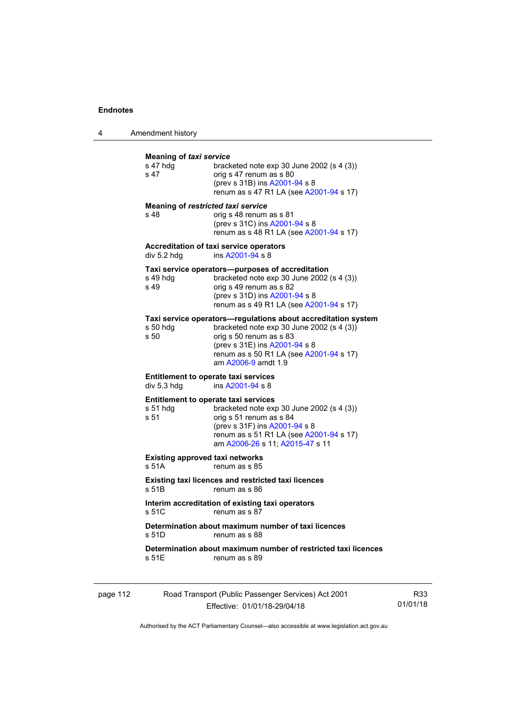4 Amendment history

| s 47 hdg<br>s 47  | <b>Meaning of taxi service</b><br>bracketed note $\exp 30$ June 2002 (s 4 (3))<br>orig s 47 renum as s 80<br>(prev s 31B) ins A2001-94 s 8<br>renum as s 47 R1 LA (see A2001-94 s 17)                                                    |
|-------------------|------------------------------------------------------------------------------------------------------------------------------------------------------------------------------------------------------------------------------------------|
| s 48              | Meaning of restricted taxi service<br>orig s 48 renum as s 81<br>(prev s 31C) ins A2001-94 s 8<br>renum as s 48 R1 LA (see A2001-94 s 17)                                                                                                |
| div 5.2 hdg       | Accreditation of taxi service operators<br>ins A2001-94 s 8                                                                                                                                                                              |
| s 49 hdg<br>s 49  | Taxi service operators—purposes of accreditation<br>bracketed note $exp 30$ June 2002 (s 4 (3))<br>orig s 49 renum as s 82<br>(prev s 31D) ins A2001-94 s 8<br>renum as s 49 R1 LA (see A2001-94 s 17)                                   |
| s 50 hdg<br>s 50  | Taxi service operators—regulations about accreditation system<br>bracketed note exp 30 June 2002 (s 4 (3))<br>orig s 50 renum as s 83<br>(prev s 31E) ins A2001-94 s 8<br>renum as s 50 R1 LA (see A2001-94 s 17)<br>am A2006-9 amdt 1.9 |
| div 5.3 hdg       | <b>Entitlement to operate taxi services</b><br>ins A2001-94 s 8                                                                                                                                                                          |
| $s51$ hdg<br>s 51 | <b>Entitlement to operate taxi services</b><br>bracketed note exp 30 June 2002 (s 4 (3))<br>orig s 51 renum as s 84<br>(prev s 31F) ins A2001-94 s 8<br>renum as s 51 R1 LA (see A2001-94 s 17)<br>am A2006-26 s 11; A2015-47 s 11       |
| s 51A             | <b>Existing approved taxi networks</b><br>renum as s 85                                                                                                                                                                                  |
| s 51B             | Existing taxi licences and restricted taxi licences<br>renum as s 86                                                                                                                                                                     |
| s 51C             | Interim accreditation of existing taxi operators<br>renum as s 87                                                                                                                                                                        |
| s 51D             | Determination about maximum number of taxi licences<br>renum as s 88                                                                                                                                                                     |
| s 51E             | Determination about maximum number of restricted taxi licences<br>renum as s 89                                                                                                                                                          |

| page 112 | Road Transport (Public Passenger Services) Act 2001 | R33      |
|----------|-----------------------------------------------------|----------|
|          | Effective: 01/01/18-29/04/18                        | 01/01/18 |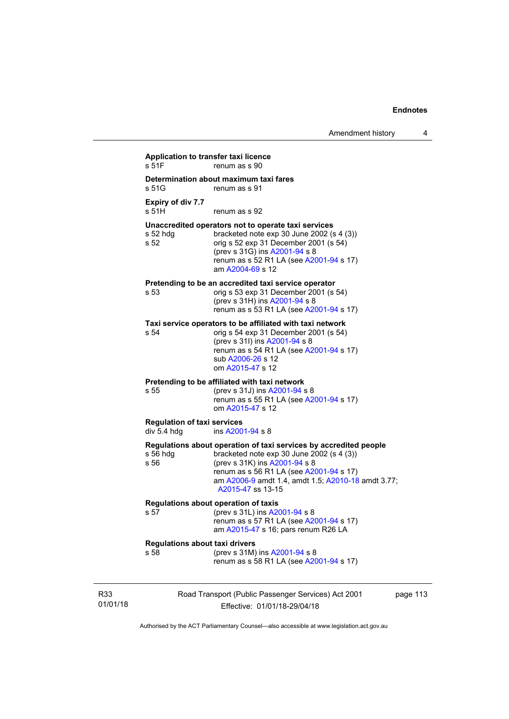|                 | Application to transfer taxi licence<br>s 51F     | renum as s 90                                                                                                                                                                                                                                                         |          |
|-----------------|---------------------------------------------------|-----------------------------------------------------------------------------------------------------------------------------------------------------------------------------------------------------------------------------------------------------------------------|----------|
|                 | s 51G                                             | Determination about maximum taxi fares<br>renum as s 91                                                                                                                                                                                                               |          |
|                 | Expiry of div 7.7<br>s 51H                        | renum as s 92                                                                                                                                                                                                                                                         |          |
|                 | s 52 hdg<br>s 52                                  | Unaccredited operators not to operate taxi services<br>bracketed note $exp 30$ June 2002 (s 4 (3))<br>orig s 52 exp 31 December 2001 (s 54)<br>(prev s 31G) ins A2001-94 s 8<br>renum as s 52 R1 LA (see A2001-94 s 17)<br>am A2004-69 s 12                           |          |
|                 | s 53                                              | Pretending to be an accredited taxi service operator<br>orig s 53 exp 31 December 2001 (s 54)<br>(prev s 31H) ins A2001-94 s 8<br>renum as s 53 R1 LA (see A2001-94 s 17)                                                                                             |          |
|                 | s 54                                              | Taxi service operators to be affiliated with taxi network<br>orig s 54 exp 31 December 2001 (s 54)<br>(prev s 31l) ins A2001-94 s 8<br>renum as s 54 R1 LA (see A2001-94 s 17)<br>sub A2006-26 s 12<br>om A2015-47 s 12                                               |          |
|                 | s 55                                              | Pretending to be affiliated with taxi network<br>(prev s 31J) ins A2001-94 s 8<br>renum as s 55 R1 LA (see A2001-94 s 17)<br>om A2015-47 s 12                                                                                                                         |          |
|                 | <b>Regulation of taxi services</b><br>div 5.4 hdg | ins A2001-94 s 8                                                                                                                                                                                                                                                      |          |
|                 | $s$ 56 hdg<br>s 56                                | Regulations about operation of taxi services by accredited people<br>bracketed note exp 30 June 2002 (s 4 (3))<br>(prev s 31K) ins A2001-94 s 8<br>renum as s 56 R1 LA (see A2001-94 s 17)<br>am A2006-9 amdt 1.4, amdt 1.5; A2010-18 amdt 3.77;<br>A2015-47 ss 13-15 |          |
|                 | s 57                                              | Regulations about operation of taxis<br>(prev s 31L) ins A2001-94 s 8<br>renum as s 57 R1 LA (see A2001-94 s 17)<br>am A2015-47 s 16; pars renum R26 LA                                                                                                               |          |
|                 | <b>Regulations about taxi drivers</b><br>s 58     | (prev s 31M) ins A2001-94 s 8<br>renum as s 58 R1 LA (see A2001-94 s 17)                                                                                                                                                                                              |          |
| R33<br>01/01/18 |                                                   | Road Transport (Public Passenger Services) Act 2001<br>Effective: 01/01/18-29/04/18                                                                                                                                                                                   | page 113 |

Authorised by the ACT Parliamentary Counsel—also accessible at www.legislation.act.gov.au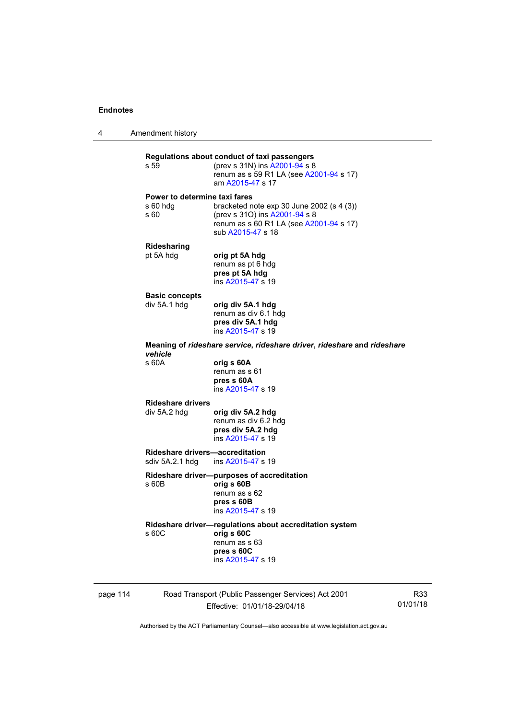4 Amendment history



page 114 Road Transport (Public Passenger Services) Act 2001 Effective: 01/01/18-29/04/18

R33 01/01/18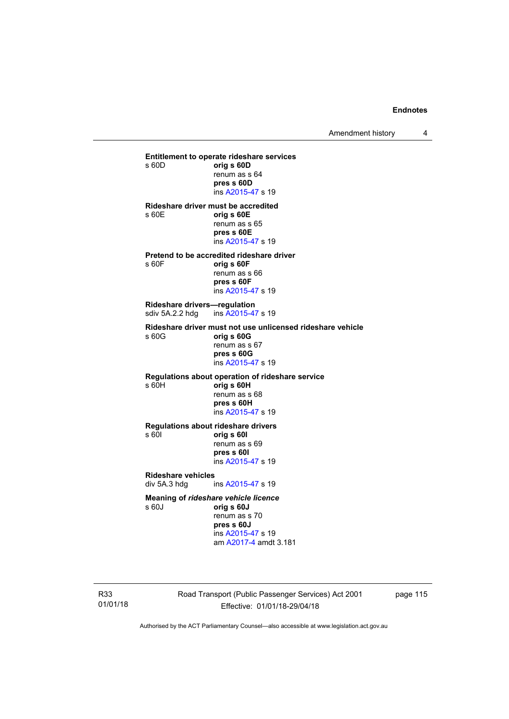Amendment history 4

**Entitlement to operate rideshare services**  s 60D **orig s 60D**  renum as s 64 **pres s 60D**  ins [A2015-47](http://www.legislation.act.gov.au/a/2015-47) s 19 **Rideshare driver must be accredited**  s 60E **orig s 60E**  renum as s 65 **pres s 60E**  ins [A2015-47](http://www.legislation.act.gov.au/a/2015-47) s 19 **Pretend to be accredited rideshare driver**  s 60F **orig s 60F**  renum as s 66 **pres s 60F**  ins [A2015-47](http://www.legislation.act.gov.au/a/2015-47) s 19 **Rideshare drivers—regulation**  sdiv 5A.2.2 hdg ins [A2015-47](http://www.legislation.act.gov.au/a/2015-47) s 19 **Rideshare driver must not use unlicensed rideshare vehicle** s 60G **orig s 60G**  renum as s 67 **pres s 60G**  ins [A2015-47](http://www.legislation.act.gov.au/a/2015-47) s 19 **Regulations about operation of rideshare service** s 60H **orig s 60H**  renum as s 68 **pres s 60H**  ins [A2015-47](http://www.legislation.act.gov.au/a/2015-47) s 19 **Regulations about rideshare drivers** s 60I **orig s 60I**  renum as s 69 **pres s 60I**  ins [A2015-47](http://www.legislation.act.gov.au/a/2015-47) s 19 **Rideshare vehicles**  div 5A.3 hdg ins [A2015-47](http://www.legislation.act.gov.au/a/2015-47) s 19 **Meaning of** *rideshare vehicle licence*  s 60J **orig s 60J**  renum as s 70 **pres s 60J** 

 ins [A2015-47](http://www.legislation.act.gov.au/a/2015-47) s 19 am [A2017-4](http://www.legislation.act.gov.au/a/2017-4/default.asp) amdt 3.181

R33 01/01/18 Road Transport (Public Passenger Services) Act 2001 Effective: 01/01/18-29/04/18

page 115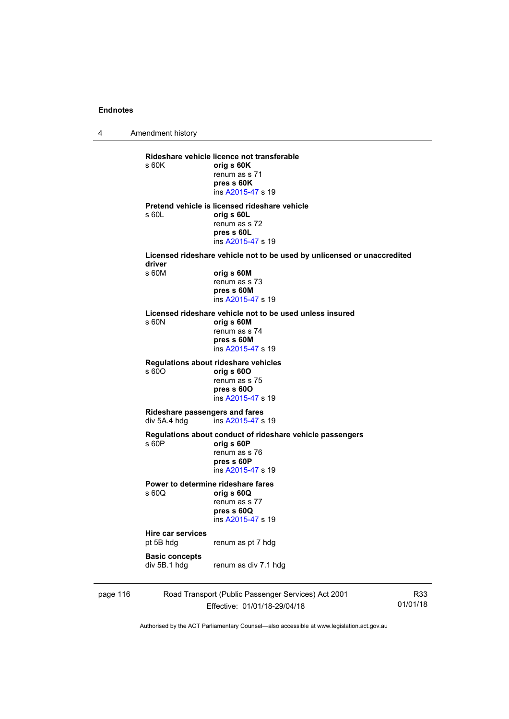4 Amendment history page 116 Road Transport (Public Passenger Services) Act 2001 R33 **Rideshare vehicle licence not transferable**  s 60K **orig s 60K**  renum as s 71 **pres s 60K**  ins [A2015-47](http://www.legislation.act.gov.au/a/2015-47) s 19 **Pretend vehicle is licensed rideshare vehicle**  s 60L **orig s 60L**  renum as s 72 **pres s 60L**  ins [A2015-47](http://www.legislation.act.gov.au/a/2015-47) s 19 **Licensed rideshare vehicle not to be used by unlicensed or unaccredited driver**  s 60M **orig s 60M**  renum as s 73 **pres s 60M**  ins [A2015-47](http://www.legislation.act.gov.au/a/2015-47) s 19 **Licensed rideshare vehicle not to be used unless insured**  s 60N **orig s 60M**  renum as s 74 **pres s 60M**  ins [A2015-47](http://www.legislation.act.gov.au/a/2015-47) s 19 **Regulations about rideshare vehicles**  s 60O **orig s 60O**  renum as s 75 **pres s 60O**  ins [A2015-47](http://www.legislation.act.gov.au/a/2015-47) s 19 **Rideshare passengers and fares**  div 5A.4 hdg ins [A2015-47](http://www.legislation.act.gov.au/a/2015-47) s 19 **Regulations about conduct of rideshare vehicle passengers**  s 60P **orig s 60P**  renum as s 76 **pres s 60P**  ins [A2015-47](http://www.legislation.act.gov.au/a/2015-47) s 19 **Power to determine rideshare fares**  s 60Q **orig s 60Q**  renum as s 77 **pres s 60Q**  ins [A2015-47](http://www.legislation.act.gov.au/a/2015-47) s 19 **Hire car services**  renum as pt 7 hdg **Basic concepts**  div 5B.1 hdg renum as div 7.1 hdg

Effective: 01/01/18-29/04/18

01/01/18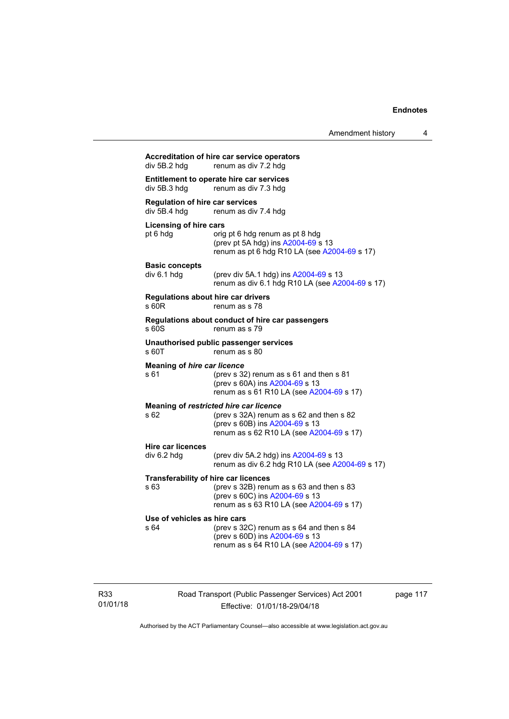| div 5B.2 hdg                                           | renum as div 7.2 hdg                                                                                                                                                     |
|--------------------------------------------------------|--------------------------------------------------------------------------------------------------------------------------------------------------------------------------|
| div 5B.3 hdg                                           | Entitlement to operate hire car services<br>renum as div 7.3 hdg                                                                                                         |
| <b>Regulation of hire car services</b><br>div 5B.4 hdg | renum as div 7.4 hdg                                                                                                                                                     |
| <b>Licensing of hire cars</b><br>pt 6 hdg              | orig pt 6 hdg renum as pt 8 hdg<br>(prev pt 5A hdg) ins A2004-69 s 13<br>renum as pt 6 hdg R10 LA (see A2004-69 s 17)                                                    |
| <b>Basic concepts</b><br>div 6.1 hdg                   | (prev div 5A.1 hdg) ins A2004-69 s 13<br>renum as div 6.1 hdg R10 LA (see A2004-69 s 17)                                                                                 |
| s 60R                                                  | <b>Regulations about hire car drivers</b><br>renum as s 78                                                                                                               |
| s 60S                                                  | Regulations about conduct of hire car passengers<br>renum as s 79                                                                                                        |
| s 60T                                                  | Unauthorised public passenger services<br>renum as s 80                                                                                                                  |
| <b>Meaning of hire car licence</b><br>s 61             | (prev s 32) renum as s 61 and then s 81<br>(prev s 60A) ins A2004-69 s 13<br>renum as s 61 R10 LA (see A2004-69 s 17)                                                    |
| s 62                                                   | Meaning of restricted hire car licence<br>(prev s 32A) renum as s 62 and then s 82<br>(prev s 60B) ins A2004-69 s 13<br>renum as s 62 R10 LA (see A2004-69 s 17)         |
| <b>Hire car licences</b><br>div 6.2 hdg                | (prev div 5A.2 hdg) ins A2004-69 s 13<br>renum as div 6.2 hdg R10 LA (see A2004-69 s 17)                                                                                 |
| s 63                                                   | <b>Transferability of hire car licences</b><br>(prev s $32B$ ) renum as s 63 and then s 83<br>(prev s 60C) ins A2004-69 s 13<br>renum as s 63 R10 LA (see A2004-69 s 17) |
| Use of vehicles as hire cars<br>s 64                   | (prev s 32C) renum as s 64 and then s 84<br>(prev s 60D) ins A2004-69 s 13<br>renum as s 64 R10 LA (see A2004-69 s 17)                                                   |

R33 01/01/18 Road Transport (Public Passenger Services) Act 2001 Effective: 01/01/18-29/04/18

page 117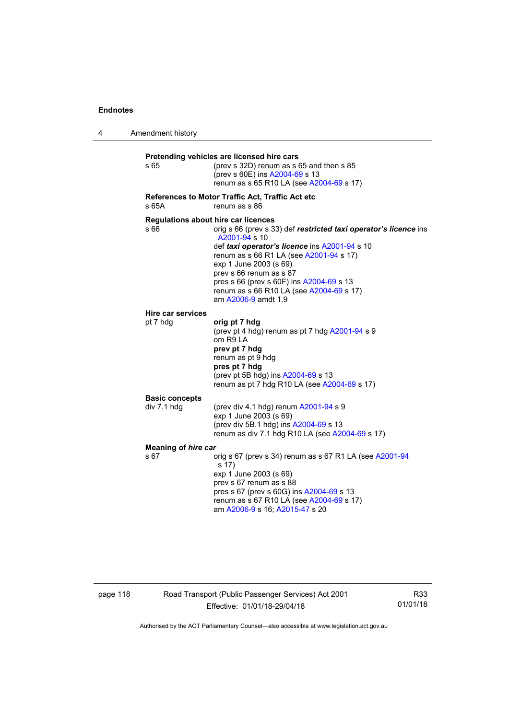4 Amendment history **Pretending vehicles are licensed hire cars**  s 65 (prev s 32D) renum as s 65 and then s 85 (prev s 60E) ins [A2004-69](http://www.legislation.act.gov.au/a/2004-69) s 13 renum as s 65 R10 LA (see [A2004-69](http://www.legislation.act.gov.au/a/2004-69) s 17) **References to Motor Traffic Act, Traffic Act etc**  s 65A renum as s 86 **Regulations about hire car licences**  s 66 orig s 66 (prev s 33) def **restricted taxi operator's licence** ins [A2001-94](http://www.legislation.act.gov.au/a/2001-94) s 10 def *taxi operator's licence* ins [A2001-94](http://www.legislation.act.gov.au/a/2001-94) s 10 renum as s 66 R1 LA (see [A2001-94](http://www.legislation.act.gov.au/a/2001-94) s 17) exp 1 June 2003 (s 69) prev s 66 renum as s 87 pres s 66 (prev s 60F) ins [A2004-69](http://www.legislation.act.gov.au/a/2004-69) s 13 renum as s 66 R10 LA (see [A2004-69](http://www.legislation.act.gov.au/a/2004-69) s 17) am [A2006-9](http://www.legislation.act.gov.au/a/2006-9) amdt 1.9 **Hire car services**  pt 7 hdg **orig pt 7 hdg** (prev pt 4 hdg) renum as pt 7 hdg [A2001-94](http://www.legislation.act.gov.au/a/2001-94) s 9 om R9 LA **prev pt 7 hdg**  renum as pt 9 hdg **pres pt 7 hdg**  (prev pt 5B hdg) ins [A2004-69](http://www.legislation.act.gov.au/a/2004-69) s 13 renum as pt 7 hdg R10 LA (see [A2004-69](http://www.legislation.act.gov.au/a/2004-69) s 17) **Basic concepts**   $div 7.1$  hdg  $(prev div 4.1 hdq)$  renum  $A2001-94 s 9$  $A2001-94 s 9$ exp 1 June 2003 (s 69) (prev div 5B.1 hdg) ins [A2004-69](http://www.legislation.act.gov.au/a/2004-69) s 13 renum as div 7.1 hdg R10 LA (see [A2004-69](http://www.legislation.act.gov.au/a/2004-69) s 17) **Meaning of** *hire car*  s 67 orig s 67 (prev s 34) renum as s 67 R1 LA (see [A2001-94](http://www.legislation.act.gov.au/a/2001-94) s 17) exp 1 June 2003 (s 69) prev s 67 renum as s 88 pres s 67 (prev s 60G) ins [A2004-69](http://www.legislation.act.gov.au/a/2004-69) s 13 renum as s 67 R10 LA (see [A2004-69](http://www.legislation.act.gov.au/a/2004-69) s 17) am [A2006-9](http://www.legislation.act.gov.au/a/2006-9) s 16; [A2015-47](http://www.legislation.act.gov.au/a/2015-47) s 20

page 118 Road Transport (Public Passenger Services) Act 2001 Effective: 01/01/18-29/04/18

R33 01/01/18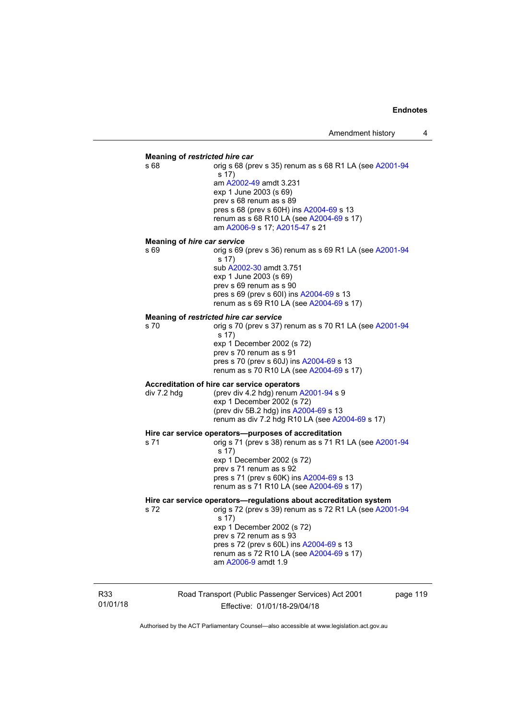## **Meaning of** *restricted hire car*  s 68 **orig s 68 (prev s 35) renum as s 68 R1 LA (see [A2001-94](http://www.legislation.act.gov.au/a/2001-94)** s 17) am [A2002-49](http://www.legislation.act.gov.au/a/2002-49) amdt 3.231 exp 1 June 2003 (s 69) prev s 68 renum as s 89 pres s 68 (prev s 60H) ins [A2004-69](http://www.legislation.act.gov.au/a/2004-69) s 13 renum as s 68 R10 LA (see [A2004-69](http://www.legislation.act.gov.au/a/2004-69) s 17) am [A2006-9](http://www.legislation.act.gov.au/a/2006-9) s 17; [A2015-47](http://www.legislation.act.gov.au/a/2015-47) s 21 **Meaning of** *hire car service*  s 69 orig s 69 (prev s 36) renum as s 69 R1 LA (see [A2001-94](http://www.legislation.act.gov.au/a/2001-94) s 17) sub [A2002-30](http://www.legislation.act.gov.au/a/2002-30) amdt 3.751 exp 1 June 2003 (s 69) prev s 69 renum as s 90 pres s 69 (prev s 60I) ins [A2004-69](http://www.legislation.act.gov.au/a/2004-69) s 13 renum as s 69 R10 LA (see [A2004-69](http://www.legislation.act.gov.au/a/2004-69) s 17) **Meaning of** *restricted hire car service*  s 70 orig s 70 (prev s 37) renum as s 70 R1 LA (see [A2001-94](http://www.legislation.act.gov.au/a/2001-94) s 17) exp 1 December 2002 (s 72) prev s 70 renum as s 91 pres s 70 (prev s 60J) ins [A2004-69](http://www.legislation.act.gov.au/a/2004-69) s 13 renum as s 70 R10 LA (see [A2004-69](http://www.legislation.act.gov.au/a/2004-69) s 17) **Accreditation of hire car service operators**  div 7.2 hdg (prev div 4.2 hdg) renum [A2001-94](http://www.legislation.act.gov.au/a/2001-94) s 9 exp 1 December 2002 (s 72) (prev div 5B.2 hdg) ins [A2004-69](http://www.legislation.act.gov.au/a/2004-69) s 13 renum as div 7.2 hdg R10 LA (see [A2004-69](http://www.legislation.act.gov.au/a/2004-69) s 17) **Hire car service operators—purposes of accreditation**  s 71 orig s 71 (prev s 38) renum as s 71 R1 LA (see [A2001-94](http://www.legislation.act.gov.au/a/2001-94) s 17) exp 1 December 2002 (s 72) prev s 71 renum as s 92 pres s 71 (prev s 60K) ins [A2004-69](http://www.legislation.act.gov.au/a/2004-69) s 13 renum as s 71 R10 LA (see [A2004-69](http://www.legislation.act.gov.au/a/2004-69) s 17) **Hire car service operators—regulations about accreditation system**  s 72 orig s 72 (prev s 39) renum as s 72 R1 LA (see [A2001-94](http://www.legislation.act.gov.au/a/2001-94) s 17) exp 1 December 2002 (s 72) prev s 72 renum as s 93 pres s 72 (prev s 60L) ins [A2004-69](http://www.legislation.act.gov.au/a/2004-69) s 13 renum as s 72 R10 LA (see [A2004-69](http://www.legislation.act.gov.au/a/2004-69) s 17) am [A2006-9](http://www.legislation.act.gov.au/a/2006-9) amdt 1.9

R33 01/01/18 Road Transport (Public Passenger Services) Act 2001 Effective: 01/01/18-29/04/18

page 119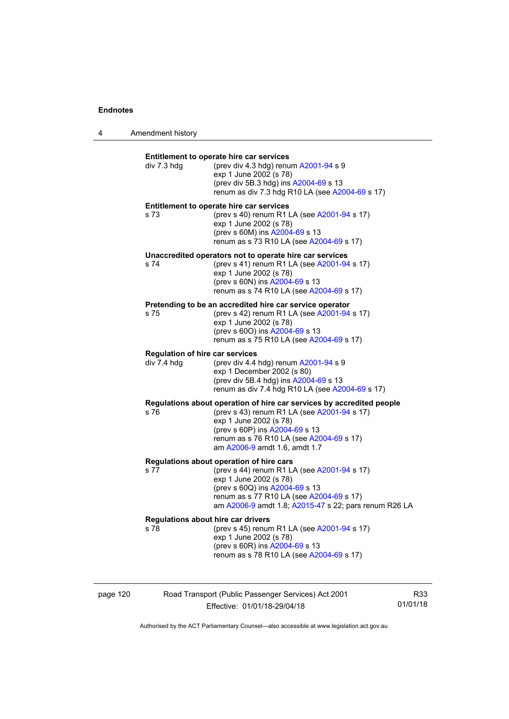4 Amendment history

| div 7.3 hdg                                           | Entitlement to operate hire car services<br>(prev div 4.3 hdg) renum A2001-94 s 9<br>exp 1 June 2002 (s 78)<br>(prev div 5B.3 hdg) ins A2004-69 s 13<br>renum as div 7.3 hdg R10 LA (see A2004-69 s 17)                                                       |
|-------------------------------------------------------|---------------------------------------------------------------------------------------------------------------------------------------------------------------------------------------------------------------------------------------------------------------|
| s 73                                                  | Entitlement to operate hire car services<br>(prev s 40) renum R1 LA (see A2001-94 s 17)<br>exp 1 June 2002 (s 78)<br>(prev s 60M) ins A2004-69 s 13<br>renum as s 73 R10 LA (see A2004-69 s 17)                                                               |
| s 74                                                  | Unaccredited operators not to operate hire car services<br>(prev s 41) renum R1 LA (see A2001-94 s 17)<br>exp 1 June 2002 (s 78)<br>(prev s 60N) ins A2004-69 s 13<br>renum as s 74 R10 LA (see A2004-69 s 17)                                                |
| s 75                                                  | Pretending to be an accredited hire car service operator<br>(prev s 42) renum R1 LA (see A2001-94 s 17)<br>exp 1 June 2002 (s 78)<br>(prev s 600) ins A2004-69 s 13<br>renum as s 75 R10 LA (see A2004-69 s 17)                                               |
| <b>Regulation of hire car services</b><br>div 7.4 hdg | (prev div 4.4 hdg) renum A2001-94 s 9<br>exp 1 December 2002 (s 80)<br>(prev div 5B.4 hdg) ins A2004-69 s 13<br>renum as div 7.4 hdg R10 LA (see A2004-69 s 17)                                                                                               |
| s 76                                                  | Regulations about operation of hire car services by accredited people<br>(prev s 43) renum R1 LA (see A2001-94 s 17)<br>exp 1 June 2002 (s 78)<br>(prev s 60P) ins A2004-69 s 13<br>renum as s 76 R10 LA (see A2004-69 s 17)<br>am A2006-9 amdt 1.6, amdt 1.7 |
| s 77                                                  | Regulations about operation of hire cars<br>(prev s 44) renum R1 LA (see A2001-94 s 17)<br>exp 1 June 2002 (s 78)<br>(prev s 60Q) ins A2004-69 s 13<br>renum as s 77 R10 LA (see A2004-69 s 17)<br>am A2006-9 amdt 1.8; A2015-47 s 22; pars renum R26 LA      |
| s 78                                                  | <b>Regulations about hire car drivers</b><br>(prev s 45) renum R1 LA (see A2001-94 s 17)<br>exp 1 June 2002 (s 78)<br>(prev s 60R) ins A2004-69 s 13<br>renum as s 78 R10 LA (see A2004-69 s 17)                                                              |

page 120 Road Transport (Public Passenger Services) Act 2001 Effective: 01/01/18-29/04/18

R33 01/01/18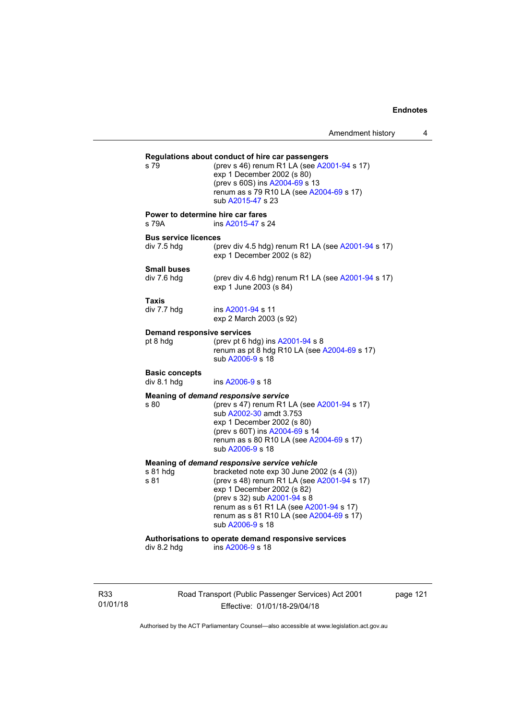## **Regulations about conduct of hire car passengers**  (prev s 46) renum R1 LA (see  $A2001-94$  s 17) exp 1 December 2002 (s 80) (prev s 60S) ins [A2004-69](http://www.legislation.act.gov.au/a/2004-69) s 13 renum as s 79 R10 LA (see [A2004-69](http://www.legislation.act.gov.au/a/2004-69) s 17) sub [A2015-47](http://www.legislation.act.gov.au/a/2015-47) s 23 **Power to determine hire car fares**  s 79A ins [A2015-47](http://www.legislation.act.gov.au/a/2015-47) s 24 **Bus service licences**  div 7.5 hdg (prev div 4.5 hdg) renum R1 LA (see [A2001-94](http://www.legislation.act.gov.au/a/2001-94) s 17) exp 1 December 2002 (s 82) **Small buses**  (prev div 4.6 hdg) renum R1 LA (see  $A2001-94$  s 17) exp 1 June 2003 (s 84) **Taxis**  div 7.7 hdg ins [A2001-94](http://www.legislation.act.gov.au/a/2001-94) s 11 exp 2 March 2003 (s 92) **Demand responsive services**  pt 8 hdg  $($ prev pt 6 hdg) ins [A2001-94](http://www.legislation.act.gov.au/a/2001-94) s 8 renum as pt  $\frac{8}{10}$  hdg R10 LA (see [A2004-69](http://www.legislation.act.gov.au/a/2004-69) s 17) sub [A2006-9](http://www.legislation.act.gov.au/a/2006-9) s 18 **Basic concepts**  div 8.1 hdg ins [A2006-9](http://www.legislation.act.gov.au/a/2006-9) s 18 **Meaning of** *demand responsive service* s 80 (prev s 47) renum R1 LA (see [A2001-94](http://www.legislation.act.gov.au/a/2001-94) s 17) sub [A2002-30](http://www.legislation.act.gov.au/a/2002-30) amdt 3.753 exp 1 December 2002 (s 80) (prev s 60T) ins [A2004-69](http://www.legislation.act.gov.au/a/2004-69) s 14 renum as s 80 R10 LA (see [A2004-69](http://www.legislation.act.gov.au/a/2004-69) s 17) sub [A2006-9](http://www.legislation.act.gov.au/a/2006-9) s 18 **Meaning of** *demand responsive service vehicle* s 81 hdg bracketed note exp 30 June 2002 (s 4 (3))<br>s 81 (prev s 48) renum R1 LA (see A2001-94 s (prev s 48) renum R1 LA (see  $A2001-94$  s 17) exp 1 December 2002 (s 82) (prev s 32) sub [A2001-94](http://www.legislation.act.gov.au/a/2001-94) s 8 renum as s 61 R1 LA (see [A2001-94](http://www.legislation.act.gov.au/a/2001-94) s 17) renum as s 81 R10 LA (see [A2004-69](http://www.legislation.act.gov.au/a/2004-69) s 17) sub [A2006-9](http://www.legislation.act.gov.au/a/2006-9) s 18 **Authorisations to operate demand responsive services**   $ins A2006-9 s 18$  $ins A2006-9 s 18$  $ins A2006-9 s 18$

R33 01/01/18 Road Transport (Public Passenger Services) Act 2001 Effective: 01/01/18-29/04/18

page 121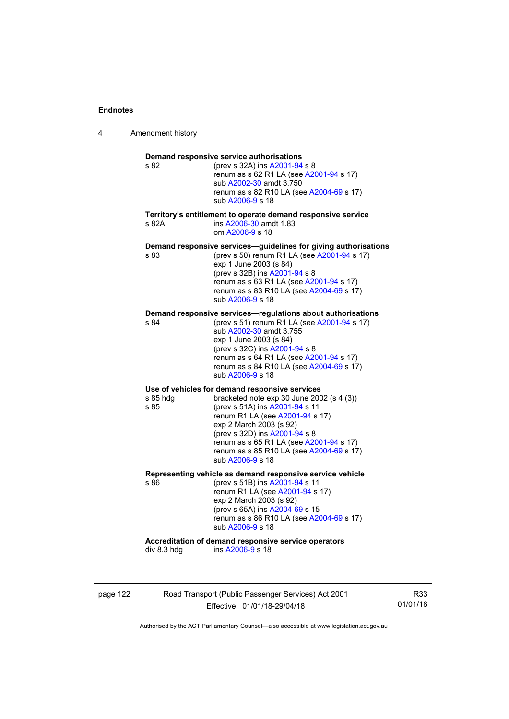4 Amendment history

| s 82             | (prev s 32A) ins A2001-94 s 8<br>renum as s 62 R1 LA (see A2001-94 s 17)<br>sub A2002-30 amdt 3.750<br>renum as s 82 R10 LA (see A2004-69 s 17)<br>sub A2006-9 s 18                                                                                                                                                                     |
|------------------|-----------------------------------------------------------------------------------------------------------------------------------------------------------------------------------------------------------------------------------------------------------------------------------------------------------------------------------------|
| s 82A            | Territory's entitlement to operate demand responsive service<br>ins A2006-30 amdt 1.83<br>om A2006-9 s 18                                                                                                                                                                                                                               |
| s 83             | Demand responsive services-guidelines for giving authorisations<br>(prev s 50) renum R1 LA (see A2001-94 s 17)<br>exp 1 June 2003 (s 84)<br>(prev s 32B) ins A2001-94 s 8<br>renum as s 63 R1 LA (see A2001-94 s 17)<br>renum as s 83 R10 LA (see A2004-69 s 17)<br>sub A2006-9 s 18                                                    |
| s 84             | Demand responsive services—regulations about authorisations<br>(prev s 51) renum R1 LA (see A2001-94 s 17)<br>sub A2002-30 amdt 3.755<br>exp 1 June 2003 (s 84)<br>(prev s 32C) ins A2001-94 s 8<br>renum as s 64 R1 LA (see A2001-94 s 17)<br>renum as s 84 R10 LA (see A2004-69 s 17)<br>sub A2006-9 s 18                             |
| s 85 hdg<br>s 85 | Use of vehicles for demand responsive services<br>bracketed note exp 30 June 2002 (s 4 (3))<br>(prev s 51A) ins A2001-94 s 11<br>renum R1 LA (see A2001-94 s 17)<br>exp 2 March 2003 (s 92)<br>(prev s 32D) ins A2001-94 s 8<br>renum as s 65 R1 LA (see A2001-94 s 17)<br>renum as s 85 R10 LA (see A2004-69 s 17)<br>sub A2006-9 s 18 |
| s 86             | Representing vehicle as demand responsive service vehicle<br>(prev s 51B) ins A2001-94 s 11<br>renum R1 LA (see A2001-94 s 17)<br>exp 2 March 2003 (s 92)<br>(prev s 65A) ins A2004-69 s 15<br>renum as s 86 R10 LA (see A2004-69 s 17)<br>sub A2006-9 s 18                                                                             |
| div 8.3 hdg      | Accreditation of demand responsive service operators<br>ins A2006-9 s 18                                                                                                                                                                                                                                                                |

page 122 Road Transport (Public Passenger Services) Act 2001 Effective: 01/01/18-29/04/18

R33 01/01/18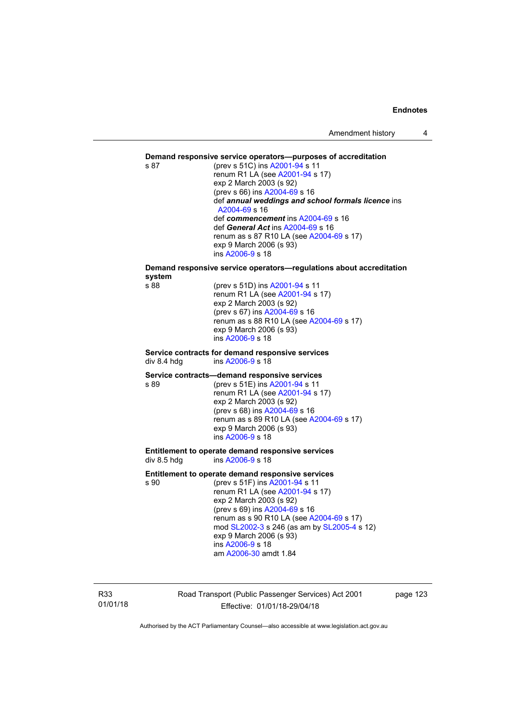#### **Demand responsive service operators—purposes of accreditation**

s 87 (prev s 51C) ins [A2001-94](http://www.legislation.act.gov.au/a/2001-94) s 11 renum R1 LA (see [A2001-94](http://www.legislation.act.gov.au/a/2001-94) s 17) exp 2 March 2003 (s 92) (prev s 66) ins [A2004-69](http://www.legislation.act.gov.au/a/2004-69) s 16 def *annual weddings and school formals licence* ins [A2004-69](http://www.legislation.act.gov.au/a/2004-69) s 16 def *commencement* ins [A2004-69](http://www.legislation.act.gov.au/a/2004-69) s 16 def *General Act* ins [A2004-69](http://www.legislation.act.gov.au/a/2004-69) s 16 renum as s 87 R10 LA (see [A2004-69](http://www.legislation.act.gov.au/a/2004-69) s 17) exp 9 March 2006 (s 93) ins [A2006-9](http://www.legislation.act.gov.au/a/2006-9) s 18

**Demand responsive service operators—regulations about accreditation system** 

(prev s 51D) ins [A2001-94](http://www.legislation.act.gov.au/a/2001-94) s 11 renum R1 LA (see [A2001-94](http://www.legislation.act.gov.au/a/2001-94) s 17) exp 2 March 2003 (s 92) (prev s 67) ins [A2004-69](http://www.legislation.act.gov.au/a/2004-69) s 16 renum as s 88 R10 LA (see [A2004-69](http://www.legislation.act.gov.au/a/2004-69) s 17) exp 9 March 2006 (s 93) ins [A2006-9](http://www.legislation.act.gov.au/a/2006-9) s 18

#### **Service contracts for demand responsive services**  div 8.4 hdg ins [A2006-9](http://www.legislation.act.gov.au/a/2006-9) s 18

#### **Service contracts—demand responsive services**

s 89 (prev s 51E) ins [A2001-94](http://www.legislation.act.gov.au/a/2001-94) s 11 renum R1 LA (see [A2001-94](http://www.legislation.act.gov.au/a/2001-94) s 17) exp 2 March 2003 (s 92) (prev s 68) ins [A2004-69](http://www.legislation.act.gov.au/a/2004-69) s 16 renum as s 89 R10 LA (see [A2004-69](http://www.legislation.act.gov.au/a/2004-69) s 17) exp 9 March 2006 (s 93) ins [A2006-9](http://www.legislation.act.gov.au/a/2006-9) s 18

**Entitlement to operate demand responsive services**  div 8.5 hdg ins [A2006-9](http://www.legislation.act.gov.au/a/2006-9) s 18

#### **Entitlement to operate demand responsive services**

s 90 (prev s 51F) ins [A2001-94](http://www.legislation.act.gov.au/a/2001-94) s 11 renum R1 LA (see [A2001-94](http://www.legislation.act.gov.au/a/2001-94) s 17) exp 2 March 2003 (s 92) (prev s 69) ins [A2004-69](http://www.legislation.act.gov.au/a/2004-69) s 16 renum as s 90 R10 LA (see [A2004-69](http://www.legislation.act.gov.au/a/2004-69) s 17) mod [SL2002-3](http://www.legislation.act.gov.au/sl/2002-3) s 246 (as am by [SL2005-4](http://www.legislation.act.gov.au/sl/2005-4) s 12) exp 9 March 2006 (s 93) ins [A2006-9](http://www.legislation.act.gov.au/a/2006-9) s 18 am [A2006-30](http://www.legislation.act.gov.au/a/2006-30) amdt 1.84

R33 01/01/18 Road Transport (Public Passenger Services) Act 2001 Effective: 01/01/18-29/04/18

page 123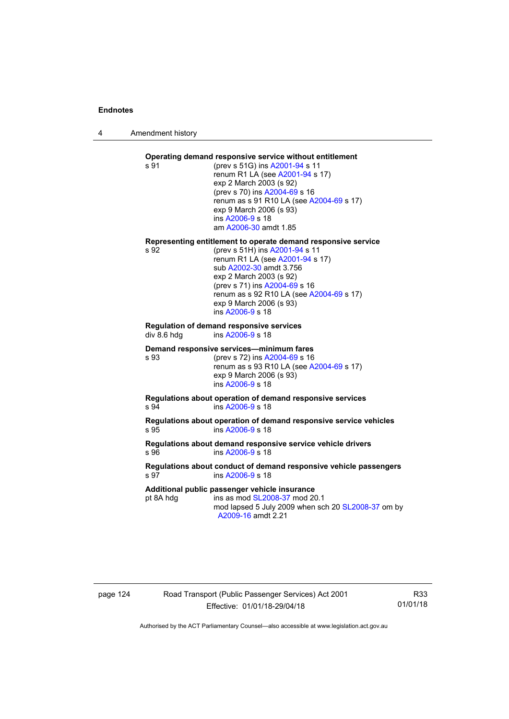4 Amendment history

### **Operating demand responsive service without entitlement**

s 91 (prev s 51G) ins [A2001-94](http://www.legislation.act.gov.au/a/2001-94) s 11 renum R1 LA (see [A2001-94](http://www.legislation.act.gov.au/a/2001-94) s 17) exp 2 March 2003 (s 92) (prev s 70) ins [A2004-69](http://www.legislation.act.gov.au/a/2004-69) s 16 renum as s 91 R10 LA (see [A2004-69](http://www.legislation.act.gov.au/a/2004-69) s 17) exp 9 March 2006 (s 93) ins [A2006-9](http://www.legislation.act.gov.au/a/2006-9) s 18 am [A2006-30](http://www.legislation.act.gov.au/a/2006-30) amdt 1.85

# **Representing entitlement to operate demand responsive service**

(prev s 51H) ins [A2001-94](http://www.legislation.act.gov.au/a/2001-94) s 11 renum R1 LA (see [A2001-94](http://www.legislation.act.gov.au/a/2001-94) s 17) sub [A2002-30](http://www.legislation.act.gov.au/a/2002-30) amdt 3.756 exp 2 March 2003 (s 92) (prev s 71) ins [A2004-69](http://www.legislation.act.gov.au/a/2004-69) s 16 renum as s 92 R10 LA (see [A2004-69](http://www.legislation.act.gov.au/a/2004-69) s 17) exp 9 March 2006 (s 93) ins [A2006-9](http://www.legislation.act.gov.au/a/2006-9) s 18

#### **Regulation of demand responsive services**  div 8.6 hdg ins [A2006-9](http://www.legislation.act.gov.au/a/2006-9) s 18

#### **Demand responsive services—minimum fares**

s 93 (prev s 72) ins [A2004-69](http://www.legislation.act.gov.au/a/2004-69) s 16 renum as s 93 R10 LA (see [A2004-69](http://www.legislation.act.gov.au/a/2004-69) s 17) exp 9 March 2006 (s 93) ins [A2006-9](http://www.legislation.act.gov.au/a/2006-9) s 18

#### **Regulations about operation of demand responsive services**  s 94 ins [A2006-9](http://www.legislation.act.gov.au/a/2006-9) s 18

**Regulations about operation of demand responsive service vehicles**  s 95 ins [A2006-9](http://www.legislation.act.gov.au/a/2006-9) s 18

#### **Regulations about demand responsive service vehicle drivers**  s 96 ins [A2006-9](http://www.legislation.act.gov.au/a/2006-9) s 18

#### **Regulations about conduct of demand responsive vehicle passengers**  s 97 ins [A2006-9](http://www.legislation.act.gov.au/a/2006-9) s 18

#### **Additional public passenger vehicle insurance**

pt 8A hdg ins as mod [SL2008-37](http://www.legislation.act.gov.au/sl/2008-37) mod 20.1

mod lapsed 5 July 2009 when sch 20 [SL2008-37](http://www.legislation.act.gov.au/sl/2008-37) om by [A2009-16](http://www.legislation.act.gov.au/a/2009-16) amdt 2.21

## page 124 Road Transport (Public Passenger Services) Act 2001 Effective: 01/01/18-29/04/18

R33 01/01/18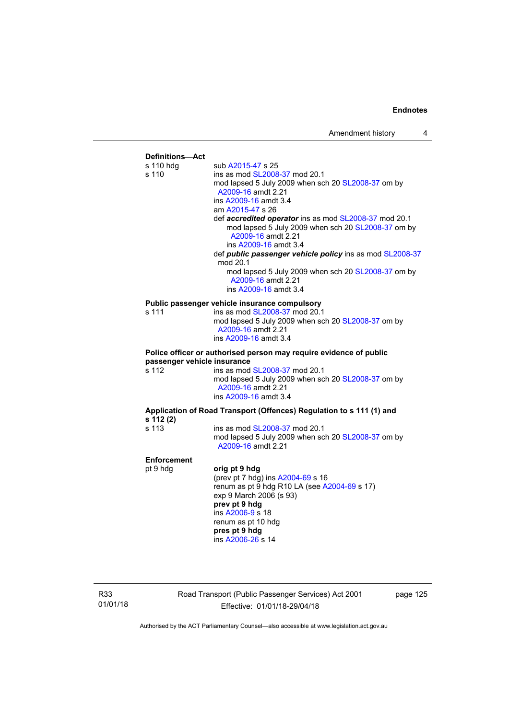

R33 01/01/18 Road Transport (Public Passenger Services) Act 2001 Effective: 01/01/18-29/04/18

page 125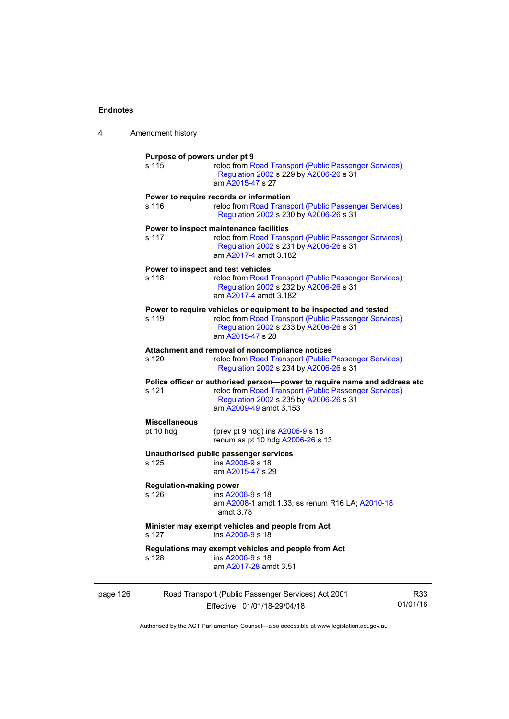| 4        | Amendment history                       |                                                                                                                                                                                                         |                 |
|----------|-----------------------------------------|---------------------------------------------------------------------------------------------------------------------------------------------------------------------------------------------------------|-----------------|
|          | Purpose of powers under pt 9<br>s 115   | reloc from Road Transport (Public Passenger Services)<br>Regulation 2002 s 229 by A2006-26 s 31<br>am A2015-47 s 27                                                                                     |                 |
|          | s 116                                   | Power to require records or information<br>reloc from Road Transport (Public Passenger Services)<br>Regulation 2002 s 230 by A2006-26 s 31                                                              |                 |
|          | s 117                                   | Power to inspect maintenance facilities<br>reloc from Road Transport (Public Passenger Services)<br>Regulation 2002 s 231 by A2006-26 s 31<br>am A2017-4 amdt 3.182                                     |                 |
|          | s 118                                   | Power to inspect and test vehicles<br>reloc from Road Transport (Public Passenger Services)<br>Regulation 2002 s 232 by A2006-26 s 31<br>am A2017-4 amdt 3.182                                          |                 |
|          | s 119                                   | Power to require vehicles or equipment to be inspected and tested<br>reloc from Road Transport (Public Passenger Services)<br>Regulation 2002 s 233 by A2006-26 s 31<br>am A2015-47 s 28                |                 |
|          | s 120                                   | Attachment and removal of noncompliance notices<br>reloc from Road Transport (Public Passenger Services)<br>Regulation 2002 s 234 by A2006-26 s 31                                                      |                 |
|          | s 121                                   | Police officer or authorised person--power to require name and address etc<br>reloc from Road Transport (Public Passenger Services)<br>Regulation 2002 s 235 by A2006-26 s 31<br>am A2009-49 amdt 3.153 |                 |
|          | <b>Miscellaneous</b><br>pt 10 hdg       | (prev pt 9 hdg) ins A2006-9 s 18<br>renum as pt 10 hdg A2006-26 s 13                                                                                                                                    |                 |
|          | s 125                                   | Unauthorised public passenger services<br>ins A2006-9 s 18<br>am A2015-47 s 29                                                                                                                          |                 |
|          | <b>Regulation-making power</b><br>s 126 | ins A2006-9 s 18<br>am A2008-1 amdt 1.33; ss renum R16 LA; A2010-18<br>amdt 3.78                                                                                                                        |                 |
|          | s 127                                   | Minister may exempt vehicles and people from Act<br>ins A2006-9 s 18                                                                                                                                    |                 |
|          | s 128                                   | Regulations may exempt vehicles and people from Act<br>ins A2006-9 s 18<br>am A2017-28 amdt 3.51                                                                                                        |                 |
| page 126 |                                         | Road Transport (Public Passenger Services) Act 2001<br>Effective: 01/01/18-29/04/18                                                                                                                     | R33<br>01/01/18 |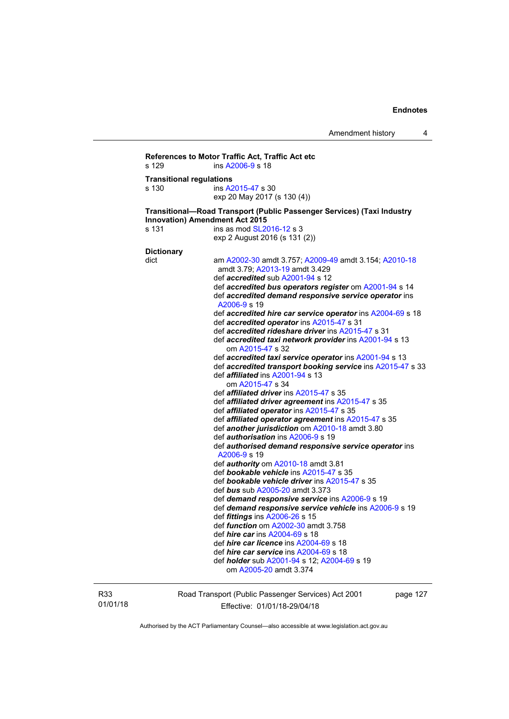```
References to Motor Traffic Act, Traffic Act etc 
s 129 ins A2006-9 s 18 
Transitional regulations 
s 130 ins A2015-47 s 30 
                   exp 20 May 2017 (s 130 (4)) 
Transitional—Road Transport (Public Passenger Services) (Taxi Industry 
Innovation) Amendment Act 2015 
SL2016-12 s 3
                   exp 2 August 2016 (s 131 (2)) 
Dictionary 
dict am A2002-30 amdt 3.757; A2009-49 amdt 3.154; A2010-18
                    amdt 3.79; A2013-19 amdt 3.429 
                    def accredited sub A2001-94 s 12 
                    def accredited bus operators register om A2001-94 s 14 
                    def accredited demand responsive service operator ins 
                    A2006-9 s 19 
                    def accredited hire car service operator ins A2004-69 s 18 
                    def accredited operator ins A2015-47 s 31 
                    def accredited rideshare driver ins A2015-47 s 31 
                    def accredited taxi network provider ins A2001-94 s 13 
                       om A2015-47 s 32 
                    def accredited taxi service operator ins A2001-94 s 13 
                    def accredited transport booking service ins A2015-47 s 33 
                    def affiliated ins A2001-94 s 13 
                       om A2015-47 s 34 
                    def affiliated driver ins A2015-47 s 35 
                    def affiliated driver agreement ins A2015-47 s 35 
                    def affiliated operator ins A2015-47 s 35 
                    def affiliated operator agreement ins A2015-47 s 35 
                    def another jurisdiction om A2010-18 amdt 3.80 
                    def authorisation ins A2006-9 s 19 
                    def authorised demand responsive service operator ins 
                    A2006-9 s 19 
                    def authority om A2010-18 amdt 3.81 
                    def bookable vehicle ins A2015-47 s 35 
                    def bookable vehicle driver ins A2015-47 s 35 
                    def bus sub A2005-20 amdt 3.373 
                    def demand responsive service ins A2006-9 s 19 
                    def demand responsive service vehicle ins A2006-9 s 19 
                    def fittings ins A2006-26 s 15 
                    def function om A2002-30 amdt 3.758 
                    def hire car ins A2004-69 s 18 
                    def hire car licence ins A2004-69 s 18 
                    def hire car service ins A2004-69 s 18 
                    def holder sub A2001-94 s 12; A2004-69 s 19 
                       om A2005-20 amdt 3.374
```
R33 01/01/18 Road Transport (Public Passenger Services) Act 2001 Effective: 01/01/18-29/04/18

page 127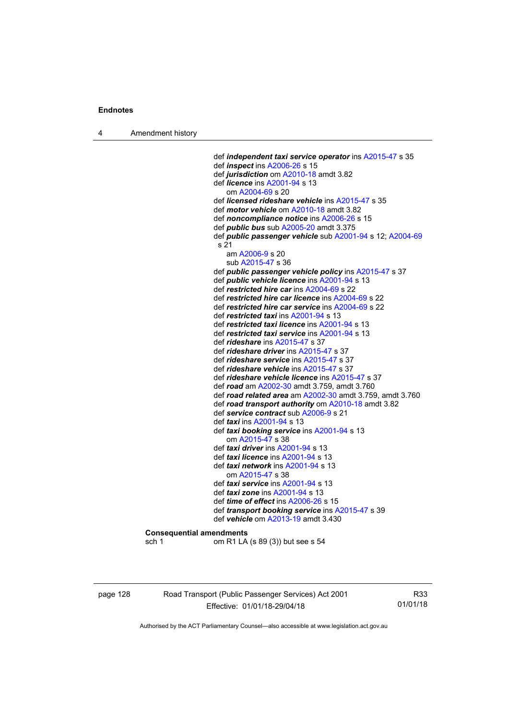4 Amendment history

 def *independent taxi service operator* ins [A2015-47](http://www.legislation.act.gov.au/a/2015-47) s 35 def *inspect* ins [A2006-26](http://www.legislation.act.gov.au/a/2006-26) s 15 def *jurisdiction* om [A2010-18](http://www.legislation.act.gov.au/a/2010-18) amdt 3.82 def *licence* ins [A2001-94](http://www.legislation.act.gov.au/a/2001-94) s 13 om [A2004-69](http://www.legislation.act.gov.au/a/2004-69) s 20 def *licensed rideshare vehicle* ins [A2015-47](http://www.legislation.act.gov.au/a/2015-47) s 35 def *motor vehicle* om [A2010-18](http://www.legislation.act.gov.au/a/2010-18) amdt 3.82 def *noncompliance notice* ins [A2006-26](http://www.legislation.act.gov.au/a/2006-26) s 15 def *public bus* sub [A2005-20](http://www.legislation.act.gov.au/a/2005-20) amdt 3.375 def *public passenger vehicle* sub [A2001-94](http://www.legislation.act.gov.au/a/2001-94) s 12; [A2004-69](http://www.legislation.act.gov.au/a/2004-69) s 21 am [A2006-9](http://www.legislation.act.gov.au/a/2006-9) s 20 sub [A2015-47](http://www.legislation.act.gov.au/a/2015-47) s 36 def *public passenger vehicle policy* ins [A2015-47](http://www.legislation.act.gov.au/a/2015-47) s 37 def *public vehicle licence* ins [A2001-94](http://www.legislation.act.gov.au/a/2001-94) s 13 def *restricted hire car* ins [A2004-69](http://www.legislation.act.gov.au/a/2004-69) s 22 def *restricted hire car licence* ins [A2004-69](http://www.legislation.act.gov.au/a/2004-69) s 22 def *restricted hire car service* ins [A2004-69](http://www.legislation.act.gov.au/a/2004-69) s 22 def *restricted taxi* ins [A2001-94](http://www.legislation.act.gov.au/a/2001-94) s 13 def *restricted taxi licence* ins [A2001-94](http://www.legislation.act.gov.au/a/2001-94) s 13 def *restricted taxi service* ins [A2001-94](http://www.legislation.act.gov.au/a/2001-94) s 13 def *rideshare* ins [A2015-47](http://www.legislation.act.gov.au/a/2015-47) s 37 def *rideshare driver* ins [A2015-47](http://www.legislation.act.gov.au/a/2015-47) s 37 def *rideshare service* ins [A2015-47](http://www.legislation.act.gov.au/a/2015-47) s 37 def *rideshare vehicle* ins [A2015-47](http://www.legislation.act.gov.au/a/2015-47) s 37 def *rideshare vehicle licence* ins [A2015-47](http://www.legislation.act.gov.au/a/2015-47) s 37 def *road* am [A2002-30](http://www.legislation.act.gov.au/a/2002-30) amdt 3.759, amdt 3.760 def *road related area* am [A2002-30](http://www.legislation.act.gov.au/a/2002-30) amdt 3.759, amdt 3.760 def *road transport authority* om [A2010-18](http://www.legislation.act.gov.au/a/2010-18) amdt 3.82 def *service contract* sub [A2006-9](http://www.legislation.act.gov.au/a/2006-9) s 21 def *taxi* ins [A2001-94](http://www.legislation.act.gov.au/a/2001-94) s 13 def *taxi booking service* ins [A2001-94](http://www.legislation.act.gov.au/a/2001-94) s 13 om [A2015-47](http://www.legislation.act.gov.au/a/2015-47) s 38 def *taxi driver* ins [A2001-94](http://www.legislation.act.gov.au/a/2001-94) s 13 def *taxi licence* ins [A2001-94](http://www.legislation.act.gov.au/a/2001-94) s 13 def *taxi network* ins [A2001-94](http://www.legislation.act.gov.au/a/2001-94) s 13 om [A2015-47](http://www.legislation.act.gov.au/a/2015-47) s 38 def *taxi service* ins [A2001-94](http://www.legislation.act.gov.au/a/2001-94) s 13 def *taxi zone* ins [A2001-94](http://www.legislation.act.gov.au/a/2001-94) s 13 def *time of effect* ins [A2006-26](http://www.legislation.act.gov.au/a/2006-26) s 15 def *transport booking service* ins [A2015-47](http://www.legislation.act.gov.au/a/2015-47) s 39 def *vehicle* om [A2013-19](http://www.legislation.act.gov.au/a/2013-19) amdt 3.430 **Consequential amendments** 

sch 1 om R1 LA (s 89 (3)) but see s 54

page 128 Road Transport (Public Passenger Services) Act 2001 Effective: 01/01/18-29/04/18

R33 01/01/18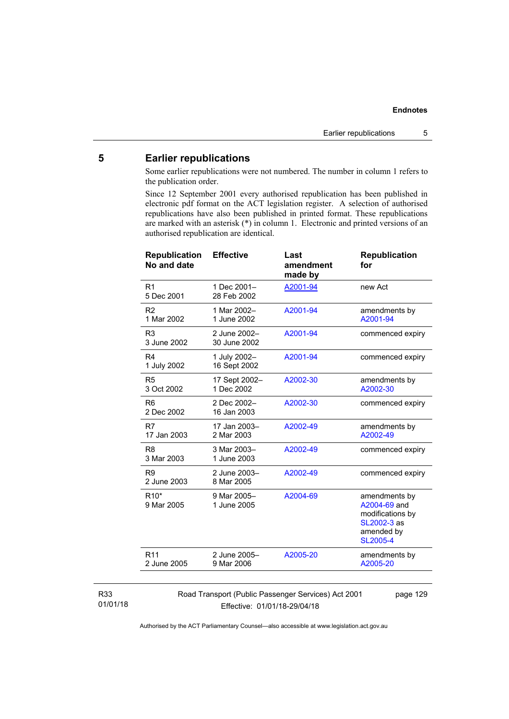## **5 Earlier republications**

Some earlier republications were not numbered. The number in column 1 refers to the publication order.

Since 12 September 2001 every authorised republication has been published in electronic pdf format on the ACT legislation register. A selection of authorised republications have also been published in printed format. These republications are marked with an asterisk (\*) in column 1. Electronic and printed versions of an authorised republication are identical.

| <b>Republication</b><br>No and date | <b>Effective</b>             | Last<br>amendment<br>made by | <b>Republication</b><br>for                                                                       |
|-------------------------------------|------------------------------|------------------------------|---------------------------------------------------------------------------------------------------|
| R <sub>1</sub><br>5 Dec 2001        | 1 Dec 2001-<br>28 Feb 2002   | A2001-94                     | new Act                                                                                           |
| R <sub>2</sub><br>1 Mar 2002        | 1 Mar 2002-<br>1 June 2002   | A2001-94                     | amendments by<br>A2001-94                                                                         |
| R <sub>3</sub><br>3 June 2002       | 2 June 2002-<br>30 June 2002 | A2001-94                     | commenced expiry                                                                                  |
| R <sub>4</sub><br>1 July 2002       | 1 July 2002-<br>16 Sept 2002 | A2001-94                     | commenced expiry                                                                                  |
| R <sub>5</sub><br>3 Oct 2002        | 17 Sept 2002-<br>1 Dec 2002  | A2002-30                     | amendments by<br>A2002-30                                                                         |
| R <sub>6</sub><br>2 Dec 2002        | 2 Dec 2002-<br>16 Jan 2003   | A2002-30                     | commenced expiry                                                                                  |
| R7<br>17 Jan 2003                   | 17 Jan 2003-<br>2 Mar 2003   | A2002-49                     | amendments by<br>A2002-49                                                                         |
| R <sub>8</sub><br>3 Mar 2003        | 3 Mar 2003-<br>1 June 2003   | A2002-49                     | commenced expiry                                                                                  |
| R <sub>9</sub><br>2 June 2003       | 2 June 2003-<br>8 Mar 2005   | A2002-49                     | commenced expiry                                                                                  |
| R <sub>10</sub> *<br>9 Mar 2005     | 9 Mar 2005-<br>1 June 2005   | A2004-69                     | amendments by<br>A2004-69 and<br>modifications by<br>SL2002-3 as<br>amended by<br><b>SL2005-4</b> |
| R <sub>11</sub><br>2 June 2005      | 2 June 2005-<br>9 Mar 2006   | A2005-20                     | amendments by<br>A2005-20                                                                         |
|                                     |                              |                              |                                                                                                   |

#### R33 01/01/18

Road Transport (Public Passenger Services) Act 2001 Effective: 01/01/18-29/04/18

page 129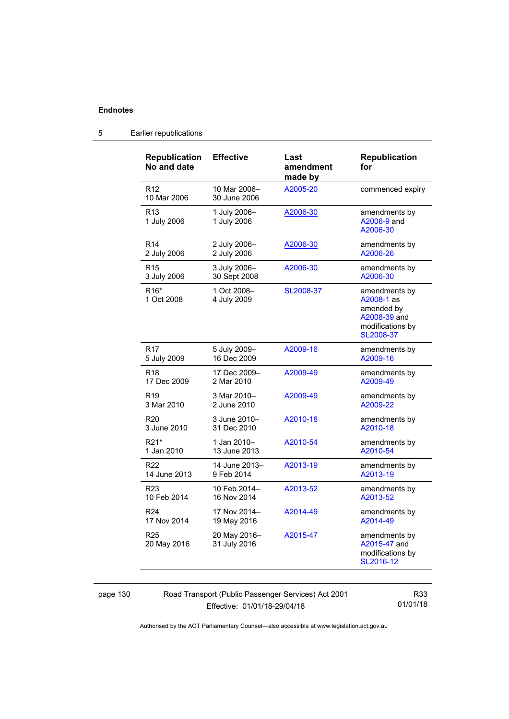| <b>Republication</b><br>No and date | <b>Effective</b>             | Last<br>amendment<br>made by | <b>Republication</b><br>for                                                                |
|-------------------------------------|------------------------------|------------------------------|--------------------------------------------------------------------------------------------|
| R <sub>12</sub><br>10 Mar 2006      | 10 Mar 2006-<br>30 June 2006 | A2005-20                     | commenced expiry                                                                           |
| R <sub>13</sub><br>1 July 2006      | 1 July 2006-<br>1 July 2006  | A2006-30                     | amendments by<br>A2006-9 and<br>A2006-30                                                   |
| R <sub>14</sub>                     | 2 July 2006-                 | A2006-30                     | amendments by                                                                              |
| 2 July 2006                         | 2 July 2006                  |                              | A2006-26                                                                                   |
| R <sub>15</sub>                     | 3 July 2006-                 | A2006-30                     | amendments by                                                                              |
| 3 July 2006                         | 30 Sept 2008                 |                              | A2006-30                                                                                   |
| R <sub>16</sub> *<br>1 Oct 2008     | 1 Oct 2008-<br>4 July 2009   | SL2008-37                    | amendments by<br>A2008-1 as<br>amended by<br>A2008-39 and<br>modifications by<br>SL2008-37 |
| R <sub>17</sub>                     | 5 July 2009-                 | A2009-16                     | amendments by                                                                              |
| 5 July 2009                         | 16 Dec 2009                  |                              | A2009-16                                                                                   |
| R <sub>18</sub>                     | 17 Dec 2009-                 | A2009-49                     | amendments by                                                                              |
| 17 Dec 2009                         | 2 Mar 2010                   |                              | A2009-49                                                                                   |
| R <sub>19</sub>                     | 3 Mar 2010-                  | A2009-49                     | amendments by                                                                              |
| 3 Mar 2010                          | 2 June 2010                  |                              | A2009-22                                                                                   |
| R <sub>20</sub>                     | 3 June 2010-                 | A2010-18                     | amendments by                                                                              |
| 3 June 2010                         | 31 Dec 2010                  |                              | A2010-18                                                                                   |
| R21*                                | 1 Jan 2010-                  | A2010-54                     | amendments by                                                                              |
| 1 Jan 2010                          | 13 June 2013                 |                              | A2010-54                                                                                   |
| R <sub>22</sub>                     | 14 June 2013-                | A2013-19                     | amendments by                                                                              |
| 14 June 2013                        | 9 Feb 2014                   |                              | A2013-19                                                                                   |
| R <sub>23</sub>                     | 10 Feb 2014-                 | A2013-52                     | amendments by                                                                              |
| 10 Feb 2014                         | 16 Nov 2014                  |                              | A2013-52                                                                                   |
| R <sub>24</sub>                     | 17 Nov 2014-                 | A2014-49                     | amendments by                                                                              |
| 17 Nov 2014                         | 19 May 2016                  |                              | A2014-49                                                                                   |
| R <sub>25</sub><br>20 May 2016      | 20 May 2016-<br>31 July 2016 | A2015-47                     | amendments by<br>A2015-47 and<br>modifications by<br>SL2016-12                             |

## 5 Earlier republications

page 130 Road Transport (Public Passenger Services) Act 2001 Effective: 01/01/18-29/04/18

R33 01/01/18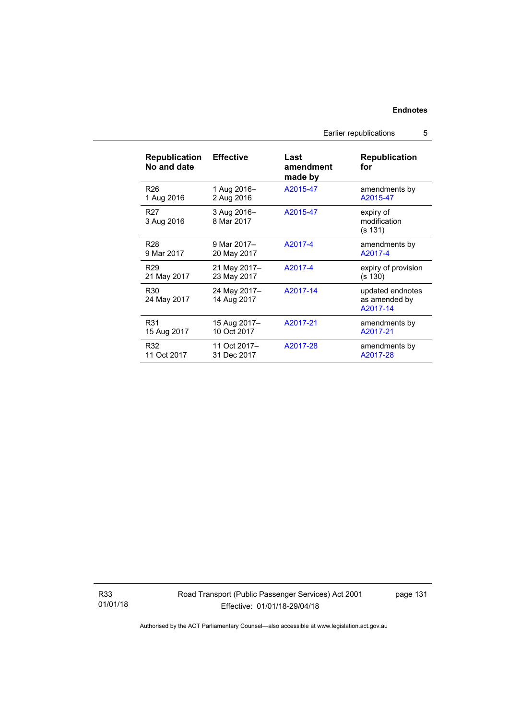| <b>Republication</b><br>No and date | <b>Effective</b>            | Last<br>amendment<br>made by | <b>Republication</b><br>for                   |
|-------------------------------------|-----------------------------|------------------------------|-----------------------------------------------|
| R <sub>26</sub>                     | 1 Aug 2016-                 | A2015-47                     | amendments by                                 |
| 1 Aug 2016                          | 2 Aug 2016                  |                              | A2015-47                                      |
| R <sub>27</sub><br>3 Aug 2016       | 3 Aug 2016-<br>8 Mar 2017   | A2015-47                     | expiry of<br>modification<br>(s 131)          |
| R <sub>28</sub>                     | 9 Mar 2017-                 | A2017-4                      | amendments by                                 |
| 9 Mar 2017                          | 20 May 2017                 |                              | A2017-4                                       |
| R <sub>29</sub>                     | 21 May 2017-                | A2017-4                      | expiry of provision                           |
| 21 May 2017                         | 23 May 2017                 |                              | (s 130)                                       |
| R30<br>24 May 2017                  | 24 May 2017-<br>14 Aug 2017 | A2017-14                     | updated endnotes<br>as amended by<br>A2017-14 |
| R31                                 | 15 Aug 2017-                | A2017-21                     | amendments by                                 |
| 15 Aug 2017                         | 10 Oct 2017                 |                              | A2017-21                                      |
| R32                                 | 11 Oct 2017-                | A2017-28                     | amendments by                                 |
| 11 Oct 2017                         | 31 Dec 2017                 |                              | A2017-28                                      |

Earlier republications 5

R33 01/01/18  $\overline{\phantom{a}}$ 

Road Transport (Public Passenger Services) Act 2001 Effective: 01/01/18-29/04/18

page 131